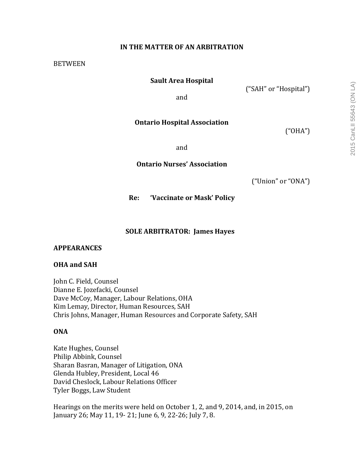# **IN THE MATTER OF AN ARBITRATION**

#### **BETWEEN**

### **Sault Area Hospital**

("SAH" or "Hospital")

and

## **Ontario Hospital Association**

("OHA")

and

**Ontario Nurses' Association**

("Union" or "ONA")

**Re: 'Vaccinate or Mask' Policy**

### **SOLE ARBITRATOR: James Hayes**

#### **APPEARANCES**

### **OHA** and SAH

John C. Field, Counsel Dianne E. Jozefacki, Counsel Dave McCoy, Manager, Labour Relations, OHA Kim Lemay, Director, Human Resources, SAH Chris Johns, Manager, Human Resources and Corporate Safety, SAH

### **ONA**

Kate Hughes, Counsel Philip Abbink, Counsel Sharan Basran, Manager of Litigation, ONA Glenda Hubley, President, Local 46 David Cheslock, Labour Relations Officer Tyler Boggs, Law Student

Hearings on the merits were held on October 1, 2, and 9, 2014, and, in 2015, on January 26; May 11, 19- 21; June 6, 9, 22-26; July 7, 8.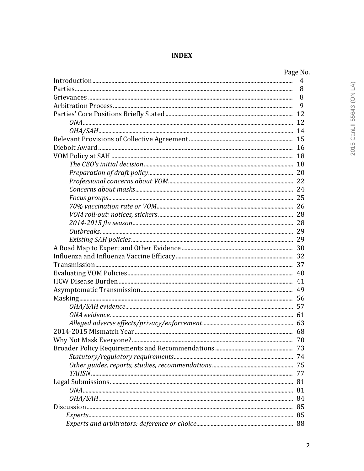# **INDEX**

| Page No. |
|----------|
| 4        |
| 8        |
| 8        |
| 9        |
|          |
|          |
|          |
|          |
|          |
|          |
|          |
|          |
|          |
|          |
|          |
|          |
|          |
|          |
|          |
|          |
|          |
|          |
|          |
|          |
|          |
|          |
|          |
|          |
|          |
|          |
|          |
| 70       |
|          |
|          |
|          |
|          |
|          |
|          |
|          |
|          |
|          |
|          |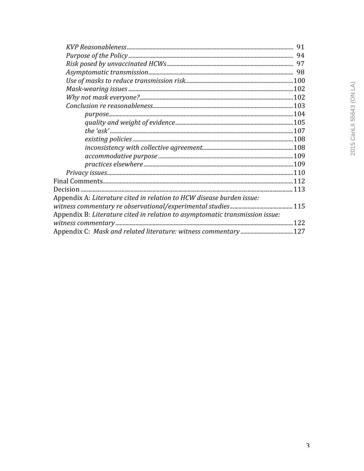| Appendix A: Literature cited in relation to HCW disease burden issue:        |  |
|------------------------------------------------------------------------------|--|
|                                                                              |  |
| Appendix B: Literature cited in relation to asymptomatic transmission issue: |  |
|                                                                              |  |
|                                                                              |  |
|                                                                              |  |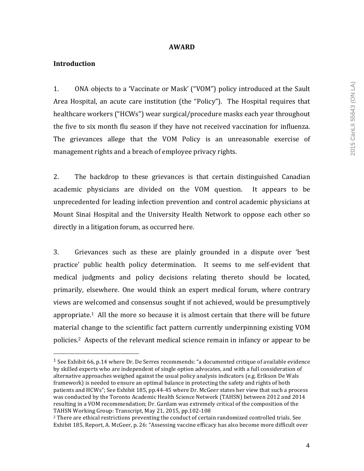### **AWARD**

## **Introduction**

 

1. ONA objects to a 'Vaccinate or Mask' ("VOM") policy introduced at the Sault Area Hospital, an acute care institution (the "Policy"). The Hospital requires that healthcare workers ("HCWs") wear surgical/procedure masks each year throughout the five to six month flu season if they have not received vaccination for influenza. The grievances allege that the VOM Policy is an unreasonable exercise of management rights and a breach of employee privacy rights.

2. The backdrop to these grievances is that certain distinguished Canadian academic physicians are divided on the VOM question. It appears to be unprecedented for leading infection prevention and control academic physicians at Mount Sinai Hospital and the University Health Network to oppose each other so directly in a litigation forum, as occurred here.

3. Grievances such as these are plainly grounded in a dispute over 'best practice' public health policy determination. It seems to me self-evident that medical judgments and policy decisions relating thereto should be located, primarily, elsewhere. One would think an expert medical forum, where contrary views are welcomed and consensus sought if not achieved, would be presumptively appropriate.<sup>1</sup> All the more so because it is almost certain that there will be future material change to the scientific fact pattern currently underpinning existing VOM policies.<sup>2</sup> Aspects of the relevant medical science remain in infancy or appear to be

<sup>&</sup>lt;sup>1</sup> See Exhibit 66, p.14 where Dr. De Serres recommends: "a documented critique of available evidence by skilled experts who are independent of single option advocates, and with a full consideration of alternative approaches weighed against the usual policy analysis indicators (e.g. Erikson De Wals framework) is needed to ensure an optimal balance in protecting the safety and rights of both patients and HCWs"; See Exhibit 185, pp.44-45 where Dr. McGeer states her view that such a process was conducted by the Toronto Academic Health Science Network (TAHSN) between 2012 and 2014 resulting in a VOM recommendation; Dr. Gardam was extremely critical of the composition of the TAHSN Working Group: Transcript, May 21, 2015, pp.102-108

<sup>&</sup>lt;sup>2</sup> There are ethical restrictions preventing the conduct of certain randomized controlled trials. See Exhibit 185, Report, A. McGeer, p. 26: "Assessing vaccine efficacy has also become more difficult over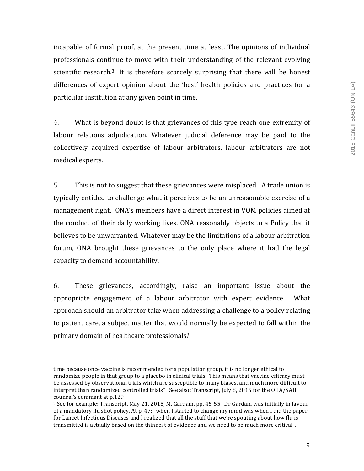incapable of formal proof, at the present time at least. The opinions of individual professionals continue to move with their understanding of the relevant evolving scientific research.<sup>3</sup> It is therefore scarcely surprising that there will be honest differences of expert opinion about the 'best' health policies and practices for a particular institution at any given point in time.

4. What is beyond doubt is that grievances of this type reach one extremity of labour relations adjudication. Whatever judicial deference may be paid to the collectively acquired expertise of labour arbitrators, labour arbitrators are not medical experts.

5. This is not to suggest that these grievances were misplaced. A trade union is typically entitled to challenge what it perceives to be an unreasonable exercise of a management right. ONA's members have a direct interest in VOM policies aimed at the conduct of their daily working lives. ONA reasonably objects to a Policy that it believes to be unwarranted. Whatever may be the limitations of a labour arbitration forum, ONA brought these grievances to the only place where it had the legal capacity to demand accountability.

6. These grievances, accordingly, raise an important issue about the appropriate engagement of a labour arbitrator with expert evidence. What approach should an arbitrator take when addressing a challenge to a policy relating to patient care, a subject matter that would normally be expected to fall within the primary domain of healthcare professionals?

<u> 1989 - Andrea San Andrea San Andrea San Andrea San Andrea San Andrea San Andrea San Andrea San Andrea San An</u>

time because once vaccine is recommended for a population group, it is no longer ethical to randomize people in that group to a placebo in clinical trials. This means that vaccine efficacy must be assessed by observational trials which are susceptible to many biases, and much more difficult to interpret than randomized controlled trials". See also: Transcript, July 8, 2015 for the OHA/SAH counsel's comment at p.129

 $3$  See for example: Transcript, May 21, 2015, M. Gardam, pp. 45-55. Dr Gardam was initially in favour of a mandatory flu shot policy. At p. 47: "when I started to change my mind was when I did the paper for Lancet Infectious Diseases and I realized that all the stuff that we're spouting about how flu is transmitted is actually based on the thinnest of evidence and we need to be much more critical".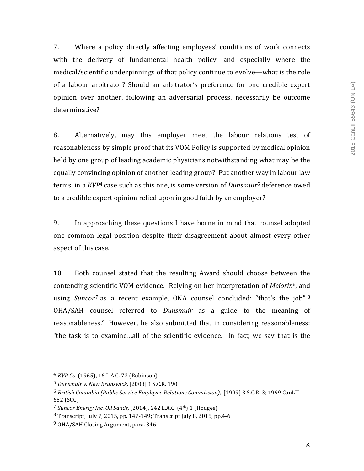7. Where a policy directly affecting employees' conditions of work connects with the delivery of fundamental health policy—and especially where the medical/scientific underpinnings of that policy continue to evolve—what is the role of a labour arbitrator? Should an arbitrator's preference for one credible expert opinion over another, following an adversarial process, necessarily be outcome determinative?

8. Alternatively, may this employer meet the labour relations test of reasonableness by simple proof that its VOM Policy is supported by medical opinion held by one group of leading academic physicians notwithstanding what may be the equally convincing opinion of another leading group? Put another way in labour law terms, in a *KVP<sup>4</sup>* case such as this one, is some version of *Dunsmuir*<sup>5</sup> deference owed to a credible expert opinion relied upon in good faith by an employer?

9. In approaching these questions I have borne in mind that counsel adopted one common legal position despite their disagreement about almost every other aspect of this case.

10. Both counsel stated that the resulting Award should choose between the contending scientific VOM evidence. Relying on her interpretation of *Meiorin*<sup>6</sup>, and using *Suncor*<sup>7</sup> as a recent example, ONA counsel concluded: "that's the job".<sup>8</sup> OHA/SAH counsel referred to *Dunsmuir* as a guide to the meaning of reasonableness. $9$  However, he also submitted that in considering reasonableness: "the task is to examine...all of the scientific evidence. In fact, we say that is the

<sup>&</sup>lt;sup>4</sup> *KVP Co.* (1965), 16 L.A.C. 73 (Robinson)

<sup>5</sup> *Dunsmuir v. New Brunswick,* [2008] 1 S.C.R. 190

<sup>&</sup>lt;sup>6</sup> British Columbia (Public Service Employee Relations Commission), [1999] 3 S.C.R. 3; 1999 CanLII 652 (SCC)

<sup>&</sup>lt;sup>7</sup> Suncor Energy Inc. Oil Sands, (2014), 242 L.A.C. (4<sup>th</sup>) 1 (Hodges)

 $8$  Transcript, July 7, 2015, pp. 147-149; Transcript July 8, 2015, pp. 4-6

<sup>&</sup>lt;sup>9</sup> OHA/SAH Closing Argument, para. 346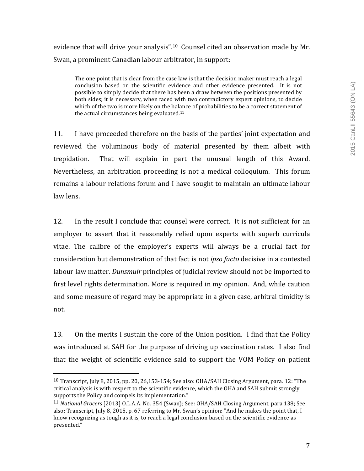evidence that will drive your analysis".<sup>10</sup> Counsel cited an observation made by Mr. Swan, a prominent Canadian labour arbitrator, in support:

The one point that is clear from the case law is that the decision maker must reach a legal conclusion based on the scientific evidence and other evidence presented. It is not possible to simply decide that there has been a draw between the positions presented by both sides; it is necessary, when faced with two contradictory expert opinions, to decide which of the two is more likely on the balance of probabilities to be a correct statement of the actual circumstances being evaluated. $11$ 

11. I have proceeded therefore on the basis of the parties' joint expectation and reviewed the voluminous body of material presented by them albeit with trepidation. That will explain in part the unusual length of this Award. Nevertheless, an arbitration proceeding is not a medical colloquium. This forum remains a labour relations forum and I have sought to maintain an ultimate labour law lens.

12. In the result I conclude that counsel were correct. It is not sufficient for an employer to assert that it reasonably relied upon experts with superb curricula vitae. The calibre of the employer's experts will always be a crucial fact for consideration but demonstration of that fact is not *ipso facto* decisive in a contested labour law matter. *Dunsmuir* principles of judicial review should not be imported to first level rights determination. More is required in my opinion. And, while caution and some measure of regard may be appropriate in a given case, arbitral timidity is not.

13. On the merits I sustain the core of the Union position. I find that the Policy was introduced at SAH for the purpose of driving up vaccination rates. I also find that the weight of scientific evidence said to support the VOM Policy on patient

 $10$  Transcript, July 8, 2015, pp. 20, 26,153-154; See also: OHA/SAH Closing Argument, para. 12: "The critical analysis is with respect to the scientific evidence, which the OHA and SAH submit strongly supports the Policy and compels its implementation."

<sup>&</sup>lt;sup>11</sup> *National Grocers* [2013] O.L.A.A. No. 354 (Swan); See: OHA/SAH Closing Argument, para.138; See also: Transcript, July 8, 2015, p. 67 referring to Mr. Swan's opinion: "And he makes the point that, I know recognizing as tough as it is, to reach a legal conclusion based on the scientific evidence as presented."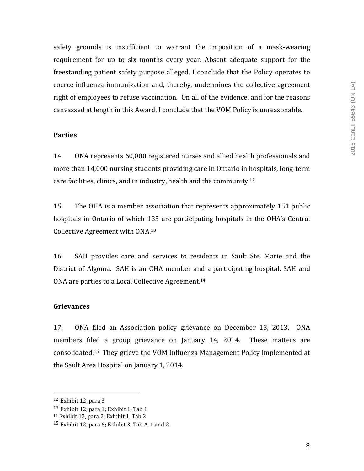safety grounds is insufficient to warrant the imposition of a mask-wearing requirement for up to six months every year. Absent adequate support for the freestanding patient safety purpose alleged, I conclude that the Policy operates to coerce influenza immunization and, thereby, undermines the collective agreement right of employees to refuse vaccination. On all of the evidence, and for the reasons canvassed at length in this Award, I conclude that the VOM Policy is unreasonable.

## **Parties**

14. ONA represents 60,000 registered nurses and allied health professionals and more than  $14,000$  nursing students providing care in Ontario in hospitals, long-term care facilities, clinics, and in industry, health and the community.<sup>12</sup>

15. The OHA is a member association that represents approximately 151 public hospitals in Ontario of which 135 are participating hospitals in the OHA's Central Collective Agreement with ONA.<sup>13</sup>

16. SAH provides care and services to residents in Sault Ste. Marie and the District of Algoma. SAH is an OHA member and a participating hospital. SAH and ONA are parties to a Local Collective Agreement.<sup>14</sup>

## **Grievances**

17. ONA filed an Association policy grievance on December 13, 2013. ONA members filed a group grievance on January 14, 2014. These matters are consolidated.<sup>15</sup> They grieve the VOM Influenza Management Policy implemented at the Sault Area Hospital on January 1, 2014.

 $12$  Exhibit 12, para.3

 $13$  Exhibit 12, para.1; Exhibit 1, Tab 1

 $14$  Exhibit 12, para.2; Exhibit 1, Tab 2

 $15$  Exhibit 12, para.6; Exhibit 3, Tab A, 1 and 2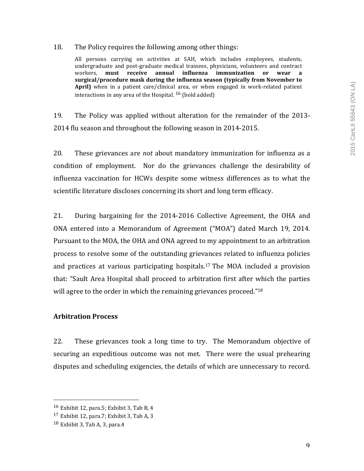### 18. The Policy requires the following among other things:

All persons carrying on activities at SAH, which includes employees, students, undergraduate and post-graduate medical trainees, physicians, volunteers and contract workers, **must receive annual influenza immunization or wear a**  surgical/procedure mask during the influenza season (typically from November to April) when in a patient care/clinical area, or when engaged in work-related patient interactions in any area of the Hospital.  $^{16}$  (bold added)

19. The Policy was applied without alteration for the remainder of the 2013-2014 flu season and throughout the following season in 2014-2015.

20. These grievances are *not* about mandatory immunization for influenza as a condition of employment. Nor do the grievances challenge the desirability of influenza vaccination for HCWs despite some witness differences as to what the scientific literature discloses concerning its short and long term efficacy.

21. During bargaining for the 2014-2016 Collective Agreement, the OHA and ONA entered into a Memorandum of Agreement ("MOA") dated March 19, 2014. Pursuant to the MOA, the OHA and ONA agreed to my appointment to an arbitration process to resolve some of the outstanding grievances related to influenza policies and practices at various participating hospitals.<sup>17</sup> The MOA included a provision that: "Sault Area Hospital shall proceed to arbitration first after which the parties will agree to the order in which the remaining grievances proceed." $18$ 

## **Arbitration Process**

22. These grievances took a long time to try. The Memorandum objective of securing an expeditious outcome was not met. There were the usual prehearing disputes and scheduling exigencies, the details of which are unnecessary to record.

 $16$  Exhibit 12, para.5; Exhibit 3, Tab B, 4

 $17$  Exhibit 12, para.7; Exhibit 3, Tab A, 3

 $18$  Exhibit 3, Tab A, 3, para.4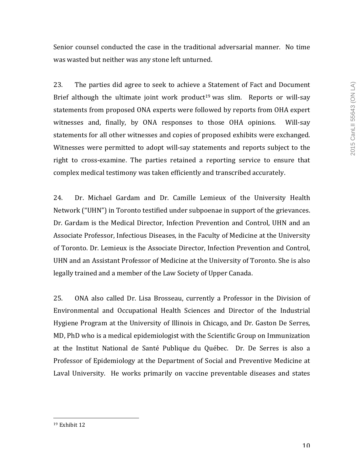Senior counsel conducted the case in the traditional adversarial manner. No time was wasted but neither was any stone left unturned.

23. The parties did agree to seek to achieve a Statement of Fact and Document Brief although the ultimate joint work product<sup>19</sup> was slim. Reports or will-say statements from proposed ONA experts were followed by reports from OHA expert witnesses and, finally, by ONA responses to those OHA opinions. Will-say statements for all other witnesses and copies of proposed exhibits were exchanged. Witnesses were permitted to adopt will-say statements and reports subject to the right to cross-examine. The parties retained a reporting service to ensure that complex medical testimony was taken efficiently and transcribed accurately.

24. Dr. Michael Gardam and Dr. Camille Lemieux of the University Health Network ("UHN") in Toronto testified under subpoenae in support of the grievances. Dr. Gardam is the Medical Director, Infection Prevention and Control, UHN and an Associate Professor, Infectious Diseases, in the Faculty of Medicine at the University of Toronto. Dr. Lemieux is the Associate Director, Infection Prevention and Control, UHN and an Assistant Professor of Medicine at the University of Toronto. She is also legally trained and a member of the Law Society of Upper Canada.

25. ONA also called Dr. Lisa Brosseau, currently a Professor in the Division of Environmental and Occupational Health Sciences and Director of the Industrial Hygiene Program at the University of Illinois in Chicago, and Dr. Gaston De Serres, MD, PhD who is a medical epidemiologist with the Scientific Group on Immunization at the Institut National de Santé Publique du Québec. Dr. De Serres is also a Professor of Epidemiology at the Department of Social and Preventive Medicine at Laval University. He works primarily on vaccine preventable diseases and states

 $19$  Exhibit  $12$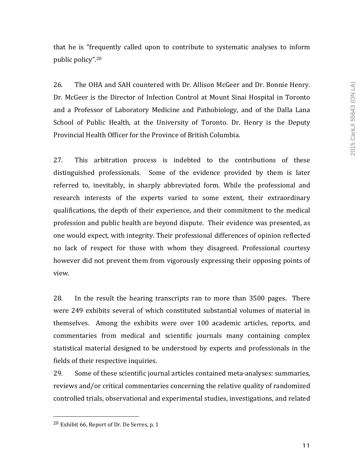that he is "frequently called upon to contribute to systematic analyses to inform public policy".<sup>20</sup>

26. The OHA and SAH countered with Dr. Allison McGeer and Dr. Bonnie Henry. Dr. McGeer is the Director of Infection Control at Mount Sinai Hospital in Toronto and a Professor of Laboratory Medicine and Pathobiology, and of the Dalla Lana School of Public Health, at the University of Toronto. Dr. Henry is the Deputy Provincial Health Officer for the Province of British Columbia.

27. This arbitration process is indebted to the contributions of these distinguished professionals. Some of the evidence provided by them is later referred to, inevitably, in sharply abbreviated form. While the professional and research interests of the experts varied to some extent, their extraordinary qualifications, the depth of their experience, and their commitment to the medical profession and public health are beyond dispute. Their evidence was presented, as one would expect, with integrity. Their professional differences of opinion reflected no lack of respect for those with whom they disagreed. Professional courtesy however did not prevent them from vigorously expressing their opposing points of view. 

28. In the result the hearing transcripts ran to more than 3500 pages. There were 249 exhibits several of which constituted substantial volumes of material in themselves. Among the exhibits were over 100 academic articles, reports, and commentaries from medical and scientific journals many containing complex statistical material designed to be understood by experts and professionals in the fields of their respective inquiries.

29. Some of these scientific journal articles contained meta-analyses: summaries, reviews and/or critical commentaries concerning the relative quality of randomized controlled trials, observational and experimental studies, investigations, and related

 $20$  Exhibit 66, Report of Dr. De Serres, p. 1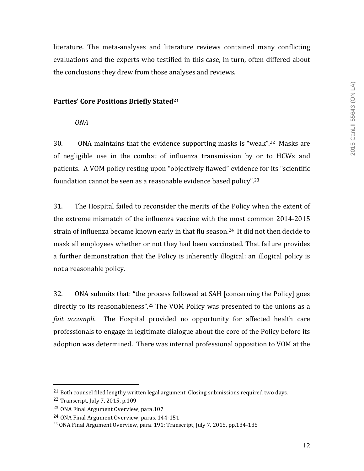literature. The meta-analyses and literature reviews contained many conflicting evaluations and the experts who testified in this case, in turn, often differed about the conclusions they drew from those analyses and reviews.

# Parties' Core Positions Briefly Stated<sup>21</sup>

*ONA*

30. ONA maintains that the evidence supporting masks is "weak".<sup>22</sup> Masks are of negligible use in the combat of influenza transmission by or to HCWs and patients. A VOM policy resting upon "objectively flawed" evidence for its "scientific foundation cannot be seen as a reasonable evidence based policy".<sup>23</sup>

31. The Hospital failed to reconsider the merits of the Policy when the extent of the extreme mismatch of the influenza vaccine with the most common 2014-2015 strain of influenza became known early in that flu season.<sup>24</sup> It did not then decide to mask all employees whether or not they had been vaccinated. That failure provides a further demonstration that the Policy is inherently illogical: an illogical policy is not a reasonable policy.

32. ONA submits that: "the process followed at SAH [concerning the Policy] goes directly to its reasonableness".<sup>25</sup> The VOM Policy was presented to the unions as a *fait accompli*. The Hospital provided no opportunity for affected health care professionals to engage in legitimate dialogue about the core of the Policy before its adoption was determined. There was internal professional opposition to VOM at the

 $21$  Both counsel filed lengthy written legal argument. Closing submissions required two days.

 $22$  Transcript, July 7, 2015, p.109

<sup>&</sup>lt;sup>23</sup> ONA Final Argument Overview, para.107

<sup>&</sup>lt;sup>24</sup> ONA Final Argument Overview, paras. 144-151

<sup>&</sup>lt;sup>25</sup> ONA Final Argument Overview, para. 191; Transcript, July 7, 2015, pp.134-135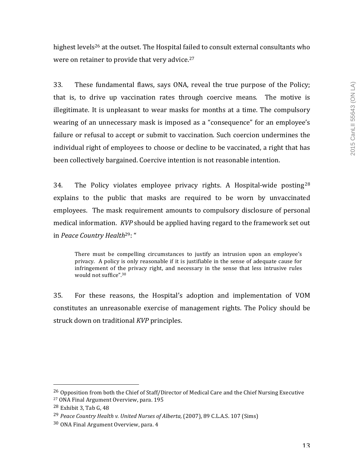highest levels<sup>26</sup> at the outset. The Hospital failed to consult external consultants who were on retainer to provide that very advice. $27$ 

33. These fundamental flaws, says ONA, reveal the true purpose of the Policy; that is, to drive up vaccination rates through coercive means. The motive is illegitimate. It is unpleasant to wear masks for months at a time. The compulsory wearing of an unnecessary mask is imposed as a "consequence" for an employee's failure or refusal to accept or submit to vaccination. Such coercion undermines the individual right of employees to choose or decline to be vaccinated, a right that has been collectively bargained. Coercive intention is not reasonable intention.

34. The Policy violates employee privacy rights. A Hospital-wide posting  $28$ explains to the public that masks are required to be worn by unvaccinated employees. The mask requirement amounts to compulsory disclosure of personal medical information. *KVP* should be applied having regard to the framework set out in Peace Country Health<sup>29</sup>: "

There must be compelling circumstances to justify an intrusion upon an employee's privacy. A policy is only reasonable if it is justifiable in the sense of adequate cause for infringement of the privacy right, and necessary in the sense that less intrusive rules would not suffice".<sup>30</sup>

35. For these reasons, the Hospital's adoption and implementation of VOM constitutes an unreasonable exercise of management rights. The Policy should be struck down on traditional *KVP* principles.

 $^{26}$  Opposition from both the Chief of Staff/Director of Medical Care and the Chief Nursing Executive <sup>27</sup> ONA Final Argument Overview, para. 195

 $28$  Exhibit 3, Tab G, 48

<sup>&</sup>lt;sup>29</sup> Peace Country Health v. United Nurses of Alberta, (2007), 89 C.L.A.S. 107 (Sims)

 $30$  ONA Final Argument Overview, para, 4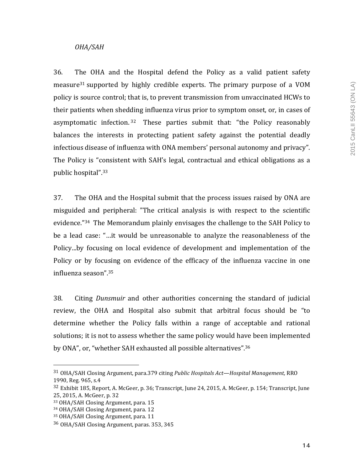# *OHA/SAH*

36. The OHA and the Hospital defend the Policy as a valid patient safety measure<sup>31</sup> supported by highly credible experts. The primary purpose of a VOM policy is source control; that is, to prevent transmission from unvaccinated HCWs to their patients when shedding influenza virus prior to symptom onset, or, in cases of asymptomatic infection.<sup>32</sup> These parties submit that: "the Policy reasonably balances the interests in protecting patient safety against the potential deadly infectious disease of influenza with ONA members' personal autonomy and privacy". The Policy is "consistent with SAH's legal, contractual and ethical obligations as a public hospital".<sup>33</sup>

37. The OHA and the Hospital submit that the process issues raised by ONA are misguided and peripheral: "The critical analysis is with respect to the scientific evidence."<sup>34</sup> The Memorandum plainly envisages the challenge to the SAH Policy to be a lead case: "...it would be unreasonable to analyze the reasonableness of the Policy...by focusing on local evidence of development and implementation of the Policy or by focusing on evidence of the efficacy of the influenza vaccine in one influenza season".35

38. Citing *Dunsmuir* and other authorities concerning the standard of judicial review, the OHA and Hospital also submit that arbitral focus should be "to determine whether the Policy falls within a range of acceptable and rational solutions; it is not to assess whether the same policy would have been implemented by ONA", or, "whether SAH exhausted all possible alternatives".<sup>36</sup>

<sup>&</sup>lt;sup>31</sup> OHA/SAH Closing Argument, para.379 citing *Public Hospitals Act—Hospital Management,* RRO 1990, Reg. 965, s.4

 $32$  Exhibit 185, Report, A. McGeer, p. 36; Transcript, June 24, 2015, A. McGeer, p. 154; Transcript, June 25, 2015, A. McGeer, p. 32

<sup>33</sup> OHA/SAH Closing Argument, para. 15

<sup>34</sup> OHA/SAH Closing Argument, para. 12

<sup>35</sup> OHA/SAH Closing Argument, para. 11

<sup>&</sup>lt;sup>36</sup> OHA/SAH Closing Argument, paras. 353, 345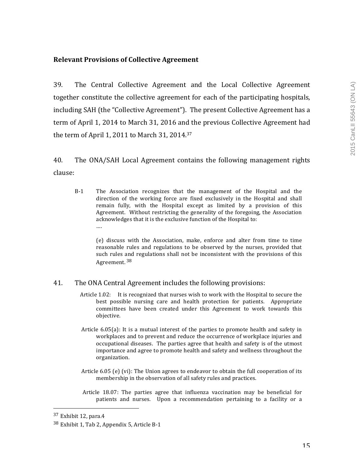# **Relevant Provisions of Collective Agreement**

39. The Central Collective Agreement and the Local Collective Agreement together constitute the collective agreement for each of the participating hospitals, including SAH (the "Collective Agreement"). The present Collective Agreement has a term of April 1, 2014 to March 31, 2016 and the previous Collective Agreement had the term of April 1, 2011 to March 31, 2014. $37$ 

40. The ONA/SAH Local Agreement contains the following management rights clause:

B-1 The Association recognizes that the management of the Hospital and the direction of the working force are fixed exclusively in the Hospital and shall remain fully, with the Hospital except as limited by a provision of this Agreement. Without restricting the generality of the foregoing, the Association acknowledges that it is the exclusive function of the Hospital to: ….

(e) discuss with the Association, make, enforce and alter from time to time reasonable rules and regulations to be observed by the nurses, provided that such rules and regulations shall not be inconsistent with the provisions of this Agreement. <sup>38</sup>

#### 41. The ONA Central Agreement includes the following provisions:

- Article 1.02: It is recognized that nurses wish to work with the Hospital to secure the best possible nursing care and health protection for patients. Appropriate committees have been created under this Agreement to work towards this objective.
- Article  $6.05(a)$ : It is a mutual interest of the parties to promote health and safety in workplaces and to prevent and reduce the occurrence of workplace injuries and occupational diseases. The parties agree that health and safety is of the utmost importance and agree to promote health and safety and wellness throughout the organization.
- Article  $6.05$  (e) (vi): The Union agrees to endeavor to obtain the full cooperation of its membership in the observation of all safety rules and practices.
- Article  $18.07$ : The parties agree that influenza vaccination may be beneficial for patients and nurses. Upon a recommendation pertaining to a facility or a

<sup>37</sup> Exhibit 12, para.4

 $38$  Exhibit 1, Tab 2, Appendix 5, Article B-1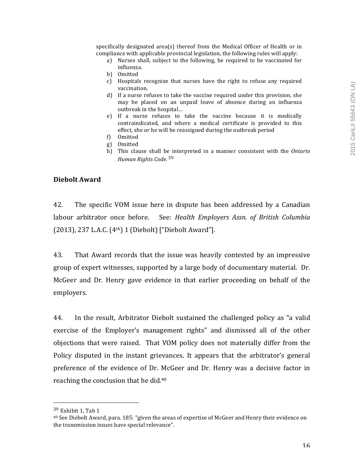specifically designated area(s) thereof from the Medical Officer of Health or in compliance with applicable provincial legislation, the following rules will apply:

- a) Nurses shall, subject to the following, be required to be vaccinated for influenza.
- b) Omitted
- c) Hospitals recognize that nurses have the right to refuse any required vaccination.
- d) If a nurse refuses to take the vaccine required under this provision, she may be placed on an unpaid leave of absence during an influenza outbreak in the hospital...
- e) If a nurse refuses to take the vaccine because it is medically contraindicated, and where a medical certificate is provided to this effect, she or he will be reassigned during the outbreak period
- f) Omitted
- g) Omitted
- h) This clause shall be interpreted in a manner consistent with the Ontario *Human Rights Code.* <sup>39</sup>

#### **Diebolt Award**

42. The specific VOM issue here in dispute has been addressed by a Canadian labour arbitrator once before. See: *Health Employers Assn. of British Columbia* (2013), 237 L.A.C.  $(4<sup>th</sup>)$  1 (Diebolt) ["Diebolt Award"].

43. That Award records that the issue was heavily contested by an impressive group of expert witnesses, supported by a large body of documentary material. Dr. McGeer and Dr. Henry gave evidence in that earlier proceeding on behalf of the employers.

44. In the result, Arbitrator Diebolt sustained the challenged policy as "a valid exercise of the Employer's management rights" and dismissed all of the other objections that were raised. That VOM policy does not materially differ from the Policy disputed in the instant grievances. It appears that the arbitrator's general preference of the evidence of Dr. McGeer and Dr. Henry was a decisive factor in reaching the conclusion that he did.<sup>40</sup>

 $39$  Exhibit 1. Tab 1

 $40$  See Diebolt Award, para. 185: "given the areas of expertise of McGeer and Henry their evidence on the transmission issues have special relevance".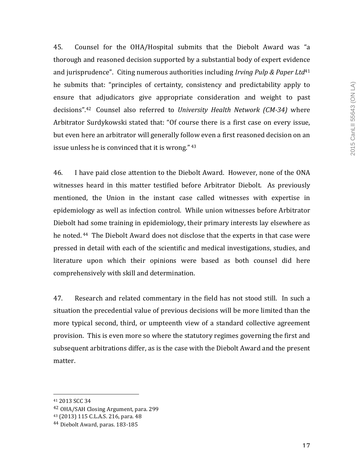45. Counsel for the OHA/Hospital submits that the Diebolt Award was "a thorough and reasoned decision supported by a substantial body of expert evidence and jurisprudence". Citing numerous authorities including *Irving Pulp & Paper Ltd*<sup>41</sup> he submits that: "principles of certainty, consistency and predictability apply to ensure that adjudicators give appropriate consideration and weight to past decisions".<sup>42</sup> Counsel also referred to *University Health Network (CM-34)* where Arbitrator Surdykowski stated that: "Of course there is a first case on every issue, but even here an arbitrator will generally follow even a first reasoned decision on an issue unless he is convinced that it is wrong." $43$ 

46. I have paid close attention to the Diebolt Award. However, none of the ONA witnesses heard in this matter testified before Arbitrator Diebolt. As previously mentioned, the Union in the instant case called witnesses with expertise in epidemiology as well as infection control. While union witnesses before Arbitrator Diebolt had some training in epidemiology, their primary interests lay elsewhere as he noted. <sup>44</sup> The Diebolt Award does not disclose that the experts in that case were pressed in detail with each of the scientific and medical investigations, studies, and literature upon which their opinions were based as both counsel did here comprehensively with skill and determination.

47. Research and related commentary in the field has not stood still. In such a situation the precedential value of previous decisions will be more limited than the more typical second, third, or umpteenth view of a standard collective agreement provision. This is even more so where the statutory regimes governing the first and subsequent arbitrations differ, as is the case with the Diebolt Award and the present matter. 

<sup>41</sup> 2013 SCC 34

<sup>&</sup>lt;sup>42</sup> OHA/SAH Closing Argument, para. 299

<sup>43 (2013) 115</sup> C.L.A.S. 216, para. 48

<sup>&</sup>lt;sup>44</sup> Diebolt Award, paras. 183-185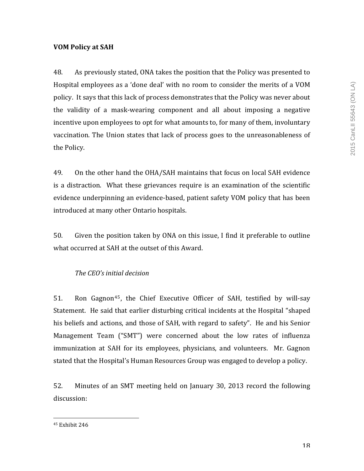# **VOM Policy at SAH**

48. As previously stated, ONA takes the position that the Policy was presented to Hospital employees as a 'done deal' with no room to consider the merits of a VOM policy. It says that this lack of process demonstrates that the Policy was never about the validity of a mask-wearing component and all about imposing a negative incentive upon employees to opt for what amounts to, for many of them, involuntary vaccination. The Union states that lack of process goes to the unreasonableness of the Policy.

49. On the other hand the OHA/SAH maintains that focus on local SAH evidence is a distraction. What these grievances require is an examination of the scientific evidence underpinning an evidence-based, patient safety VOM policy that has been introduced at many other Ontario hospitals.

50. Given the position taken by ONA on this issue, I find it preferable to outline what occurred at SAH at the outset of this Award.

# *The CEO's initial decision*

51. Ron Gagnon<sup>45</sup>, the Chief Executive Officer of SAH, testified by will-say Statement. He said that earlier disturbing critical incidents at the Hospital "shaped his beliefs and actions, and those of SAH, with regard to safety". He and his Senior Management Team ("SMT") were concerned about the low rates of influenza immunization at SAH for its employees, physicians, and volunteers. Mr. Gagnon stated that the Hospital's Human Resources Group was engaged to develop a policy.

52. Minutes of an SMT meeting held on January 30, 2013 record the following discussion:

<sup>&</sup>lt;sup>45</sup> Exhibit 246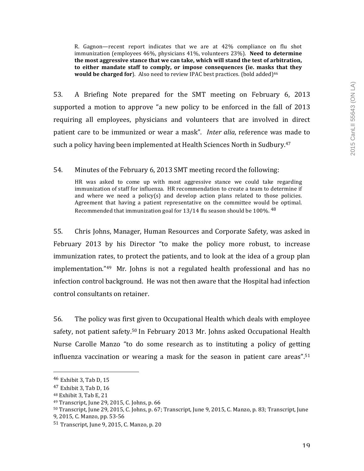R. Gagnon—recent report indicates that we are at 42% compliance on flu shot immunization (employees 46%, physicians 41%, volunteers 23%). **Need to determine** the most aggressive stance that we can take, which will stand the test of arbitration, to either mandate staff to comply, or impose consequences (ie. masks that they **would be charged for**). Also need to review IPAC best practices. (bold added)<sup>46</sup>

53. A Briefing Note prepared for the SMT meeting on February 6, 2013 supported a motion to approve "a new policy to be enforced in the fall of  $2013$ requiring all employees, physicians and volunteers that are involved in direct patient care to be immunized or wear a mask". *Inter alia*, reference was made to such a policy having been implemented at Health Sciences North in Sudbury.<sup>47</sup>

### 54. Minutes of the February 6, 2013 SMT meeting record the following:

HR was asked to come up with most aggressive stance we could take regarding immunization of staff for influenza. HR recommendation to create a team to determine if and where we need a policy(s) and develop action plans related to those policies. Agreement that having a patient representative on the committee would be optimal. Recommended that immunization goal for 13/14 flu season should be 100%.  $48$ 

55. Chris Johns, Manager, Human Resources and Corporate Safety, was asked in February 2013 by his Director "to make the policy more robust, to increase immunization rates, to protect the patients, and to look at the idea of a group plan implementation." $49$  Mr. Johns is not a regulated health professional and has no infection control background. He was not then aware that the Hospital had infection control consultants on retainer.

56. The policy was first given to Occupational Health which deals with employee safety, not patient safety.<sup>50</sup> In February 2013 Mr. Johns asked Occupational Health Nurse Carolle Manzo "to do some research as to instituting a policy of getting influenza vaccination or wearing a mask for the season in patient care areas".<sup>51</sup>

 $46$  Exhibit 3, Tab D, 15

 $47$  Exhibit 3, Tab D, 16

<sup>48</sup> Exhibit 3, Tab E, 21

<sup>49</sup> Transcript, June 29, 2015, C. Johns, p. 66

<sup>50</sup> Transcript, June 29, 2015, C. Johns, p. 67; Transcript, June 9, 2015, C. Manzo, p. 83; Transcript, June

<sup>9, 2015,</sup> C. Manzo, pp. 53-56

 $51$  Transcript, June 9, 2015, C. Manzo, p. 20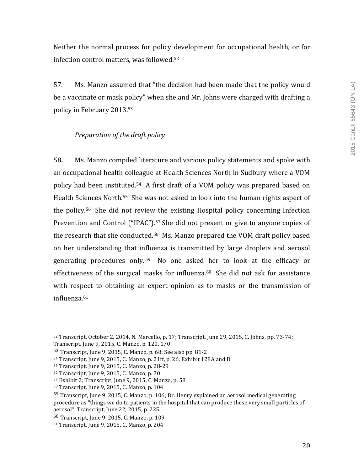Neither the normal process for policy development for occupational health, or for infection control matters, was followed.<sup>52</sup>

57. Ms. Manzo assumed that "the decision had been made that the policy would be a vaccinate or mask policy" when she and Mr. Johns were charged with drafting a policy in February 2013.<sup>53</sup>

# *Preparation of the draft policy*

58. Ms. Manzo compiled literature and various policy statements and spoke with an occupational health colleague at Health Sciences North in Sudbury where a VOM policy had been instituted.<sup>54</sup> A first draft of a VOM policy was prepared based on Health Sciences North.<sup>55</sup> She was not asked to look into the human rights aspect of the policy.<sup>56</sup> She did not review the existing Hospital policy concerning Infection Prevention and Control ("IPAC").<sup>57</sup> She did not present or give to anyone copies of the research that she conducted.<sup>58</sup> Ms. Manzo prepared the VOM draft policy based on her understanding that influenza is transmitted by large droplets and aerosol generating procedures only.<sup>59</sup> No one asked her to look at the efficacy or effectiveness of the surgical masks for influenza. $60$  She did not ask for assistance with respect to obtaining an expert opinion as to masks or the transmission of influenza.61

 52 Transcript, October 2, 2014, N. Marcello, p. 17; Transcript, June 29, 2015, C. Johns, pp. 73-74; Transcript, June 9, 2015, C. Manzo, p. 120, 170

 $53$  Transcript, June 9, 2015, C. Manzo, p. 68; See also pp. 81-2

 $54$  Transcript, June 9, 2015, C. Manzo, p. 21ff, p. 26; Exhibit 128A and B

<sup>55</sup> Transcript, June 9, 2015, C. Manzo, p. 28-29

<sup>56</sup> Transcript, June 9, 2015, C. Manzo, p. 70

 $57$  Exhibit 2; Transcript, June 9, 2015, C. Manzo, p.  $58$ 

 $58$  Transcript, June 9, 2015, C. Manzo, p. 104

<sup>59</sup> Transcript, June 9, 2015, C. Manzo, p. 106; Dr. Henry explained an aerosol medical generating procedure as "things we do to patients in the hospital that can produce these very small particles of aerosol", Transcript, June 22, 2015, p. 225

 $60$  Transcript, June 9, 2015, C. Manzo, p. 109

 $61$  Transcript, June 9, 2015, C. Manzo, p. 204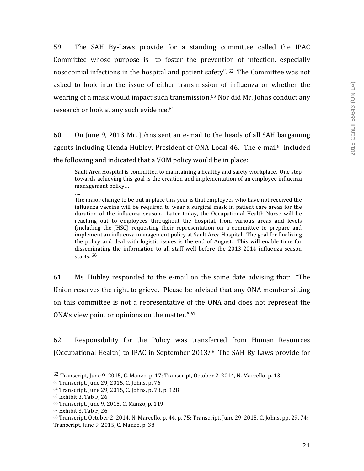59. The SAH By-Laws provide for a standing committee called the IPAC Committee whose purpose is "to foster the prevention of infection, especially nosocomial infections in the hospital and patient safety".  $62$  The Committee was not asked to look into the issue of either transmission of influenza or whether the wearing of a mask would impact such transmission.<sup>63</sup> Nor did Mr. Johns conduct any research or look at any such evidence.<sup>64</sup>

60. On June 9, 2013 Mr. Johns sent an e-mail to the heads of all SAH bargaining agents including Glenda Hubley, President of ONA Local 46. The e-mail<sup>65</sup> included the following and indicated that a VOM policy would be in place:

Sault Area Hospital is committed to maintaining a healthy and safety workplace. One step towards achieving this goal is the creation and implementation of an employee influenza management policy...

…. The major change to be put in place this year is that employees who have not received the influenza vaccine will be required to wear a surgical mask in patient care areas for the duration of the influenza season. Later today, the Occupational Health Nurse will be reaching out to employees throughout the hospital, from various areas and levels (including the [HSC] requesting their representation on a committee to prepare and implement an influenza management policy at Sault Area Hospital. The goal for finalizing the policy and deal with logistic issues is the end of August. This will enable time for disseminating the information to all staff well before the 2013-2014 influenza season starts. <sup>66</sup>

61. Ms. Hubley responded to the e-mail on the same date advising that: "The Union reserves the right to grieve. Please be advised that any ONA member sitting on this committee is not a representative of the ONA and does not represent the ONA's view point or opinions on the matter."  $67$ 

62. Responsibility for the Policy was transferred from Human Resources (Occupational Health) to IPAC in September 2013.<sup>68</sup> The SAH By-Laws provide for

 $62$  Transcript, June 9, 2015, C. Manzo, p. 17; Transcript, October 2, 2014, N. Marcello, p. 13

<sup>63</sup> Transcript, June 29, 2015, C. Johns, p. 76

<sup>64</sup> Transcript, June 29, 2015, C. Johns, p. 78, p. 128

 $65$  Exhibit 3, Tab F, 26

<sup>66</sup> Transcript, June 9, 2015, C. Manzo, p. 119

 $67$  Exhibit 3, Tab F, 26

 $68$  Transcript, October 2, 2014, N. Marcello, p. 44, p. 75; Transcript, June 29, 2015, C. Johns, pp. 29, 74; Transcript, June 9, 2015, C. Manzo, p. 38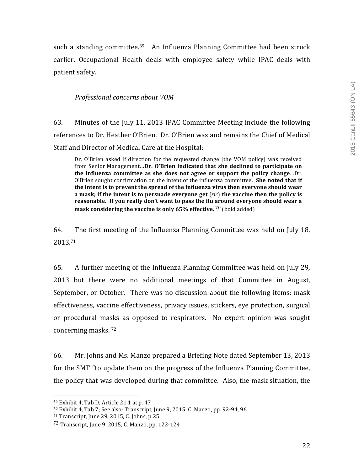such a standing committee.<sup>69</sup> An Influenza Planning Committee had been struck earlier. Occupational Health deals with employee safety while IPAC deals with patient safety.

## *Professional concerns about VOM*

63. Minutes of the July 11, 2013 IPAC Committee Meeting include the following references to Dr. Heather O'Brien. Dr. O'Brien was and remains the Chief of Medical Staff and Director of Medical Care at the Hospital:

Dr. O'Brien asked if direction for the requested change [the VOM policy] was received from Senior Management...Dr. O'Brien indicated that she declined to participate on the influenza committee as she does not agree or support the policy change...Dr. O'Brien sought confirmation on the intent of the influenza committee. She noted that if the intent is to prevent the spread of the influenza virus then everyone should wear **a** mask; if the intent is to persuade everyone get (*sic*) the vaccine then the policy is reasonable. If you really don't want to pass the flu around everyone should wear a **mask considering the vaccine is only 65% effective.** <sup>70</sup> (bold added)

64. The first meeting of the Influenza Planning Committee was held on July 18, 2013.71 

65. A further meeting of the Influenza Planning Committee was held on July 29, 2013 but there were no additional meetings of that Committee in August, September, or October. There was no discussion about the following items: mask effectiveness, vaccine effectiveness, privacy issues, stickers, eve protection, surgical or procedural masks as opposed to respirators. No expert opinion was sought concerning masks.<sup>72</sup>

66. Mr. Johns and Ms. Manzo prepared a Briefing Note dated September 13, 2013 for the SMT "to update them on the progress of the Influenza Planning Committee, the policy that was developed during that committee. Also, the mask situation, the

 $69$  Exhibit 4, Tab D, Article 21.1 at p. 47

 $70$  Exhibit 4, Tab 7; See also: Transcript, June 9, 2015, C. Manzo, pp. 92-94, 96

<sup>71</sup> Transcript, June 29, 2015, C. Johns, p.25

<sup>72</sup> Transcript, June 9, 2015, C. Manzo, pp. 122-124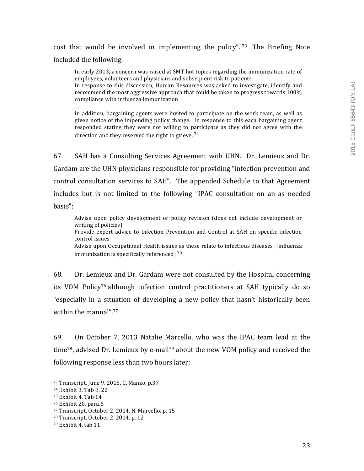# cost that would be involved in implementing the policy".<sup>73</sup> The Briefing Note included the following:

In early 2013, a concern was raised at SMT hot topics regarding the immunization rate of employees, volunteers and physicians and subsequent risk to patients.

In response to this discussion, Human Resources was asked to investigate, identify and recommend the most aggressive approach that could be taken to progress towards  $100\%$ compliance with influenza immunization

….

In addition, bargaining agents were invited to participate on the work team, as well as given notice of the impending policy change. In response to this each bargaining agent responded stating they were not willing to participate as they did not agree with the direction and they reserved the right to grieve.  $^{74}$ 

67. SAH has a Consulting Services Agreement with UHN. Dr. Lemieux and Dr. Gardam are the UHN physicians responsible for providing "infection prevention and control consultation services to SAH". The appended Schedule to that Agreement includes but is not limited to the following "IPAC consultation on an as needed basis":

Advise upon policy development or policy revision (does not include development or writing of policies) Provide expert advice to Infection Prevention and Control at SAH on specific infection control issues Advise upon Occupational Health issues as these relate to infectious diseases [influenza] immunization is specifically referenced]  $^{75}$ 

68. Dr. Lemieux and Dr. Gardam were not consulted by the Hospital concerning its VOM Policy<sup>76</sup> although infection control practitioners at SAH typically do so "especially in a situation of developing a new policy that hasn't historically been within the manual".<sup>77</sup>

69. On October 7, 2013 Natalie Marcello, who was the IPAC team lead at the time<sup>78</sup>, advised Dr. Lemieux by e-mail<sup>79</sup> about the new VOM policy and received the following response less than two hours later:

<sup>73</sup> Transcript, June 9, 2015, C. Manzo, p.37

<sup>74</sup> Exhibit 3, Tab E, 22

<sup>&</sup>lt;sup>75</sup> Exhibit 4, Tab 14

 $76$  Exhibit 20, para.6

<sup>77</sup> Transcript, October 2, 2014, N. Marcello, p. 15

 $78$  Transcript, October 2, 2014, p. 12

 $79$  Exhibit 4, tab  $11$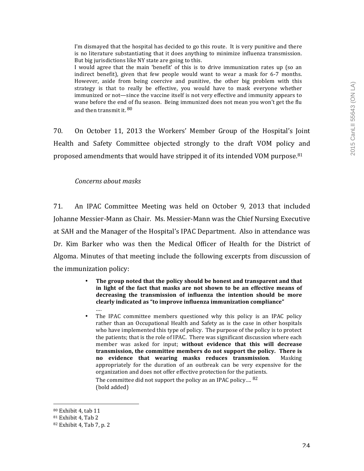I'm dismayed that the hospital has decided to go this route. It is very punitive and there is no literature substantiating that it does anything to minimize influenza transmission. But big jurisdictions like NY state are going to this.

I would agree that the main 'benefit' of this is to drive immunization rates up (so an indirect benefit), given that few people would want to wear a mask for  $6-7$  months. However, aside from being coercive and punitive, the other big problem with this strategy is that to really be effective, you would have to mask everyone whether immunized or not—since the vaccine itself is not very effective and immunity appears to wane before the end of flu season. Being immunized does not mean you won't get the flu and then transmit it.  $80$ 

70. On October 11, 2013 the Workers' Member Group of the Hospital's Joint Health and Safety Committee objected strongly to the draft VOM policy and proposed amendments that would have stripped it of its intended VOM purpose.<sup>81</sup>

## *Concerns about masks*

71. An IPAC Committee Meeting was held on October 9, 2013 that included Johanne Messier-Mann as Chair. Ms. Messier-Mann was the Chief Nursing Executive at SAH and the Manager of the Hospital's IPAC Department. Also in attendance was Dr. Kim Barker who was then the Medical Officer of Health for the District of Algoma. Minutes of that meeting include the following excerpts from discussion of the immunization policy:

- The group noted that the policy should be honest and transparent and that in light of the fact that masks are not shown to be an effective means of decreasing the transmission of influenza the intention should be more clearly indicated as "to improve influenza immunization compliance" ….
- The IPAC committee members questioned why this policy is an IPAC policy rather than an Occupational Health and Safety as is the case in other hospitals who have implemented this type of policy. The purpose of the policy is to protect the patients; that is the role of IPAC. There was significant discussion where each member was asked for input; without evidence that this will decrease transmission, the committee members do not support the policy. There is **no** evidence that wearing masks reduces transmission. Masking appropriately for the duration of an outbreak can be very expensive for the organization and does not offer effective protection for the patients. The committee did not support the policy as an IPAC policy....  $82$ (bold added)

<sup>80</sup> Exhibit 4, tab 11

 $81$  Exhibit 4. Tab 2

 $82$  Exhibit 4, Tab 7, p. 2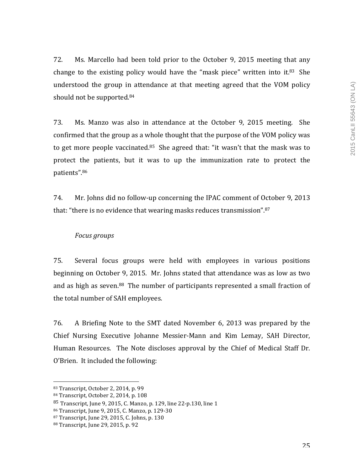72. Ms. Marcello had been told prior to the October 9, 2015 meeting that any change to the existing policy would have the "mask piece" written into it. $83$  She understood the group in attendance at that meeting agreed that the VOM policy should not be supported.<sup>84</sup>

73. Ms. Manzo was also in attendance at the October 9, 2015 meeting. She confirmed that the group as a whole thought that the purpose of the VOM policy was to get more people vaccinated.<sup>85</sup> She agreed that: "it wasn't that the mask was to protect the patients, but it was to up the immunization rate to protect the patients".86

74. Mr. Johns did no follow-up concerning the IPAC comment of October 9, 2013 that: "there is no evidence that wearing masks reduces transmission". $87$ 

### *Focus groups*

75. Several focus groups were held with employees in various positions beginning on October 9, 2015. Mr. Johns stated that attendance was as low as two and as high as seven.<sup>88</sup> The number of participants represented a small fraction of the total number of SAH employees.

76. A Briefing Note to the SMT dated November 6, 2013 was prepared by the Chief Nursing Executive Johanne Messier-Mann and Kim Lemay, SAH Director, Human Resources. The Note discloses approval by the Chief of Medical Staff Dr. O'Brien. It included the following:

 83 Transcript, October 2, 2014, p. 99

<sup>84</sup> Transcript, October 2, 2014, p. 108

 $85$  Transcript, June 9, 2015, C. Manzo, p. 129, line 22-p.130, line 1

<sup>86</sup> Transcript, June 9, 2015, C. Manzo, p. 129-30

<sup>87</sup> Transcript, June 29, 2015, C. Johns, p. 130

<sup>88</sup> Transcript, June 29, 2015, p. 92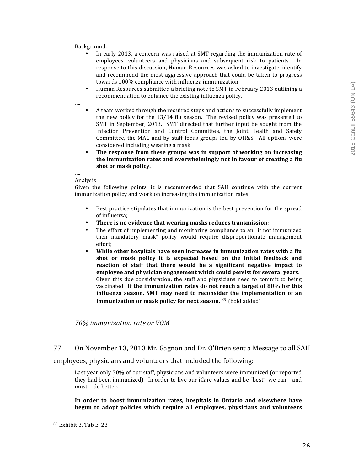Background:

- In early 2013, a concern was raised at SMT regarding the immunization rate of employees, volunteers and physicians and subsequent risk to patients. In response to this discussion, Human Resources was asked to investigate, identify and recommend the most aggressive approach that could be taken to progress towards 100% compliance with influenza immunization.
- Human Resources submitted a briefing note to SMT in February 2013 outlining a recommendation to enhance the existing influenza policy.

….

- A team worked through the required steps and actions to successfully implement the new policy for the  $13/14$  flu season. The revised policy was presented to SMT in September, 2013. SMT directed that further input be sought from the Infection Prevention and Control Committee, the Joint Health and Safety Committee, the MAC and by staff focus groups led by OH&S. All options were considered including wearing a mask.
- The response from these groups was in support of working on increasing the immunization rates and overwhelmingly not in favour of creating a flu shot or mask policy.

…. Analysis

Given the following points, it is recommended that SAH continue with the current immunization policy and work on increasing the immunization rates:

- Best practice stipulates that immunization is the best prevention for the spread of influenza:
- There is no evidence that wearing masks reduces transmission;
- The effort of implementing and monitoring compliance to an "if not immunized then mandatory mask" policy would require disproportionate management effort;
- While other hospitals have seen increases in immunization rates with a flu shot or mask policy it is expected based on the initial feedback and reaction of staff that there would be a significant negative impact to employee and physician engagement which could persist for several years. Given this due consideration, the staff and physicians need to commit to being vaccinated. If the immunization rates do not reach a target of 80% for this influenza season, SMT may need to reconsider the implementation of an **immunization or mask policy for next season.** <sup>89</sup> (bold added)

*70% immunization rate or VOM*

77. On November 13, 2013 Mr. Gagnon and Dr. O'Brien sent a Message to all SAH

employees, physicians and volunteers that included the following:

Last year only 50% of our staff, physicians and volunteers were immunized (or reported they had been immunized). In order to live our iCare values and be "best", we can—and must—do better.

In order to boost immunization rates, hospitals in Ontario and elsewhere have **begun to adopt policies which require all employees, physicians and volunteers** 

<sup>89</sup> Exhibit 3, Tab E, 23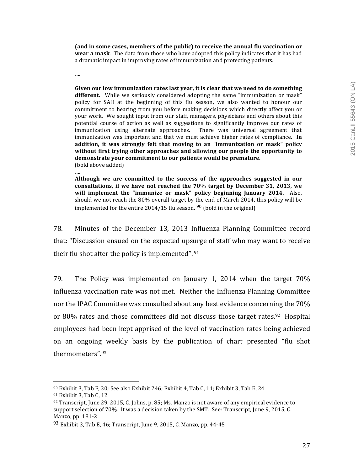(and in some cases, members of the public) to receive the annual flu vaccination or **wear a mask**. The data from those who have adopted this policy indicates that it has had a dramatic impact in improving rates of immunization and protecting patients.

….

Given our low immunization rates last year, it is clear that we need to do something different. While we seriously considered adopting the same "immunization or mask" policy for SAH at the beginning of this flu season, we also wanted to honour our commitment to hearing from you before making decisions which directly affect you or your work. We sought input from our staff, managers, physicians and others about this potential course of action as well as suggestions to significantly improve our rates of immunization using alternate approaches. There was universal agreement that immunization was important and that we must achieve higher rates of compliance. In addition, it was strongly felt that moving to an "immunization or mask" policy without first trying other approaches and allowing our people the opportunity to demonstrate your commitment to our patients would be premature. (bold above added)

….

Although we are committed to the success of the approaches suggested in our consultations, if we have not reached the 70% target by December 31, 2013, we will implement the "immunize or mask" policy beginning January 2014. Also, should we not reach the 80% overall target by the end of March 2014, this policy will be implemented for the entire  $2014/15$  flu season. <sup>90</sup> (bold in the original)

78. Minutes of the December 13, 2013 Influenza Planning Committee record that: "Discussion ensued on the expected upsurge of staff who may want to receive their flu shot after the policy is implemented".  $91$ 

79. The Policy was implemented on January 1, 2014 when the target  $70\%$ influenza vaccination rate was not met. Neither the Influenza Planning Committee nor the IPAC Committee was consulted about any best evidence concerning the 70% or 80% rates and those committees did not discuss those target rates.<sup>92</sup> Hospital employees had been kept apprised of the level of vaccination rates being achieved on an ongoing weekly basis by the publication of chart presented "flu shot thermometers".93

 $90$  Exhibit 3, Tab F, 30; See also Exhibit 246; Exhibit 4, Tab C, 11; Exhibit 3, Tab E, 24

<sup>91</sup> Exhibit 3, Tab C, 12

 $92$  Transcript, June 29, 2015, C. Johns, p. 85; Ms. Manzo is not aware of any empirical evidence to support selection of 70%. It was a decision taken by the SMT. See: Transcript, June 9, 2015, C. Manzo, pp. 181-2

 $93$  Exhibit 3, Tab E, 46; Transcript, June 9, 2015, C. Manzo, pp. 44-45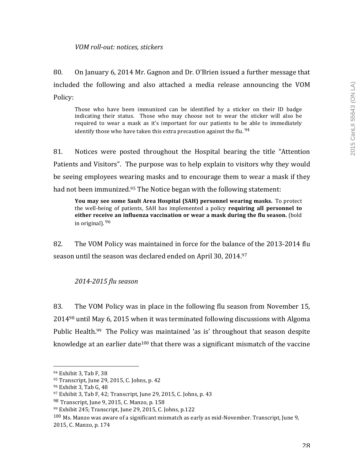# *VOM roll-out: notices, stickers*

80. On January 6, 2014 Mr. Gagnon and Dr. O'Brien issued a further message that included the following and also attached a media release announcing the VOM Policy: 

Those who have been immunized can be identified by a sticker on their ID badge indicating their status. Those who may choose not to wear the sticker will also be required to wear a mask as it's important for our patients to be able to immediately identify those who have taken this extra precaution against the flu.  $94$ 

81. Notices were posted throughout the Hospital bearing the title "Attention" Patients and Visitors". The purpose was to help explain to visitors why they would be seeing employees wearing masks and to encourage them to wear a mask if they had not been immunized.<sup>95</sup> The Notice began with the following statement:

**You may see some Sault Area Hospital (SAH) personnel wearing masks.** To protect the well-being of patients, SAH has implemented a policy **requiring all personnel to either receive an influenza vaccination or wear a mask during the flu season.** (bold in original).  $96$ 

82. The VOM Policy was maintained in force for the balance of the 2013-2014 flu season until the season was declared ended on April 30, 2014.<sup>97</sup>

# *2014-2015 flu season*

83. The VOM Policy was in place in the following flu season from November 15,  $2014<sup>98</sup>$  until May 6, 2015 when it was terminated following discussions with Algoma Public Health.<sup>99</sup> The Policy was maintained 'as is' throughout that season despite knowledge at an earlier date<sup>100</sup> that there was a significant mismatch of the vaccine

 

 $100$  Ms. Manzo was aware of a significant mismatch as early as mid-November. Transcript, June 9,

<sup>94</sup> Exhibit 3, Tab F, 38

<sup>95</sup> Transcript, June 29, 2015, C. Johns, p. 42

<sup>&</sup>lt;sup>96</sup> Exhibit 3, Tab G, 48

 $97$  Exhibit 3, Tab F, 42; Transcript, June 29, 2015, C. Johns, p. 43

 $98$  Transcript, June 9, 2015, C. Manzo, p. 158

<sup>99</sup> Exhibit 245; Transcript, June 29, 2015, C. Johns, p.122

<sup>2015,</sup> C. Manzo, p. 174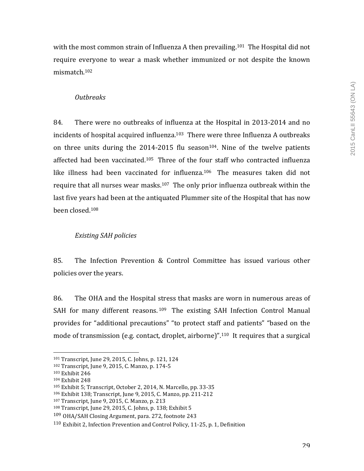with the most common strain of Influenza A then prevailing.<sup>101</sup> The Hospital did not require everyone to wear a mask whether immunized or not despite the known mismatch.102

# *Outbreaks*

84. There were no outbreaks of influenza at the Hospital in 2013-2014 and no incidents of hospital acquired influenza.<sup>103</sup> There were three Influenza A outbreaks on three units during the  $2014$ -2015 flu season<sup>104</sup>. Nine of the twelve patients affected had been vaccinated.<sup>105</sup> Three of the four staff who contracted influenza like illness had been vaccinated for influenza.<sup>106</sup> The measures taken did not require that all nurses wear masks.<sup>107</sup> The only prior influenza outbreak within the last five years had been at the antiquated Plummer site of the Hospital that has now been closed.108

# *Existing SAH policies*

85. The Infection Prevention & Control Committee has issued various other policies over the years.

86. The OHA and the Hospital stress that masks are worn in numerous areas of SAH for many different reasons.  $109$  The existing SAH Infection Control Manual provides for "additional precautions" "to protect staff and patients" "based on the mode of transmission (e.g. contact, droplet, airborne)".<sup>110</sup> It requires that a surgical

<sup>101</sup> Transcript, June 29, 2015, C. Johns, p. 121, 124

<sup>102</sup> Transcript, June 9, 2015, C. Manzo, p. 174-5

<sup>&</sup>lt;sup>103</sup> Exhibit 246

<sup>&</sup>lt;sup>104</sup> Exhibit 248

 $105$  Exhibit 5; Transcript, October 2, 2014, N. Marcello, pp. 33-35

<sup>106</sup> Exhibit 138; Transcript, June 9, 2015, C. Manzo, pp. 211-212

<sup>107</sup> Transcript, June 9, 2015, C. Manzo, p. 213

 $108$  Transcript, June 29, 2015, C. Johns, p. 138; Exhibit 5

<sup>109</sup> OHA/SAH Closing Argument, para. 272, footnote 243

<sup>&</sup>lt;sup>110</sup> Exhibit 2, Infection Prevention and Control Policy, 11-25, p. 1, Definition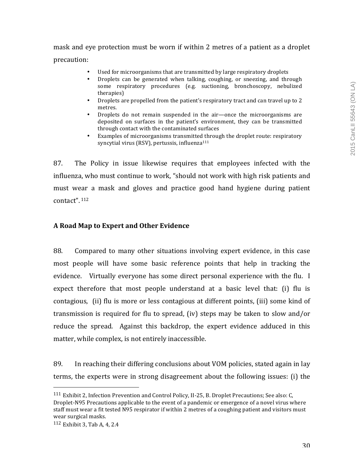# mask and eye protection must be worn if within 2 metres of a patient as a droplet precaution:

- Used for microorganisms that are transmitted by large respiratory droplets
- Droplets can be generated when talking, coughing, or sneezing, and through some respiratory procedures (e.g. suctioning, bronchoscopy, nebulized therapies)
- Droplets are propelled from the patient's respiratory tract and can travel up to 2 metres.
- Droplets do not remain suspended in the air—once the microorganisms are deposited on surfaces in the patient's environment, they can be transmitted through contact with the contaminated surfaces
- Examples of microorganisms transmitted through the droplet route: respiratory syncytial virus (RSV), pertussis, influenza $111$

87. The Policy in issue likewise requires that employees infected with the influenza, who must continue to work, "should not work with high risk patients and must wear a mask and gloves and practice good hand hygiene during patient contact". <sup>112</sup>

# **A Road Map to Expert and Other Evidence**

88. Compared to many other situations involving expert evidence, in this case most people will have some basic reference points that help in tracking the evidence. Virtually everyone has some direct personal experience with the flu. I expect therefore that most people understand at a basic level that: (i) flu is contagious, (ii) flu is more or less contagious at different points, (iii) some kind of transmission is required for flu to spread, (iv) steps may be taken to slow and/or reduce the spread. Against this backdrop, the expert evidence adduced in this matter, while complex, is not entirely inaccessible.

89. In reaching their differing conclusions about VOM policies, stated again in lay terms, the experts were in strong disagreement about the following issues: (i) the

 $111$  Exhibit 2, Infection Prevention and Control Policy, II-25, B. Droplet Precautions; See also: C, Droplet-N95 Precautions applicable to the event of a pandemic or emergence of a novel virus where staff must wear a fit tested N95 respirator if within 2 metres of a coughing patient and visitors must wear surgical masks.

 $112$  Exhibit 3, Tab A, 4, 2.4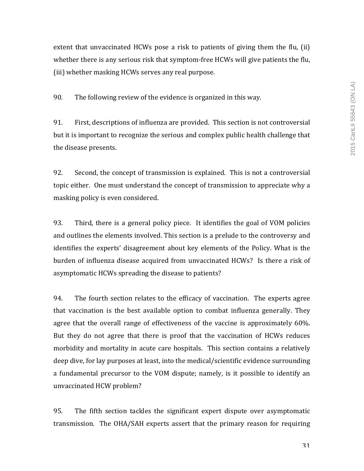extent that unvaccinated HCWs pose a risk to patients of giving them the flu,  $(ii)$ whether there is any serious risk that symptom-free HCWs will give patients the flu, (iii) whether masking HCWs serves any real purpose.

90. The following review of the evidence is organized in this way.

91. First, descriptions of influenza are provided. This section is not controversial but it is important to recognize the serious and complex public health challenge that the disease presents.

92. Second, the concept of transmission is explained. This is not a controversial topic either. One must understand the concept of transmission to appreciate why a masking policy is even considered.

93. Third, there is a general policy piece. It identifies the goal of VOM policies and outlines the elements involved. This section is a prelude to the controversy and identifies the experts' disagreement about key elements of the Policy. What is the burden of influenza disease acquired from unvaccinated HCWs? Is there a risk of asymptomatic HCWs spreading the disease to patients?

94. The fourth section relates to the efficacy of vaccination. The experts agree that vaccination is the best available option to combat influenza generally. They agree that the overall range of effectiveness of the vaccine is approximately  $60\%$ . But they do not agree that there is proof that the vaccination of HCWs reduces morbidity and mortality in acute care hospitals. This section contains a relatively deep dive, for lay purposes at least, into the medical/scientific evidence surrounding a fundamental precursor to the VOM dispute; namely, is it possible to identify an unvaccinated HCW problem?

95. The fifth section tackles the significant expert dispute over asymptomatic transmission. The OHA/SAH experts assert that the primary reason for requiring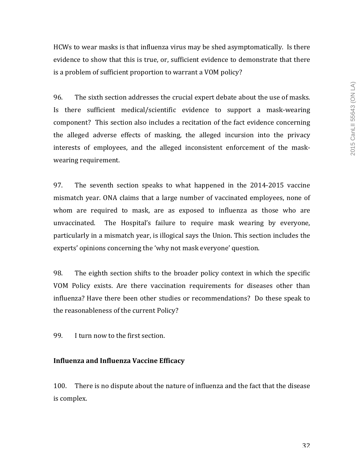HCWs to wear masks is that influenza virus may be shed asymptomatically. Is there evidence to show that this is true, or, sufficient evidence to demonstrate that there is a problem of sufficient proportion to warrant a VOM policy?

96. The sixth section addresses the crucial expert debate about the use of masks. Is there sufficient medical/scientific evidence to support a mask-wearing component? This section also includes a recitation of the fact evidence concerning the alleged adverse effects of masking, the alleged incursion into the privacy interests of employees, and the alleged inconsistent enforcement of the maskwearing requirement.

97. The seventh section speaks to what happened in the 2014-2015 vaccine mismatch year. ONA claims that a large number of vaccinated employees, none of whom are required to mask, are as exposed to influenza as those who are unvaccinated. The Hospital's failure to require mask wearing by everyone, particularly in a mismatch year, is illogical says the Union. This section includes the experts' opinions concerning the 'why not mask everyone' question.

98. The eighth section shifts to the broader policy context in which the specific VOM Policy exists. Are there vaccination requirements for diseases other than influenza? Have there been other studies or recommendations? Do these speak to the reasonableness of the current Policy?

99. I turn now to the first section.

### **Influenza and Influenza Vaccine Efficacy**

100. There is no dispute about the nature of influenza and the fact that the disease is complex.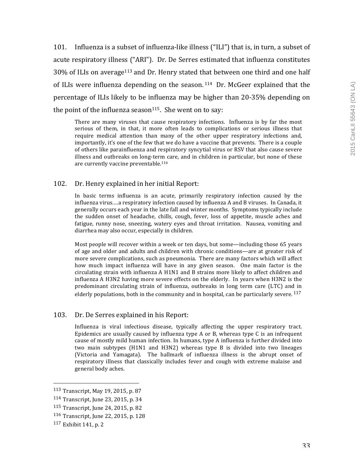101. Influenza is a subset of influenza-like illness ("ILI") that is, in turn, a subset of acute respiratory illness ("ARI"). Dr. De Serres estimated that influenza constitutes  $30\%$  of ILIs on average<sup>113</sup> and Dr. Henry stated that between one third and one half of ILIs were influenza depending on the season.  $114$  Dr. McGeer explained that the percentage of ILIs likely to be influenza may be higher than 20-35% depending on the point of the influenza season<sup>115</sup>. She went on to say:

There are many viruses that cause respiratory infections. Influenza is by far the most serious of them, in that, it more often leads to complications or serious illness that require medical attention than many of the other upper respiratory infections and, importantly, it's one of the few that we do have a vaccine that prevents. There is a couple of others like parainfluenza and respiratory syncytial virus or RSV that also cause severe illness and outbreaks on long-term care, and in children in particular, but none of these are currently vaccine preventable.<sup>116</sup>

### 102. Dr. Henry explained in her initial Report:

In basic terms influenza is an acute, primarily respiratory infection caused by the influenza virus....a respiratory infection caused by influenza A and B viruses. In Canada, it generally occurs each year in the late fall and winter months. Symptoms typically include the sudden onset of headache, chills, cough, fever, loss of appetite, muscle aches and fatigue, runny nose, sneezing, watery eyes and throat irritation. Nausea, vomiting and diarrhea may also occur, especially in children.

Most people will recover within a week or ten days, but some—including those  $65$  years of age and older and adults and children with chronic conditions—are at greater risk of more severe complications, such as pneumonia. There are many factors which will affect how much impact influenza will have in any given season. One main factor is the circulating strain with influenza  $A$  H1N1 and  $B$  strains more likely to affect children and influenza A H3N2 having more severe effects on the elderly. In years when H3N2 is the predominant circulating strain of influenza, outbreaks in long term care (LTC) and in elderly populations, both in the community and in hospital, can be particularly severe.  $^{117}$ 

### 103. Dr. De Serres explained in his Report:

Influenza is viral infectious disease, typically affecting the upper respiratory tract. Epidemics are usually caused by influenza type A or B, whereas type C is an infrequent cause of mostly mild human infection. In humans, type A influenza is further divided into two main subtypes (H1N1 and H3N2) whereas type B is divided into two lineages (Victoria and Yamagata). The hallmark of influenza illness is the abrupt onset of respiratory illness that classically includes fever and cough with extreme malaise and general body aches.

 113 Transcript, May 19, 2015, p. 87

<sup>114</sup> Transcript, June 23, 2015, p. 34

<sup>115</sup> Transcript, June 24, 2015, p. 82

<sup>116</sup> Transcript, June 22, 2015, p. 128

 $117$  Exhibit 141, p. 2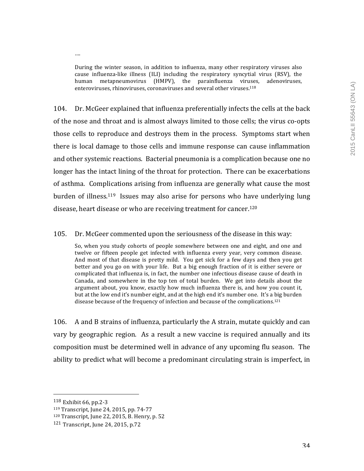During the winter season, in addition to influenza, many other respiratory viruses also cause influenza-like illness (ILI) including the respiratory syncytial virus (RSV), the human metapneumovirus (HMPV), the parainfluenza viruses, adenoviruses, enteroviruses, rhinoviruses, coronaviruses and several other viruses.<sup>118</sup>

104. Dr. McGeer explained that influenza preferentially infects the cells at the back of the nose and throat and is almost always limited to those cells; the virus co-opts those cells to reproduce and destroys them in the process. Symptoms start when there is local damage to those cells and immune response can cause inflammation and other systemic reactions. Bacterial pneumonia is a complication because one no longer has the intact lining of the throat for protection. There can be exacerbations of asthma. Complications arising from influenza are generally what cause the most burden of illness.<sup>119</sup> Issues may also arise for persons who have underlying lung disease, heart disease or who are receiving treatment for cancer.<sup>120</sup>

105. Dr. McGeer commented upon the seriousness of the disease in this way:

So, when you study cohorts of people somewhere between one and eight, and one and twelve or fifteen people get infected with influenza every year, very common disease. And most of that disease is pretty mild. You get sick for a few days and then you get better and you go on with your life. But a big enough fraction of it is either severe or complicated that influenza is, in fact, the number one infectious disease cause of death in Canada, and somewhere in the top ten of total burden. We get into details about the argument about, you know, exactly how much influenza there is, and how you count it, but at the low end it's number eight, and at the high end it's number one. It's a big burden disease because of the frequency of infection and because of the complications.<sup>121</sup>

106. A and B strains of influenza, particularly the A strain, mutate quickly and can vary by geographic region. As a result a new vaccine is required annually and its composition must be determined well in advance of any upcoming flu season. The ability to predict what will become a predominant circulating strain is imperfect, in

….

 $118$  Exhibit 66, pp. 2-3

<sup>119</sup> Transcript, June 24, 2015, pp. 74-77

<sup>120</sup> Transcript, June 22, 2015, B. Henry, p. 52

 $121$  Transcript, June 24, 2015, p.72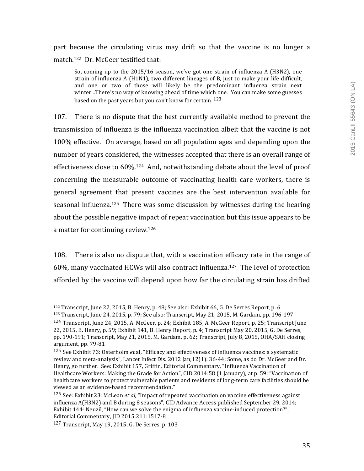part because the circulating virus may drift so that the vaccine is no longer a match.<sup>122</sup> Dr. McGeer testified that:

So, coming up to the  $2015/16$  season, we've got one strain of influenza A (H3N2), one strain of influenza A ( $H1N1$ ), two different lineages of B, just to make your life difficult, and one or two of those will likely be the predominant influenza strain next winter...There's no way of knowing ahead of time which one. You can make some guesses based on the past vears but you can't know for certain.  $123$ 

107. There is no dispute that the best currently available method to prevent the transmission of influenza is the influenza vaccination albeit that the vaccine is not 100% effective. On average, based on all population ages and depending upon the number of years considered, the witnesses accepted that there is an overall range of effectiveness close to  $60\%$ .<sup>124</sup> And, notwithstanding debate about the level of proof concerning the measurable outcome of vaccinating health care workers, there is general agreement that present vaccines are the best intervention available for seasonal influenza.<sup>125</sup> There was some discussion by witnesses during the hearing about the possible negative impact of repeat vaccination but this issue appears to be a matter for continuing review.<sup>126</sup>

108. There is also no dispute that, with a vaccination efficacy rate in the range of 60%, many vaccinated HCWs will also contract influenza.<sup>127</sup> The level of protection afforded by the vaccine will depend upon how far the circulating strain has drifted

 $122$  Transcript, June 22, 2015, B. Henry, p. 48; See also: Exhibit 66, G. De Serres Report, p. 6

 $123$  Transcript, June 24, 2015, p. 79; See also: Transcript, May 21, 2015, M. Gardam, pp. 196-197

 $124$  Transcript, June 24, 2015, A. McGeer, p. 24; Exhibit 185, A. McGeer Report, p. 25; Transcript June

<sup>22, 2015,</sup> B. Henry, p. 59; Exhibit  $141$ , B. Henry Report, p. 4; Transcript May 20, 2015, G. De Serres, pp. 190-191; Transcript, May 21, 2015, M. Gardam, p. 62; Transcript, July 8, 2015, OHA/SAH closing argument, pp. 79-81

<sup>125</sup> See Exhibit 73: Osterholm *et* al, "Efficacy and effectiveness of influenza vaccines: a systematic review and meta-analysis", Lancet Infect Dis. 2012 [an;12(1): 36-44; Some, as do Dr. McGeer and Dr. Henry, go further. See: Exhibit 157, Griffin, Editorial Commentary, "Influenza Vaccination of Healthcare Workers: Making the Grade for Action", CID 2014:58 (1 January), at p. 59: "Vaccination of healthcare workers to protect vulnerable patients and residents of long-term care facilities should be viewed as an evidence-based recommendation."

<sup>126</sup> See: Exhibit 23: McLean *et al,* "Impact of repeated vaccination on vaccine effectiveness against influenza A(H3N2) and B during 8 seasons", CID Advance Access published September 29, 2014; Exhibit 144: Neuzil, "How can we solve the enigma of influenza vaccine-induced protection?", Editorial Commentary, JID 2015:211:1517-8

 $127$  Transcript, May 19, 2015, G. De Serres, p. 103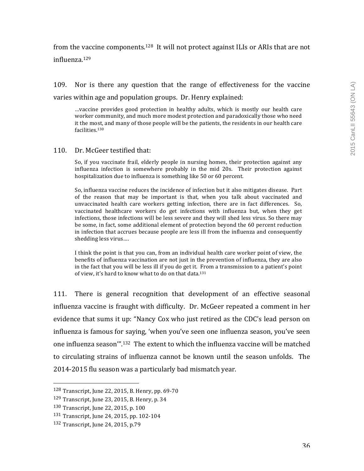# from the vaccine components.<sup>128</sup> It will not protect against ILIs or ARIs that are not influenza. 129

109. Nor is there any question that the range of effectiveness for the vaccine varies within age and population groups. Dr. Henry explained:

...vaccine provides good protection in healthy adults, which is mostly our health care worker community, and much more modest protection and paradoxically those who need it the most, and many of those people will be the patients, the residents in our health care facilities.130

#### 110. Dr. McGeer testified that:

So, if you vaccinate frail, elderly people in nursing homes, their protection against any  $influenza$  infection is somewhere probably in the mid 20s. Their protection against hospitalization due to influenza is something like 50 or 60 percent.

So, influenza vaccine reduces the incidence of infection but it also mitigates disease. Part of the reason that may be important is that, when you talk about vaccinated and unvaccinated health care workers getting infection, there are in fact differences. So, vaccinated healthcare workers do get infections with influenza but, when they get infections, those infections will be less severe and they will shed less virus. So there may be some, in fact, some additional element of protection beyond the 60 percent reduction in infection that accrues because people are less ill from the influenza and consequently shedding less virus....

I think the point is that you can, from an individual health care worker point of view, the benefits of influenza vaccination are not just in the prevention of influenza, they are also in the fact that you will be less ill if you do get it. From a transmission to a patient's point of view, it's hard to know what to do on that data.<sup>131</sup>

111. There is general recognition that development of an effective seasonal influenza vaccine is fraught with difficulty. Dr. McGeer repeated a comment in her evidence that sums it up: "Nancy Cox who just retired as the CDC's lead person on influenza is famous for saying, 'when you've seen one influenza season, you've seen one influenza season"<sup>".132</sup> The extent to which the influenza vaccine will be matched to circulating strains of influenza cannot be known until the season unfolds. The 2014-2015 flu season was a particularly bad mismatch year.

 $128$  Transcript, June 22, 2015, B. Henry, pp. 69-70

 $129$  Transcript, June 23, 2015, B. Henry, p. 34

 $130$  Transcript, June 22, 2015, p. 100

<sup>131</sup> Transcript, June 24, 2015, pp. 102-104

<sup>132</sup> Transcript, June 24, 2015, p.79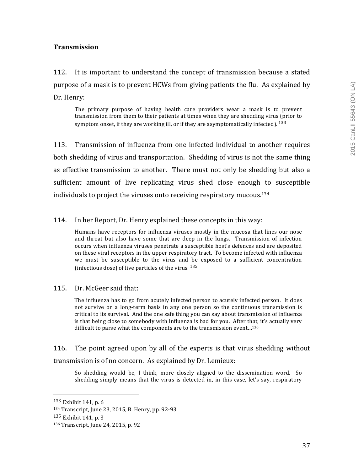## **Transmission**

112. It is important to understand the concept of transmission because a stated purpose of a mask is to prevent HCWs from giving patients the flu. As explained by Dr. Henry:

The primary purpose of having health care providers wear a mask is to prevent transmission from them to their patients at times when they are shedding virus (prior to symptom onset, if they are working ill, or if they are asymptomatically infected).  $^{133}$ 

113. Transmission of influenza from one infected individual to another requires both shedding of virus and transportation. Shedding of virus is not the same thing as effective transmission to another. There must not only be shedding but also a sufficient amount of live replicating virus shed close enough to susceptible individuals to project the viruses onto receiving respiratory mucous.<sup>134</sup>

## 114. In her Report, Dr. Henry explained these concepts in this way:

Humans have receptors for influenza viruses mostly in the mucosa that lines our nose and throat but also have some that are deep in the lungs. Transmission of infection occurs when influenza viruses penetrate a susceptible host's defences and are deposited on these viral receptors in the upper respiratory tract. To become infected with influenza we must be susceptible to the virus and be exposed to a sufficient concentration (infectious dose) of live particles of the virus.  $135$ 

115. Dr. McGeer said that:

The influenza has to go from acutely infected person to acutely infected person. It does not survive on a long-term basis in any one person so the continuous transmission is critical to its survival. And the one safe thing you can say about transmission of influenza is that being close to somebody with influenza is bad for you. After that, it's actually very difficult to parse what the components are to the transmission event...<sup>136</sup>

116. The point agreed upon by all of the experts is that virus shedding without transmission is of no concern. As explained by Dr. Lemieux:

So shedding would be, I think, more closely aligned to the dissemination word. So shedding simply means that the virus is detected in, in this case, let's say, respiratory

 $133$  Exhibit 141, p. 6

<sup>134</sup> Transcript, June 23, 2015, B. Henry, pp. 92-93

 $135$  Exhibit 141, p. 3

<sup>136</sup> Transcript, June 24, 2015, p. 92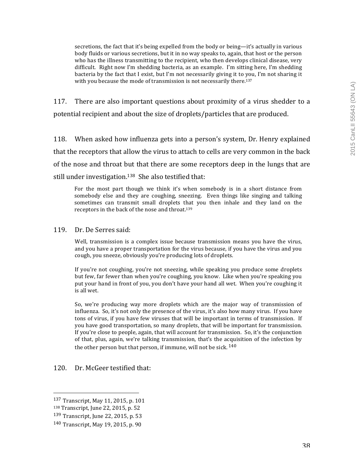secretions, the fact that it's being expelled from the body or being—it's actually in various body fluids or various secretions, but it in no way speaks to, again, that host or the person who has the illness transmitting to the recipient, who then develops clinical disease, very difficult. Right now I'm shedding bacteria, as an example. I'm sitting here, I'm shedding bacteria by the fact that I exist, but I'm not necessarily giving it to you, I'm not sharing it with you because the mode of transmission is not necessarily there.<sup>137</sup>

117. There are also important questions about proximity of a virus shedder to a potential recipient and about the size of droplets/particles that are produced.

118. When asked how influenza gets into a person's system, Dr. Henry explained that the receptors that allow the virus to attach to cells are very common in the back of the nose and throat but that there are some receptors deep in the lungs that are still under investigation.<sup>138</sup> She also testified that:

For the most part though we think it's when somebody is in a short distance from somebody else and they are coughing, sneezing. Even things like singing and talking sometimes can transmit small droplets that you then inhale and they land on the receptors in the back of the nose and throat.<sup>139</sup>

#### 119. Dr. De Serres said:

Well, transmission is a complex issue because transmission means you have the virus, and you have a proper transportation for the virus because, if you have the virus and you cough, you sneeze, obviously you're producing lots of droplets.

If you're not coughing, you're not sneezing, while speaking you produce some droplets but few, far fewer than when you're coughing, you know. Like when you're speaking you put your hand in front of you, you don't have your hand all wet. When you're coughing it is all wet.

So, we're producing way more droplets which are the major way of transmission of influenza. So, it's not only the presence of the virus, it's also how many virus. If you have tons of virus, if you have few viruses that will be important in terms of transmission. If you have good transportation, so many droplets, that will be important for transmission. If you're close to people, again, that will account for transmission. So, it's the conjunction of that, plus, again, we're talking transmission, that's the acquisition of the infection by the other person but that person, if immune, will not be sick.  $140$ 

## 120. Dr. McGeer testified that:

 137 Transcript, May 11, 2015, p. 101

<sup>138</sup> Transcript, June 22, 2015, p. 52

 $139$  Transcript, June 22, 2015, p. 53

<sup>140</sup> Transcript, May 19, 2015, p. 90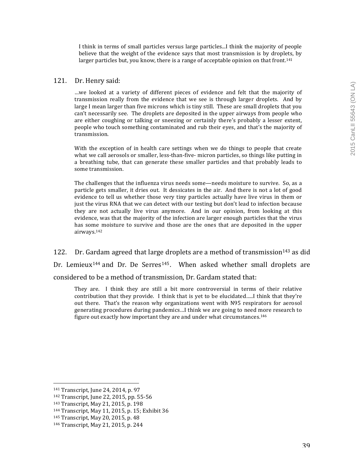I think in terms of small particles versus large particles...I think the majority of people believe that the weight of the evidence says that most transmission is by droplets, by larger particles but, you know, there is a range of acceptable opinion on that front.<sup>141</sup>

#### 121. Dr. Henry said:

…we looked at a variety of different pieces of evidence and felt that the majority of transmission really from the evidence that we see is through larger droplets. And by large I mean larger than five microns which is tiny still. These are small droplets that you can't necessarily see. The droplets are deposited in the upper airways from people who are either coughing or talking or sneezing or certainly there's probably a lesser extent, people who touch something contaminated and rub their eyes, and that's the majority of transmission. 

With the exception of in health care settings when we do things to people that create what we call aerosols or smaller, less-than-five- micron particles, so things like putting in a breathing tube, that can generate these smaller particles and that probably leads to some transmission.

The challenges that the influenza virus needs some—needs moisture to survive. So, as a particle gets smaller, it dries out. It dessicates in the air. And there is not a lot of good evidence to tell us whether those very tiny particles actually have live virus in them or just the virus RNA that we can detect with our testing but don't lead to infection because they are not actually live virus anymore. And in our opinion, from looking at this evidence, was that the majority of the infection are larger enough particles that the virus has some moisture to survive and those are the ones that are deposited in the upper airways.142

122. Dr. Gardam agreed that large droplets are a method of transmission<sup>143</sup> as did Dr. Lemieux<sup>144</sup> and Dr. De Serres<sup>145</sup>. When asked whether small droplets are considered to be a method of transmission, Dr. Gardam stated that:

They are. I think they are still a bit more controversial in terms of their relative contribution that they provide. I think that is yet to be elucidated.....I think that they're out there. That's the reason why organizations went with N95 respirators for aerosol generating procedures during pandemics...I think we are going to need more research to figure out exactly how important they are and under what circumstances.<sup>146</sup>

 141 Transcript, June 24, 2014, p. 97

<sup>142</sup> Transcript, June 22, 2015, pp. 55-56

<sup>143</sup> Transcript, May 21, 2015, p. 198

<sup>144</sup> Transcript, May 11, 2015, p. 15; Exhibit 36

<sup>145</sup> Transcript, May 20, 2015, p. 48

<sup>146</sup> Transcript, May 21, 2015, p. 244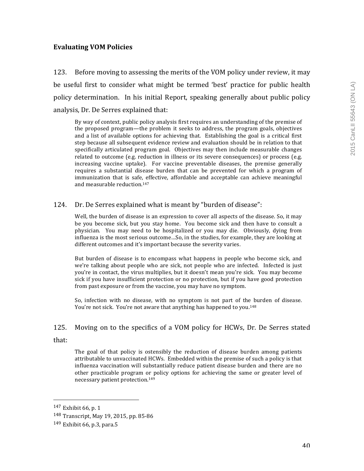## **Evaluating VOM Policies**

123. Before moving to assessing the merits of the VOM policy under review, it may be useful first to consider what might be termed 'best' practice for public health policy determination. In his initial Report, speaking generally about public policy analysis, Dr. De Serres explained that:

By way of context, public policy analysis first requires an understanding of the premise of the proposed program—the problem it seeks to address, the program goals, objectives and a list of available options for achieving that. Establishing the goal is a critical first step because all subsequent evidence review and evaluation should be in relation to that specifically articulated program goal. Objectives may then include measurable changes related to outcome (e.g. reduction in illness or its severe consequences) or process (e.g. increasing vaccine uptake). For vaccine preventable diseases, the premise generally requires a substantial disease burden that can be prevented for which a program of immunization that is safe, effective, affordable and acceptable can achieve meaningful and measurable reduction.<sup>147</sup>

## 124. Dr. De Serres explained what is meant by "burden of disease":

Well, the burden of disease is an expression to cover all aspects of the disease. So, it may be you become sick, but you stay home. You become sick and then have to consult a physician. You may need to be hospitalized or you may die. Obviously, dying from influenza is the most serious outcome...So, in the studies, for example, they are looking at different outcomes and it's important because the severity varies.

But burden of disease is to encompass what happens in people who become sick, and we're talking about people who are sick, not people who are infected. Infected is just you're in contact, the virus multiplies, but it doesn't mean you're sick. You may become sick if you have insufficient protection or no protection, but if you have good protection from past exposure or from the vaccine, you may have no symptom.

So, infection with no disease, with no symptom is not part of the burden of disease. You're not sick. You're not aware that anything has happened to you.<sup>148</sup>

#### 125. Moving on to the specifics of a VOM policy for HCWs, Dr. De Serres stated

#### that:

The goal of that policy is ostensibly the reduction of disease burden among patients attributable to unvaccinated HCWs. Embedded within the premise of such a policy is that influenza vaccination will substantially reduce patient disease burden and there are no other practicable program or policy options for achieving the same or greater level of necessary patient protection.<sup>149</sup>

 $147$  Exhibit 66, p. 1

<sup>148</sup> Transcript, May 19, 2015, pp. 85-86

 $149$  Exhibit 66, p.3, para.5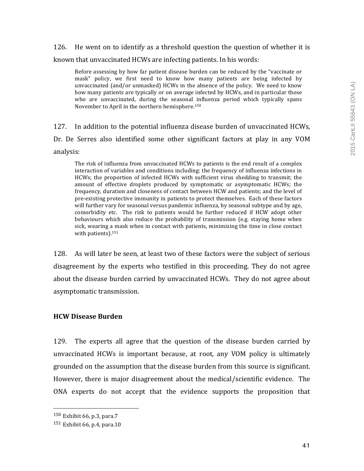# 126. He went on to identify as a threshold question the question of whether it is known that unvaccinated HCWs are infecting patients. In his words:

Before assessing by how far patient disease burden can be reduced by the "vaccinate or mask" policy, we first need to know how many patients are being infected by unvaccinated (and/or unmasked) HCWs in the absence of the policy. We need to know how many patients are typically or on average infected by HCWs, and in particular those who are unvaccinated, during the seasonal influenza period which typically spans November to April in the northern hemisphere.<sup>150</sup>

127. In addition to the potential influenza disease burden of unvaccinated HCWs, Dr. De Serres also identified some other significant factors at play in any VOM analysis:

The risk of influenza from unvaccinated HCWs to patients is the end result of a complex interaction of variables and conditions including: the frequency of influenza infections in HCWs; the proportion of infected HCWs with sufficient virus shedding to transmit; the amount of effective droplets produced by symptomatic or asymptomatic HCWs; the frequency, duration and closeness of contact between HCW and patients; and the level of pre-existing protective immunity in patients to protect themselves. Each of these factors will further vary for seasonal versus pandemic influenza, by seasonal subtype and by age, comorbidity etc. The risk to patients would be further reduced if HCW adopt other behaviours which also reduce the probability of transmission (e.g. staying home when sick, wearing a mask when in contact with patients, minimizing the time in close contact with patients). $151$ 

128. As will later be seen, at least two of these factors were the subject of serious disagreement by the experts who testified in this proceeding. They do not agree about the disease burden carried by unvaccinated HCWs. They do not agree about asymptomatic transmission.

## **HCW Disease Burden**

129. The experts all agree that the question of the disease burden carried by unvaccinated HCWs is important because, at root, any VOM policy is ultimately grounded on the assumption that the disease burden from this source is significant. However, there is major disagreement about the medical/scientific evidence. The ONA experts do not accept that the evidence supports the proposition that

<sup>150</sup> Exhibit 66, p.3, para.7

 $151$  Exhibit 66, p.4, para.10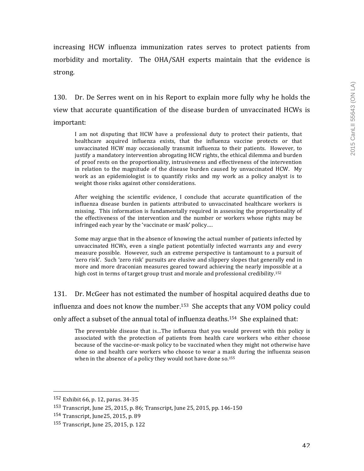increasing HCW influenza immunization rates serves to protect patients from morbidity and mortality. The OHA/SAH experts maintain that the evidence is strong.

130. Dr. De Serres went on in his Report to explain more fully why he holds the view that accurate quantification of the disease burden of unvaccinated HCWs is important:

I am not disputing that HCW have a professional duty to protect their patients, that healthcare acquired influenza exists, that the influenza vaccine protects or that unvaccinated HCW may occasionally transmit influenza to their patients. However, to justify a mandatory intervention abrogating HCW rights, the ethical dilemma and burden of proof rests on the proportionality, intrusiveness and effectiveness of the intervention in relation to the magnitude of the disease burden caused by unvaccinated HCW. My work as an epidemiologist is to quantify risks and my work as a policy analyst is to weight those risks against other considerations.

After weighing the scientific evidence, I conclude that accurate quantification of the influenza disease burden in patients attributed to unvaccinated healthcare workers is missing. This information is fundamentally required in assessing the proportionality of the effectiveness of the intervention and the number or workers whose rights may be infringed each year by the 'vaccinate or mask' policy....

Some may argue that in the absence of knowing the actual number of patients infected by unvaccinated HCWs, even a single patient potentially infected warrants any and every measure possible. However, such an extreme perspective is tantamount to a pursuit of 'zero risk'. Such 'zero risk' pursuits are elusive and slippery slopes that generally end in more and more draconian measures geared toward achieving the nearly impossible at a high cost in terms of target group trust and morale and professional credibility.<sup>152</sup>

131. Dr. McGeer has not estimated the number of hospital acquired deaths due to influenza and does not know the number.<sup>153</sup> She accepts that any VOM policy could only affect a subset of the annual total of influenza deaths.<sup>154</sup> She explained that:

The preventable disease that is...The influenza that you would prevent with this policy is associated with the protection of patients from health care workers who either choose because of the vaccine-or-mask policy to be vaccinated when they might not otherwise have done so and health care workers who choose to wear a mask during the influenza season when in the absence of a policy they would not have done  $so.155$ 

 152 Exhibit 66, p. 12, paras. 34-35

<sup>153</sup> Transcript, June 25, 2015, p. 86; Transcript, June 25, 2015, pp. 146-150

<sup>154</sup> Transcript, June 25, 2015, p. 89

<sup>155</sup> Transcript, June 25, 2015, p. 122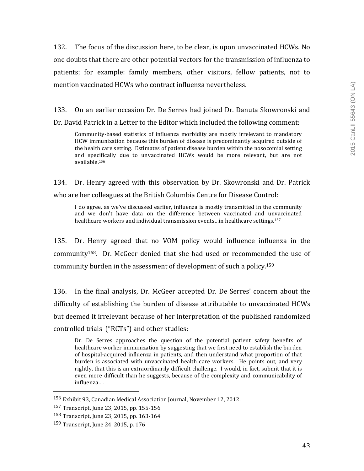132. The focus of the discussion here, to be clear, is upon unvaccinated HCWs. No one doubts that there are other potential vectors for the transmission of influenza to patients; for example: family members, other visitors, fellow patients, not to mention vaccinated HCWs who contract influenza nevertheless.

133. On an earlier occasion Dr. De Serres had joined Dr. Danuta Skowronski and Dr. David Patrick in a Letter to the Editor which included the following comment:

Community-based statistics of influenza morbidity are mostly irrelevant to mandatory HCW immunization because this burden of disease is predominantly acquired outside of the health care setting. Estimates of patient disease burden within the nosocomial setting and specifically due to unvaccinated HCWs would be more relevant, but are not available.156

134. Dr. Henry agreed with this observation by Dr. Skowronski and Dr. Patrick who are her colleagues at the British Columbia Centre for Disease Control:

I do agree, as we've discussed earlier, influenza is mostly transmitted in the community and we don't have data on the difference between vaccinated and unvaccinated healthcare workers and individual transmission events...in healthcare settings.<sup>157</sup>

135. Dr. Henry agreed that no VOM policy would influence influenza in the community<sup>158</sup>. Dr. McGeer denied that she had used or recommended the use of community burden in the assessment of development of such a policy.<sup>159</sup>

136. In the final analysis, Dr. McGeer accepted Dr. De Serres' concern about the difficulty of establishing the burden of disease attributable to unvaccinated HCWs but deemed it irrelevant because of her interpretation of the published randomized controlled trials ("RCTs") and other studies:

Dr. De Serres approaches the question of the potential patient safety benefits of healthcare worker immunization by suggesting that we first need to establish the burden of hospital-acquired influenza in patients, and then understand what proportion of that burden is associated with unvaccinated health care workers. He points out, and very rightly, that this is an extraordinarily difficult challenge. I would, in fact, submit that it is even more difficult than he suggests, because of the complexity and communicability of influenza….

<sup>&</sup>lt;sup>156</sup> Exhibit 93, Canadian Medical Association Journal, November 12, 2012.

<sup>157</sup> Transcript, June 23, 2015, pp. 155-156

<sup>158</sup> Transcript, June 23, 2015, pp. 163-164

<sup>159</sup> Transcript, June 24, 2015, p. 176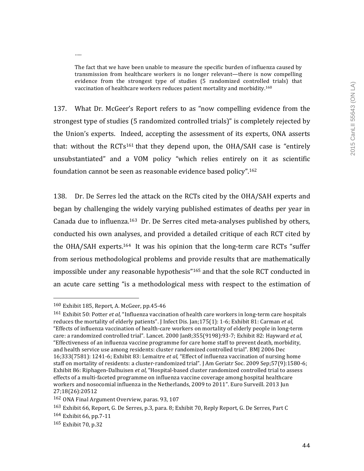The fact that we have been unable to measure the specific burden of influenza caused by transmission from healthcare workers is no longer relevant—there is now compelling evidence from the strongest type of studies (5 randomized controlled trials) that vaccination of healthcare workers reduces patient mortality and morbidity.<sup>160</sup>

137. What Dr. McGeer's Report refers to as "now compelling evidence from the strongest type of studies (5 randomized controlled trials)" is completely rejected by the Union's experts. Indeed, accepting the assessment of its experts, ONA asserts that: without the RCTs<sup>161</sup> that they depend upon, the OHA/SAH case is "entirely unsubstantiated" and a VOM policy "which relies entirely on it as scientific foundation cannot be seen as reasonable evidence based policy".<sup>162</sup>

138. Dr. De Serres led the attack on the RCTs cited by the OHA/SAH experts and began by challenging the widely varying published estimates of deaths per year in Canada due to influenza.<sup>163</sup> Dr. De Serres cited meta-analyses published by others, conducted his own analyses, and provided a detailed critique of each RCT cited by the OHA/SAH experts.<sup>164</sup> It was his opinion that the long-term care RCTs "suffer from serious methodological problems and provide results that are mathematically impossible under any reasonable hypothesis" $165$  and that the sole RCT conducted in an acute care setting "is a methodological mess with respect to the estimation of

 

….

 $160$  Exhibit 185, Report, A. McGeer, pp.45-46

<sup>&</sup>lt;sup>161</sup> Exhibit 50: Potter *et al*, "Influenza vaccination of health care workers in long-term care hospitals reduces the mortality of elderly patients". I Infect Dis. Ian;175(1): 1-6; Exhibit 81: Carman *et al.* "Effects of influenza vaccination of health-care workers on mortality of elderly people in long-term care: a randomized controlled trial". Lancet. 2000 Jan8;355(9198):93-7; Exhibit 82: Hayward et al, "Effectiveness of an influenza vaccine programme for care home staff to prevent death, morbidity, and health service use among residents: cluster randomized controlled trial". BMJ 2006 Dec 16;333(7581): 1241-6; Exhibit 83: Lemaitre *et al*, "Effect of influenza vaccination of nursing home staff on mortality of residents: a cluster-randomized trial". J Am Geriatr Soc. 2009 Sep;57(9):1580-6; Exhibit 86: Riphagen-Dalhuisen *et al*, "Hospital-based cluster randomized controlled trial to assess effects of a multi-faceted programme on influenza vaccine coverage among hospital healthcare workers and nosocomial influenza in the Netherlands, 2009 to 2011". Euro Surveill. 2013 Jun 27;18(26):20512

<sup>162</sup> ONA Final Argument Overview, paras. 93, 107

<sup>163</sup> Exhibit 66, Report, G. De Serres, p.3, para. 8; Exhibit 70, Reply Report, G. De Serres, Part C

 $164$  Exhibit 66, pp.7-11

<sup>165</sup> Exhibit 70, p.32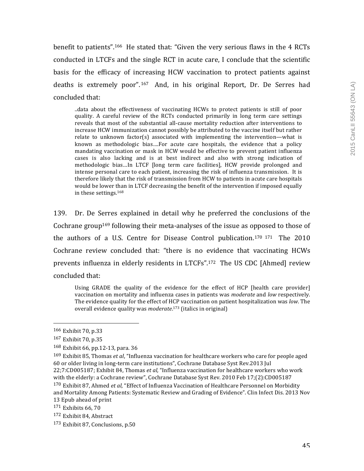benefit to patients".<sup>166</sup> He stated that: "Given the very serious flaws in the 4 RCTs conducted in LTCFs and the single RCT in acute care, I conclude that the scientific basis for the efficacy of increasing HCW vaccination to protect patients against deaths is extremely poor".<sup>167</sup> And, in his original Report, Dr. De Serres had concluded that:

..data about the effectiveness of vaccinating HCWs to protect patients is still of poor quality. A careful review of the RCTs conducted primarily in long term care settings reveals that most of the substantial all-cause mortality reduction after interventions to increase HCW immunization cannot possibly be attributed to the vaccine itself but rather relate to unknown factor(s) associated with implementing the intervention—what is known as methodologic bias....For acute care hospitals, the evidence that a policy mandating vaccination or mask in HCW would be effective to prevent patient influenza cases is also lacking and is at best indirect and also with strong indication of methodologic bias...In LTCF [long term care facilities], HCW provide prolonged and intense personal care to each patient, increasing the risk of influenza transmission. It is therefore likely that the risk of transmission from HCW to patients in acute care hospitals would be lower than in LTCF decreasing the benefit of the intervention if imposed equally in these settings.<sup>168</sup>

139. Dr. De Serres explained in detail why he preferred the conclusions of the Cochrane group<sup>169</sup> following their meta-analyses of the issue as opposed to those of the authors of a U.S. Centre for Disease Control publication.<sup>170 171</sup> The  $2010$ Cochrane review concluded that: "there is no evidence that vaccinating HCWs prevents influenza in elderly residents in LTCFs".<sup>172</sup> The US CDC [Ahmed] review concluded that:

Using GRADE the quality of the evidence for the effect of  $HCP$  [health care provider] vaccination on mortality and influenza cases in patients was *moderate* and *low* respectively. The evidence quality for the effect of HCP vaccination on patient hospitalization was *low*. The overall evidence quality was *moderate*.<sup>173</sup> (italics in original)

<sup>166</sup> Exhibit 70, p.33

<sup>167</sup> Exhibit 70, p.35

 $168$  Exhibit 66, pp.12-13, para. 36

<sup>169</sup> Exhibit 85, Thomas *et al*, "Influenza vaccination for healthcare workers who care for people aged 60 or older living in long-term care institutions", Cochrane Database Syst Rev.2013 Jul 22;7:CD005187; Exhibit 84, Thomas et al, "Influenza vaccination for healthcare workers who work with the elderly: a Cochrane review", Cochrane Database Syst Rev. 2010 Feb 17;(2):CD005187

<sup>&</sup>lt;sup>170</sup> Exhibit 87, Ahmed et al, "Effect of Influenza Vaccination of Healthcare Personnel on Morbidity and Mortality Among Patients: Systematic Review and Grading of Evidence". Clin Infect Dis. 2013 Nov 13 Epub ahead of print

 $171$  Exhibits 66, 70

<sup>172</sup> Exhibit 84, Abstract

<sup>173</sup> Exhibit 87, Conclusions, p.50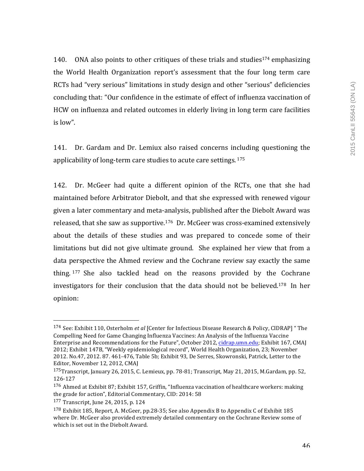140. ONA also points to other critiques of these trials and studies<sup>174</sup> emphasizing the World Health Organization report's assessment that the four long term care RCTs had "very serious" limitations in study design and other "serious" deficiencies concluding that: "Our confidence in the estimate of effect of influenza vaccination of HCW on influenza and related outcomes in elderly living in long term care facilities is low". 

141. Dr. Gardam and Dr. Lemiux also raised concerns including questioning the applicability of long-term care studies to acute care settings.  $175$ 

142. Dr. McGeer had quite a different opinion of the RCTs, one that she had maintained before Arbitrator Diebolt, and that she expressed with renewed vigour given a later commentary and meta-analysis, published after the Diebolt Award was released, that she saw as supportive.<sup>176</sup> Dr. McGeer was cross-examined extensively about the details of these studies and was prepared to concede some of their limitations but did not give ultimate ground. She explained her view that from a data perspective the Ahmed review and the Cochrane review say exactly the same thing.  $177$  She also tackled head on the reasons provided by the Cochrane investigators for their conclusion that the data should not be believed.<sup>178</sup> In her opinion:

<sup>174</sup> See: Exhibit 110, Osterholm *et al* [Center for Infectious Disease Research & Policy, CIDRAP] " The Compelling Need for Game Changing Influenza Vaccines: An Analysis of the Influenza Vaccine Enterprise and Recommendations for the Future", October 2012, cidrap.umn.edu; Exhibit 167, CMAJ 2012; Exhibit 147B, "Weekly epidemiological record", World Health Organization, 23; November 2012. No.47, 2012. 87. 461-476, Table 5b; Exhibit 93, De Serres, Skowronski, Patrick, Letter to the Editor, November 12, 2012, CMAJ

 $175$ Transcript, January 26, 2015, C. Lemieux, pp. 78-81; Transcript, May 21, 2015, M.Gardam, pp. 52, 126-127

 $176$  Ahmed at Exhibit 87; Exhibit 157, Griffin, "Influenza vaccination of healthcare workers: making the grade for action", Editorial Commentary, CID: 2014: 58

 $177$  Transcript, June 24, 2015, p. 124

 $178$  Exhibit 185, Report, A. McGeer, pp.28-35; See also Appendix B to Appendix C of Exhibit 185 where Dr. McGeer also provided extremely detailed commentary on the Cochrane Review some of which is set out in the Diebolt Award.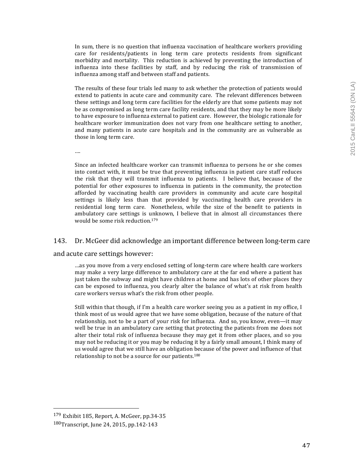In sum, there is no question that influenza vaccination of healthcare workers providing care for residents/patients in long term care protects residents from significant morbidity and mortality. This reduction is achieved by preventing the introduction of influenza into these facilities by staff, and by reducing the risk of transmission of influenza among staff and between staff and patients.

The results of these four trials led many to ask whether the protection of patients would extend to patients in acute care and community care. The relevant differences between these settings and long term care facilities for the elderly are that some patients may not be as compromised as long term care facility residents, and that they may be more likely to have exposure to influenza external to patient care. However, the biologic rationale for healthcare worker immunization does not vary from one healthcare setting to another, and many patients in acute care hospitals and in the community are as vulnerable as those in long term care.

….

Since an infected healthcare worker can transmit influenza to persons he or she comes into contact with, it must be true that preventing influenza in patient care staff reduces the risk that they will transmit influenza to patients. I believe that, because of the potential for other exposures to influenza in patients in the community, the protection afforded by vaccinating health care providers in community and acute care hospital settings is likely less than that provided by vaccinating health care providers in residential long term care. Nonetheless, while the size of the benefit to patients in ambulatory care settings is unknown, I believe that in almost all circumstances there would be some risk reduction.<sup>179</sup>

#### 143. Dr. McGeer did acknowledge an important difference between long-term care

and acute care settings however:

...as you move from a very enclosed setting of long-term care where health care workers may make a very large difference to ambulatory care at the far end where a patient has just taken the subway and might have children at home and has lots of other places they can be exposed to influenza, you clearly alter the balance of what's at risk from health care workers versus what's the risk from other people.

Still within that though, if I'm a health care worker seeing you as a patient in my office, I think most of us would agree that we have some obligation, because of the nature of that relationship, not to be a part of your risk for influenza. And so, you know, even—it may well be true in an ambulatory care setting that protecting the patients from me does not alter their total risk of influenza because they may get it from other places, and so you may not be reducing it or you may be reducing it by a fairly small amount, I think many of us would agree that we still have an obligation because of the power and influence of that relationship to not be a source for our patients.<sup>180</sup>

<sup>179</sup> Exhibit 185, Report, A. McGeer, pp.34-35 180Transcript, June 24, 2015, pp.142-143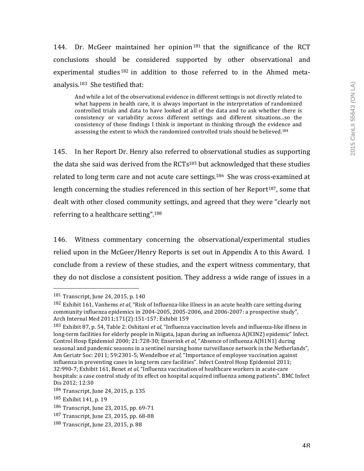144. Dr. McGeer maintained her opinion<sup>181</sup> that the significance of the RCT conclusions should be considered supported by other observational and experimental studies  $182$  in addition to those referred to in the Ahmed metaanalysis.<sup>183</sup> She testified that:

And while a lot of the observational evidence in different settings is not directly related to what happens in health care, it is always important in the interpretation of randomized controlled trials and data to have looked at all of the data and to ask whether there is consistency or variability across different settings and different situations...so the consistency of those findings I think is important in thinking through the evidence and assessing the extent to which the randomized controlled trials should be believed.<sup>184</sup>

145. In her Report Dr. Henry also referred to observational studies as supporting the data she said was derived from the  $RCTs<sup>185</sup>$  but acknowledged that these studies related to long term care and not acute care settings.<sup>186</sup> She was cross-examined at length concerning the studies referenced in this section of her Report<sup>187</sup>, some that dealt with other closed community settings, and agreed that they were "clearly not referring to a healthcare setting".<sup>188</sup>

146. Witness commentary concerning the observational/experimental studies relied upon in the McGeer/Henry Reports is set out in Appendix A to this Award. I conclude from a review of these studies, and the expert witness commentary, that they do not disclose a consistent position. They address a wide range of issues in a

  $181$  Transcript, June 24, 2015, p. 140

<sup>&</sup>lt;sup>182</sup> Exhibit 161, Vanhems *et al*, "Risk of Influenza-like illness in an acute health care setting during community influenza epidemics in  $2004-2005$ ,  $2005-2006$ , and  $2006-2007$ : a prospective study", Arch Internal Med 2011;171(2):151-157; Exhibit 159

<sup>183</sup> Exhibit 87, p. 54, Table 2: Oshitani et al, "Influenza vaccination levels and influenza-like illness in long-term facilities for elderly people in Niigata, Japan during an influenza A(H3N2) epidemic" Infect. Control Hosp Epidemiol 2000; 21:728-30; Enserink *et al*, "Absence of influenza A(H1N1) during seasonal and pandemic seasons in a sentinel nursing home surveillance network in the Netherlands", Am Geriatr Soc: 2011; 59:2301-5; Wendelboe *et al*, "Importance of employee vaccination against influenza in preventing cases in long term care facilities". Infect Control Hosp Epidemiol  $2011$ ; 32:990-7; Exhibit 161, Benet *et al*, "Influenza vaccination of healthcare workers in acute-care hospitals: a case control study of its effect on hospital acquired influenza among patients". BMC Infect Dis 2012; 12:30

 $184$  Transcript, June 24, 2015, p. 135

<sup>185</sup> Exhibit 141, p. 19

<sup>186</sup> Transcript, June 23, 2015, pp. 69-71

<sup>187</sup> Transcript, June 23, 2015, pp. 68-88

<sup>188</sup> Transcript, June 23, 2015, p. 88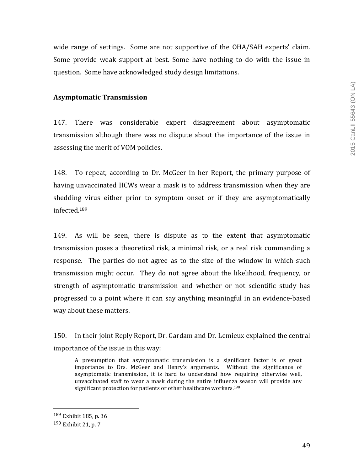wide range of settings. Some are not supportive of the OHA/SAH experts' claim. Some provide weak support at best. Some have nothing to do with the issue in question. Some have acknowledged study design limitations.

## **Asymptomatic Transmission**

147. There was considerable expert disagreement about asymptomatic transmission although there was no dispute about the importance of the issue in assessing the merit of VOM policies.

148. To repeat, according to Dr. McGeer in her Report, the primary purpose of having unvaccinated HCWs wear a mask is to address transmission when they are shedding virus either prior to symptom onset or if they are asymptomatically infected.189

149. As will be seen, there is dispute as to the extent that asymptomatic transmission poses a theoretical risk, a minimal risk, or a real risk commanding a response. The parties do not agree as to the size of the window in which such transmission might occur. They do not agree about the likelihood, frequency, or strength of asymptomatic transmission and whether or not scientific study has progressed to a point where it can say anything meaningful in an evidence-based way about these matters.

150. In their joint Reply Report, Dr. Gardam and Dr. Lemieux explained the central importance of the issue in this way:

A presumption that asymptomatic transmission is a significant factor is of great importance to Drs. McGeer and Henry's arguments. Without the significance of asymptomatic transmission, it is hard to understand how requiring otherwise well, unvaccinated staff to wear a mask during the entire influenza season will provide any significant protection for patients or other healthcare workers.<sup>190</sup>

<sup>189</sup> Exhibit 185, p. 36

<sup>190</sup> Exhibit 21, p. 7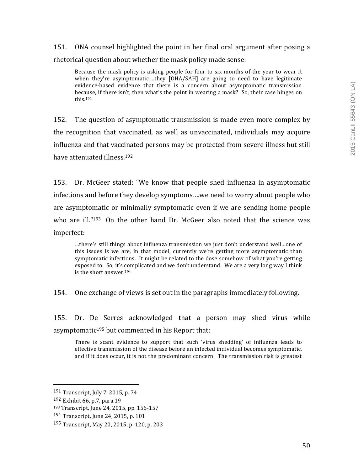151. ONA counsel highlighted the point in her final oral argument after posing a rhetorical question about whether the mask policy made sense:

Because the mask policy is asking people for four to six months of the year to wear it when they're asymptomatic....they  $[OHA/SAH]$  are going to need to have legitimate evidence-based evidence that there is a concern about asymptomatic transmission because, if there  $\sin t$ , then what's the point in wearing a mask? So, their case hinges on this.191

152. The question of asymptomatic transmission is made even more complex by the recognition that vaccinated, as well as unvaccinated, individuals may acquire influenza and that vaccinated persons may be protected from severe illness but still have attenuated illness.<sup>192</sup>

153. Dr. McGeer stated: "We know that people shed influenza in asymptomatic infections and before they develop symptoms....we need to worry about people who are asymptomatic or minimally symptomatic even if we are sending home people who are ill." $193$  On the other hand Dr. McGeer also noted that the science was imperfect:

…there's still things about influenza transmission we just don't understand well…one of this issues is we are, in that model, currently we're getting more asymptomatic than symptomatic infections. It might be related to the dose somehow of what you're getting exposed to. So, it's complicated and we don't understand. We are a very long way I think is the short answer.<sup>194</sup>

154. One exchange of views is set out in the paragraphs immediately following.

155. Dr. De Serres acknowledged that a person may shed virus while asymptomatic $195$  but commented in his Report that:

There is scant evidence to support that such 'virus shedding' of influenza leads to effective transmission of the disease before an infected individual becomes symptomatic, and if it does occur, it is not the predominant concern. The transmission risk is greatest

 191 Transcript, July 7, 2015, p. 74

 $192$  Exhibit 66, p.7, para.19

<sup>193</sup> Transcript, June 24, 2015, pp. 156-157

<sup>194</sup> Transcript, June 24, 2015, p. 101

<sup>195</sup> Transcript, May 20, 2015, p. 120, p. 203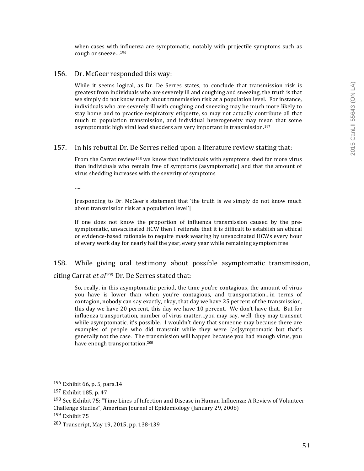when cases with influenza are symptomatic, notably with projectile symptoms such as cough or sneeze...<sup>196</sup>

#### 156. Dr. McGeer responded this way:

While it seems logical, as Dr. De Serres states, to conclude that transmission risk is greatest from individuals who are severely ill and coughing and sneezing, the truth is that we simply do not know much about transmission risk at a population level. For instance, individuals who are severely ill with coughing and sneezing may be much more likely to stay home and to practice respiratory etiquette, so may not actually contribute all that much to population transmission, and individual heterogeneity may mean that some asymptomatic high viral load shedders are very important in transmission.<sup>197</sup>

#### 157. In his rebuttal Dr. De Serres relied upon a literature review stating that:

From the Carrat review<sup>198</sup> we know that individuals with symptoms shed far more virus than individuals who remain free of symptoms (asymptomatic) and that the amount of virus shedding increases with the severity of symptoms

……

[responding to Dr. McGeer's statement that 'the truth is we simply do not know much about transmission risk at a population level']

If one does not know the proportion of influenza transmission caused by the presymptomatic, unvaccinated HCW then I reiterate that it is difficult to establish an ethical or evidence-based rationale to require mask wearing by unvaccinated HCWs every hour of every work day for nearly half the year, every year while remaining symptom free.

## 158. While giving oral testimony about possible asymptomatic transmission,

citing Carrat *et al*<sup>199</sup> Dr. De Serres stated that:

So, really, in this asymptomatic period, the time you're contagious, the amount of virus you have is lower than when you're contagious, and transportation...in terms of contagion, nobody can say exactly, okay, that day we have 25 percent of the transmission, this day we have 20 percent, this day we have 10 percent. We don't have that. But for influenza transportation, number of virus matter...you may say, well, they may transmit while asymptomatic, it's possible. I wouldn't deny that someone may because there are examples of people who did transmit while they were [as]symptomatic but that's generally not the case. The transmission will happen because you had enough virus, you have enough transportation.<sup>200</sup>

 $196$  Exhibit 66, p. 5, para.14

<sup>197</sup> Exhibit 185, p. 47

<sup>&</sup>lt;sup>198</sup> See Exhibit 75: "Time Lines of Infection and Disease in Human Influenza: A Review of Volunteer Challenge Studies", American Journal of Epidemiology (January 29, 2008)

 $199$  Exhibit  $75$ 

<sup>200</sup> Transcript, May 19, 2015, pp. 138-139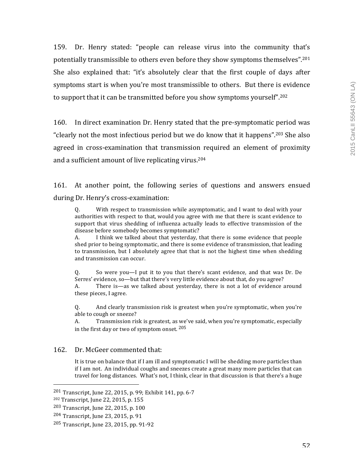159. Dr. Henry stated: "people can release virus into the community that's potentially transmissible to others even before they show symptoms themselves".<sup>201</sup> She also explained that: "it's absolutely clear that the first couple of days after symptoms start is when you're most transmissible to others. But there is evidence to support that it can be transmitted before you show symptoms yourself".<sup>202</sup>

160. In direct examination Dr. Henry stated that the pre-symptomatic period was "clearly not the most infectious period but we do know that it happens".<sup>203</sup> She also agreed in cross-examination that transmission required an element of proximity and a sufficient amount of live replicating virus.<sup>204</sup>

161. At another point, the following series of questions and answers ensued during Dr. Henry's cross-examination:

Q. With respect to transmission while asymptomatic, and I want to deal with your authorities with respect to that, would you agree with me that there is scant evidence to support that virus shedding of influenza actually leads to effective transmission of the disease before somebody becomes symptomatic?

A. I think we talked about that yesterday, that there is some evidence that people shed prior to being symptomatic, and there is some evidence of transmission, that leading to transmission, but I absolutely agree that that is not the highest time when shedding and transmission can occur.

Q. So were you—I put it to you that there's scant evidence, and that was Dr. De Serres' evidence, so—but that there's very little evidence about that, do you agree?

A. There is—as we talked about yesterday, there is not a lot of evidence around these pieces, I agree.

Q. And clearly transmission risk is greatest when you're symptomatic, when you're able to cough or sneeze?

A. Transmission risk is greatest, as we've said, when you're symptomatic, especially in the first day or two of symptom onset.  $205$ 

## 162. Dr. McGeer commented that:

It is true on balance that if I am ill and symptomatic I will be shedding more particles than if I am not. An individual coughs and sneezes create a great many more particles that can travel for long distances. What's not, I think, clear in that discussion is that there's a huge

 $201$  Transcript, June 22, 2015, p. 99; Exhibit 141, pp. 6-7

<sup>202</sup> Transcript, June 22, 2015, p. 155

<sup>203</sup> Transcript, June 22, 2015, p. 100

<sup>204</sup> Transcript, June 23, 2015, p. 91

<sup>205</sup> Transcript, June 23, 2015, pp. 91-92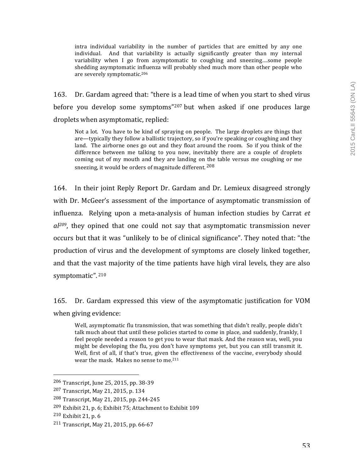intra individual variability in the number of particles that are emitted by any one individual. And that variability is actually significantly greater than my internal variability when  $I$  go from asymptomatic to coughing and sneezing....some people shedding asymptomatic influenza will probably shed much more than other people who are severely symptomatic.<sup>206</sup>

163. Dr. Gardam agreed that: "there is a lead time of when you start to shed virus before you develop some symptoms"<sup>207</sup> but when asked if one produces large droplets when asymptomatic, replied:

Not a lot. You have to be kind of spraying on people. The large droplets are things that are—typically they follow a ballistic trajectory, so if you're speaking or coughing and they land. The airborne ones go out and they float around the room. So if you think of the difference between me talking to you now, inevitably there are a couple of droplets coming out of my mouth and they are landing on the table versus me coughing or me sneezing, it would be orders of magnitude different.  $208$ 

164. In their joint Reply Report Dr. Gardam and Dr. Lemieux disagreed strongly with Dr. McGeer's assessment of the importance of asymptomatic transmission of influenza. Relying upon a meta-analysis of human infection studies by Carrat *et*  $aI<sup>209</sup>$ , they opined that one could not say that asymptomatic transmission never occurs but that it was "unlikely to be of clinical significance". They noted that: "the production of virus and the development of symptoms are closely linked together, and that the vast majority of the time patients have high viral levels, they are also symptomatic". 210

165. Dr. Gardam expressed this view of the asymptomatic justification for VOM when giving evidence:

Well, asymptomatic flu transmission, that was something that didn't really, people didn't talk much about that until these policies started to come in place, and suddenly, frankly, I feel people needed a reason to get you to wear that mask. And the reason was, well, you might be developing the flu, you don't have symptoms yet, but you can still transmit it. Well, first of all, if that's true, given the effectiveness of the vaccine, everybody should wear the mask. Makes no sense to me.<sup>211</sup>

<sup>206</sup> Transcript, June 25, 2015, pp. 38-39

<sup>207</sup> Transcript, May 21, 2015, p. 134

<sup>208</sup> Transcript, May 21, 2015, pp. 244-245

<sup>&</sup>lt;sup>209</sup> Exhibit 21, p. 6; Exhibit 75; Attachment to Exhibit 109

 $210$  Exhibit 21, p. 6

 $211$  Transcript, May 21, 2015, pp. 66-67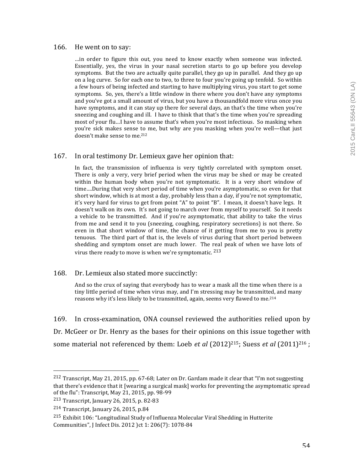#### 166. He went on to say:

…in order to figure this out, you need to know exactly when someone was infected. Essentially, yes, the virus in your nasal secretion starts to go up before you develop symptoms. But the two are actually quite parallel, they go up in parallel. And they go up on a log curve. So for each one to two, to three to four you're going up tenfold. So within a few hours of being infected and starting to have multiplying virus, you start to get some symptoms. So, yes, there's a little window in there where you don't have any symptoms and you've got a small amount of virus, but you have a thousandfold more virus once you have symptoms, and it can stay up there for several days, an that's the time when you're sneezing and coughing and ill. I have to think that that's the time when you're spreading most of your flu...I have to assume that's when you're most infectious. So masking when you're sick makes sense to me, but why are you masking when you're well—that just doesn't make sense to me.<sup>212</sup>

#### 167. In oral testimony Dr. Lemieux gave her opinion that:

In fact, the transmission of influenza is very tightly correlated with symptom onset. There is only a very, very brief period when the virus may be shed or may be created within the human body when you're not symptomatic. It is a very short window of time....During that very short period of time when you're asymptomatic, so even for that short window, which is at most a day, probably less than a day, if you're not symptomatic, it's very hard for virus to get from point "A" to point "B". I mean, it doesn't have legs. It doesn't walk on its own. It's not going to march over from myself to yourself. So it needs a vehicle to be transmitted. And if you're asymptomatic, that ability to take the virus from me and send it to you (sneezing, coughing, respiratory secretions) is not there. So even in that short window of time, the chance of it getting from me to you is pretty tenuous. The third part of that is, the levels of virus during that short period between shedding and symptom onset are much lower. The real peak of when we have lots of virus there ready to move is when we're symptomatic.  $213$ 

168. Dr. Lemieux also stated more succinctly:

And so the crux of saying that everybody has to wear a mask all the time when there is a tiny little period of time when virus may, and I'm stressing may be transmitted, and many reasons why it's less likely to be transmitted, again, seems very flawed to me.<sup>214</sup>

169. In cross-examination, ONA counsel reviewed the authorities relied upon by Dr. McGeer or Dr. Henry as the bases for their opinions on this issue together with some material not referenced by them: Loeb *et al*  $(2012)^{215}$ ; Suess *et al*  $(2011)^{216}$ ;

<sup>&</sup>lt;sup>212</sup> Transcript, May 21, 2015, pp. 67-68; Later on Dr. Gardam made it clear that "I'm not suggesting that there's evidence that it [wearing a surgical mask] works for preventing the asymptomatic spread of the flu": Transcript, May 21, 2015, pp. 98-99

 $213$  Transcript, January 26, 2015, p. 82-83

 $214$  Transcript, January 26, 2015, p.84

 $215$  Exhibit 106: "Longitudinal Study of Influenza Molecular Viral Shedding in Hutterite Communities", J Infect Dis. 2012 )ct 1: 206(7): 1078-84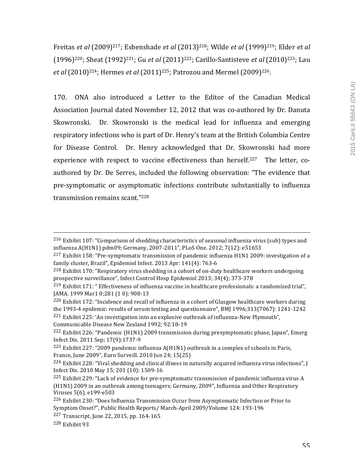Freitas *et al* (2009)<sup>217</sup>; Esbenshade *et al* (2013)<sup>218</sup>; Wilde *et al* (1999)<sup>219</sup>; Elder *et al* (1996)<sup>220</sup>; Sheat (1992)<sup>221</sup>; Gu *et al* (2011)<sup>222</sup>; Carillo-Santisteve *et al* (2010)<sup>223</sup>; Lau *et al* (2010)<sup>224</sup>; Hermes *et al* (2011)<sup>225</sup>; Patrozou and Mermel (2009)<sup>226</sup>.

170. ONA also introduced a Letter to the Editor of the Canadian Medical Association Journal dated November 12, 2012 that was co-authored by Dr. Danuta Skowronski. Dr. Skowronski is the medical lead for influenza and emerging respiratory infections who is part of Dr. Henry's team at the British Columbia Centre for Disease Control. Dr. Henry acknowledged that Dr. Skowronski had more experience with respect to vaccine effectiveness than herself.<sup>227</sup> The letter, coauthored by Dr. De Serres, included the following observation: "The evidence that pre-symptomatic or asymptomatic infections contribute substantially to influenza transmission remains scant."<sup>228</sup>

<u> 1989 - Andrea Santa Andrea Andrea Andrea Andrea Andrea Andrea Andrea Andrea Andrea Andrea Andrea Andrea Andr</u>

<sup>221</sup> Exhibit 225: 'An investigation into an explosive outbreak of influenza-New Plymouth", Communicable Disease New Zealand 1992; 92:18-19

 $^{216}$  Exhibit 107: "Comparison of shedding characteristics of seasonal influenza virus (sub) types and influenza A(H1N1) pdm09; Germany, 2007-2011", PLoS One. 2012; 7(12): e51653

<sup>&</sup>lt;sup>217</sup> Exhibit 158: "Pre-symptomatic transmission of pandemic influenza H1N1 2009: investigation of a family cluster, Brazil", Epidemiol Infect. 2013 Apr: 141(4): 763-6

 $^{218}$  Exhibit 170: "Respiratory virus shedding in a cohort of on-duty healthcare workers undergoing prospective surveillance", Infect Control Hosp Epidemiol 2013; 34(4); 373-378

 $^{219}$  Exhibit 171: " Effectiveness of influenza vaccine in healthcare professionals: a randomized trial", JAMA. 1999 Mar1 0;281 (10): 908-13

 $^{220}$  Exhibit 172: "Incidence and recall of influenza in a cohort of Glasgow healthcare workers during the  $1993-4$  epidemic: results of serum testing and questionnaire", BMJ  $1996:313(7067)$ :  $1241-1242$ 

 $^{222}$  Exhibit 226: "Pandemic (H1N1) 2009 transmission during presymptomatic phase, Japan", Emerg Infect Dis. 2011 Sep; 17(9):1737-9

<sup>&</sup>lt;sup>223</sup> Exhibit 227: "2009 pandemic influenza  $A(H1N1)$  outbreak in a complex of schools in Paris, France, June 2009", Euro Surveill. 2010 Jun 24; 15(25)

 $^{224}$  Exhibit 228: "Viral shedding and clinical illness in naturally acquired influenza virus infections", J Infect Dis. 2010 May 15; 201 (10): 1509-16

 $^{225}$  Exhibit 229: "Lack of evidence for pre-symptomatic transmission of pandemic influenza virus A (H1N1) 2009 in an outbreak among teenagers; Germany, 2009", Influenza and Other Respiratory Viruses 5(6), e199-e503

 $226$  Exhibit 230: "Does Influenza Transmission Occur from Asymptomatic Infection or Prior to Symptom Onset?", Public Health Reports/ March-April 2009/Volume 124: 193-196

<sup>227</sup> Transcript, June 22, 2015, pp. 164-165

 $228$  Exhibit 93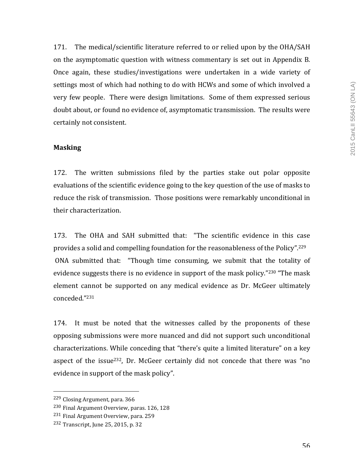171. The medical/scientific literature referred to or relied upon by the OHA/SAH on the asymptomatic question with witness commentary is set out in Appendix B. Once again, these studies/investigations were undertaken in a wide variety of settings most of which had nothing to do with HCWs and some of which involved a very few people. There were design limitations. Some of them expressed serious doubt about, or found no evidence of, asymptomatic transmission. The results were certainly not consistent.

## **Masking**

172. The written submissions filed by the parties stake out polar opposite evaluations of the scientific evidence going to the key question of the use of masks to reduce the risk of transmission. Those positions were remarkably unconditional in their characterization.

173. The OHA and SAH submitted that: "The scientific evidence in this case provides a solid and compelling foundation for the reasonableness of the Policy".<sup>229</sup> ONA submitted that: "Though time consuming, we submit that the totality of evidence suggests there is no evidence in support of the mask policy."<sup>230</sup> "The mask element cannot be supported on any medical evidence as Dr. McGeer ultimately conceded."231

174. It must be noted that the witnesses called by the proponents of these opposing submissions were more nuanced and did not support such unconditional characterizations. While conceding that "there's quite a limited literature" on a key aspect of the issue<sup>232</sup>, Dr. McGeer certainly did not concede that there was "no evidence in support of the mask policy".

 <sup>229</sup> Closing Argument, para. 366

<sup>&</sup>lt;sup>230</sup> Final Argument Overview, paras. 126, 128

<sup>&</sup>lt;sup>231</sup> Final Argument Overview, para. 259

 $232$  Transcript, June 25, 2015, p. 32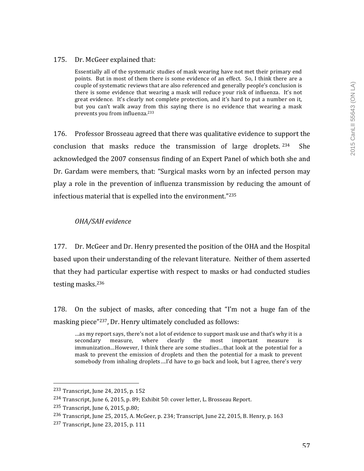## 175. Dr. McGeer explained that:

Essentially all of the systematic studies of mask wearing have not met their primary end points. But in most of them there is some evidence of an effect. So, I think there are a couple of systematic reviews that are also referenced and generally people's conclusion is there is some evidence that wearing a mask will reduce your risk of influenza. It's not great evidence. It's clearly not complete protection, and it's hard to put a number on it, but you can't walk away from this saying there is no evidence that wearing a mask prevents you from influenza.<sup>233</sup>

176. Professor Brosseau agreed that there was qualitative evidence to support the conclusion that masks reduce the transmission of large droplets.  $234$  She acknowledged the 2007 consensus finding of an Expert Panel of which both she and Dr. Gardam were members, that: "Surgical masks worn by an infected person may play a role in the prevention of influenza transmission by reducing the amount of infectious material that is expelled into the environment." $235$ 

## *OHA/SAH evidence*

177. Dr. McGeer and Dr. Henry presented the position of the OHA and the Hospital based upon their understanding of the relevant literature. Neither of them asserted that they had particular expertise with respect to masks or had conducted studies testing masks.<sup>236</sup>

178. On the subject of masks, after conceding that "I'm not a huge fan of the masking piece"<sup>237</sup>, Dr. Henry ultimately concluded as follows:

... as my report says, there's not a lot of evidence to support mask use and that's why it is a secondary measure, where clearly the most important measure is immunization...However, I think there are some studies...that look at the potential for a mask to prevent the emission of droplets and then the potential for a mask to prevent somebody from inhaling droplets....I'd have to go back and look, but I agree, there's very

 233 Transcript, June 24, 2015, p. 152

<sup>&</sup>lt;sup>234</sup> Transcript, June 6, 2015, p. 89; Exhibit 50: cover letter, L. Brosseau Report.

<sup>235</sup> Transcript, June 6, 2015, p.80;

<sup>236</sup> Transcript, June 25, 2015, A. McGeer, p. 234; Transcript, June 22, 2015, B. Henry, p. 163

<sup>237</sup> Transcript, June 23, 2015, p. 111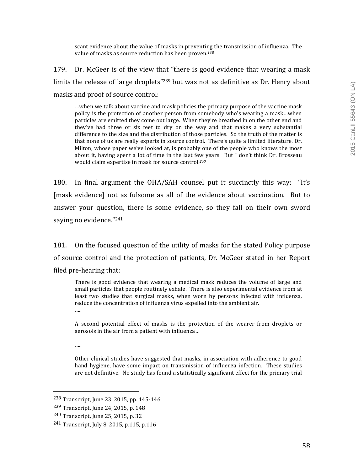scant evidence about the value of masks in preventing the transmission of influenza. The value of masks as source reduction has been proven.<sup>238</sup>

179. Dr. McGeer is of the view that "there is good evidence that wearing a mask limits the release of large droplets"<sup>239</sup> but was not as definitive as Dr. Henry about masks and proof of source control:

...when we talk about vaccine and mask policies the primary purpose of the vaccine mask policy is the protection of another person from somebody who's wearing a mask...when particles are emitted they come out large. When they're breathed in on the other end and they've had three or six feet to dry on the way and that makes a very substantial difference to the size and the distribution of those particles. So the truth of the matter is that none of us are really experts in source control. There's quite a limited literature. Dr. Milton, whose paper we've looked at, is probably one of the people who knows the most about it, having spent a lot of time in the last few years. But I don't think Dr. Brosseau would claim expertise in mask for source control.<sup>240</sup>

180. In final argument the  $OHA/SAH$  counsel put it succinctly this way: "It's [mask evidence] not as fulsome as all of the evidence about vaccination. But to answer your question, there is some evidence, so they fall on their own sword saying no evidence."<sup>241</sup>

181. On the focused question of the utility of masks for the stated Policy purpose of source control and the protection of patients, Dr. McGeer stated in her Report filed pre-hearing that:

There is good evidence that wearing a medical mask reduces the volume of large and small particles that people routinely exhale. There is also experimental evidence from at least two studies that surgical masks, when worn by persons infected with influenza, reduce the concentration of influenza virus expelled into the ambient air. ….

A second potential effect of masks is the protection of the wearer from droplets or aerosols in the air from a patient with influenza...

……

Other clinical studies have suggested that masks, in association with adherence to good hand hygiene, have some impact on transmission of influenza infection. These studies are not definitive. No study has found a statistically significant effect for the primary trial

<sup>238</sup> Transcript, June 23, 2015, pp. 145-146

<sup>239</sup> Transcript, June 24, 2015, p. 148

<sup>&</sup>lt;sup>240</sup> Transcript, June 25, 2015, p. 32

<sup>241</sup> Transcript, July 8, 2015, p.115, p.116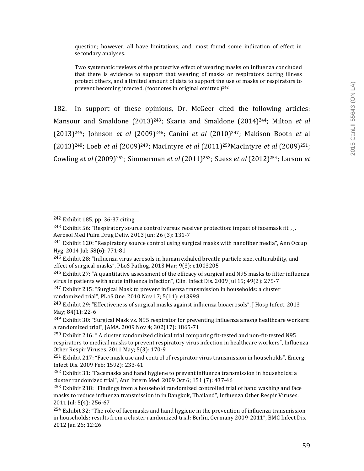question; however, all have limitations, and, most found some indication of effect in secondary analyses.

Two systematic reviews of the protective effect of wearing masks on influenza concluded that there is evidence to support that wearing of masks or respirators during illness protect others, and a limited amount of data to support the use of masks or respirators to prevent becoming infected. (footnotes in original omitted)<sup>242</sup>

182. In support of these opinions, Dr. McGeer cited the following articles: Mansour and Smaldone (2013)<sup>243</sup>; Skaria and Smaldone (2014)<sup>244</sup>; Milton *et al*  $(2013)^{245}$ ; Johnson *et al*  $(2009)^{246}$ ; Canini *et al*  $(2010)^{247}$ ; Makison Booth *et* al (2013)<sup>248</sup>; Loeb *et al* (2009)<sup>249</sup>; MacIntyre *et al* (2011)<sup>250</sup>MacIntyre *et al* (2009)<sup>251</sup>: Cowling *et al* (2009)<sup>252</sup>; Simmerman *et al* (2011)<sup>253</sup>; Suess *et al* (2012)<sup>254</sup>; Larson *et* 

 242 Exhibit 185, pp. 36-37 citing

<sup>&</sup>lt;sup>243</sup> Exhibit 56: "Respiratory source control versus receiver protection: impact of facemask fit", J. Aerosol Med Pulm Drug Deliv. 2013 Jun; 26 (3): 131-7

<sup>&</sup>lt;sup>244</sup> Exhibit 120: "Respiratory source control using surgical masks with nanofiber media", Ann Occup Hyg. 2014 Jul; 58(6): 771-81

 $245$  Exhibit 28: "Influenza virus aerosols in human exhaled breath: particle size, culturability, and effect of surgical masks", PLoS Pathog. 2013 Mar; 9(3): e1003205

 $^{246}$  Exhibit 27: "A quantitative assessment of the efficacy of surgical and N95 masks to filter influenza virus in patients with acute influenza infection", Clin. Infect Dis. 2009 Jul 15; 49(2): 275-7

 $^{247}$  Exhibit 215: "Surgical Mask to prevent influenza transmission in households: a cluster randomized trial", PLoS One. 2010 Nov 17; 5(11): e13998

<sup>&</sup>lt;sup>248</sup> Exhibit 29: "Effectiveness of surgical masks against influenza bioaerosols", I Hosp Infect. 2013 May; 84(1): 22-6

 $^{249}$  Exhibit 30: "Surgical Mask vs. N95 respirator for preventing influenza among healthcare workers: a randomized trial", JAMA. 2009 Nov 4; 302(17): 1865-71

 $^{250}$  Exhibit 216: " A cluster randomized clinical trial comparing fit-tested and non-fit-tested N95 respirators to medical masks to prevent respiratory virus infection in healthcare workers", Influenza Other Respir Viruses. 2011 May; 5(3): 170-9

 $251$  Exhibit 217: "Face mask use and control of respirator virus transmission in households", Emerg Infect Dis. 2009 Feb; 1592): 233-41

 $252$  Exhibit 31: "Facemasks and hand hygiene to prevent influenza transmission in households: a cluster randomized trial", Ann Intern Med.  $2009$  Oct 6; 151 (7): 437-46

 $^{253}$  Exhibit 218: "Findings from a household randomized controlled trial of hand washing and face masks to reduce influenza transmission in in Bangkok, Thailand", Influenza Other Respir Viruses. 2011 Jul; 5(4): 256-67

 $^{254}$  Exhibit 32: "The role of facemasks and hand hygiene in the prevention of influenza transmission in households: results from a cluster randomized trial: Berlin, Germany 2009-2011", BMC Infect Dis. 2012 Jan 26; 12:26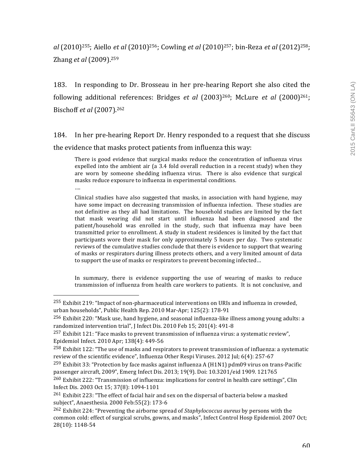*al* (2010)<sup>255</sup>; Aiello *et al* (2010)<sup>256</sup>; Cowling *et al* (2010)<sup>257</sup>; bin-Reza *et al* (2012)<sup>258</sup>; Zhang *et al* (2009).<sup>259</sup>

183. In responding to Dr. Brosseau in her pre-hearing Report she also cited the following additional references: Bridges *et al* (2003)<sup>260</sup>; McLure *et al* (2000)<sup>261</sup>; Bischoff *et al* (2007). 262

184. In her pre-hearing Report Dr. Henry responded to a request that she discuss the evidence that masks protect patients from influenza this way:

There is good evidence that surgical masks reduce the concentration of influenza virus expelled into the ambient air (a 3.4 fold overall reduction in a recent study) when they are worn by someone shedding influenza virus. There is also evidence that surgical masks reduce exposure to influenza in experimental conditions.

….

 

Clinical studies have also suggested that masks, in association with hand hygiene, may have some impact on decreasing transmission of influenza infection. These studies are not definitive as they all had limitations. The household studies are limited by the fact that mask wearing did not start until influenza had been diagnosed and the patient/household was enrolled in the study, such that influenza may have been transmitted prior to enrollment. A study in student residences is limited by the fact that participants wore their mask for only approximately 5 hours per day. Two systematic reviews of the cumulative studies conclude that there is evidence to support that wearing of masks or respirators during illness protects others, and a very limited amount of data to support the use of masks or respirators to prevent becoming infected...

In summary, there is evidence supporting the use of wearing of masks to reduce transmission of influenza from health care workers to patients. It is not conclusive, and

 $255$  Exhibit 219: "Impact of non-pharmaceutical interventions on URIs and influenza in crowded, urban households", Public Health Rep. 2010 Mar-Apr; 125(2): 178-91

<sup>&</sup>lt;sup>256</sup> Exhibit 220: "Mask use, hand hygiene, and seasonal influenza-like illness among young adults: a randomized intervention trial", J Infect Dis. 2010 Feb 15; 201(4): 491-8

 $^{257}$  Exhibit 121: "Face masks to prevent transmission of influenza virus: a systematic review", Epidemiol Infect. 2010 Apr; 138(4): 449-56

 $^{258}$  Exhibit 122: "The use of masks and respirators to prevent transmission of influenza: a systematic review of the scientific evidence", Influenza Other Respi Viruses. 2012 Jul; 6(4): 257-67

<sup>&</sup>lt;sup>259</sup> Exhibit 33: "Protection by face masks against influenza A (H1N1)  $pdm09$  virus on trans-Pacific passenger aircraft, 2009", Emerg Infect Dis. 2013; 19(9). Doi: 10.3201/eid 1909. 121765

 $^{260}$  Exhibit 222: "Transmission of influenza: implications for control in health care settings", Clin Infect Dis. 2003 Oct 15; 37(8): 1094-1101

 $261$  Exhibit 223: "The effect of facial hair and sex on the dispersal of bacteria below a masked subject", Anaesthesia. 2000 Feb:55(2): 173-6

<sup>&</sup>lt;sup>262</sup> Exhibit 224: "Preventing the airborne spread of *Staphylococcus aureus* by persons with the common cold: effect of surgical scrubs, gowns, and masks", Infect Control Hosp Epidemiol. 2007 Oct; 28(10): 1148-54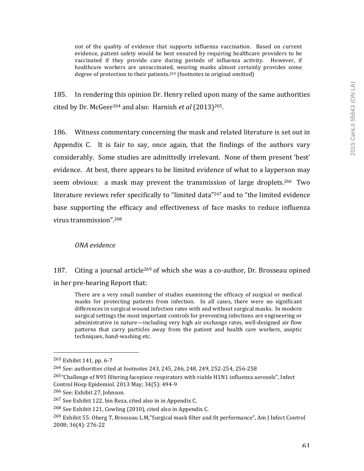not of the quality of evidence that supports influenza vaccination. Based on current evidence, patient safety would be best ensured by requiring healthcare providers to be vaccinated if they provide care during periods of influenza activity. However, if healthcare workers are unvaccinated, wearing masks almost certainly provides some degree of protection to their patients.<sup>263</sup> (footnotes in original omitted)

185. In rendering this opinion Dr. Henry relied upon many of the same authorities cited by Dr. McGeer<sup>264</sup> and also: Harnish et al (2013)<sup>265</sup>.

186. Witness commentary concerning the mask and related literature is set out in Appendix C. It is fair to say, once again, that the findings of the authors vary considerably. Some studies are admittedly irrelevant. None of them present 'best' evidence. At best, there appears to be limited evidence of what to a layperson may seem obvious: a mask may prevent the transmission of large droplets.<sup>266</sup> Two literature reviews refer specifically to "limited data"<sup>267</sup> and to "the limited evidence base supporting the efficacy and effectiveness of face masks to reduce influenza virus transmission".<sup>268</sup>

## *ONA evidence*

187. Citing a journal article<sup>269</sup> of which she was a co-author, Dr. Brosseau opined in her pre-hearing Report that:

There are a very small number of studies examining the efficacy of surgical or medical masks for protecting patients from infection. In all cases, there were no significant differences in surgical wound infection rates with and without surgical masks. In modern surgical settings the most important controls for preventing infections are engineering or administrative in nature—including very high air exchange rates, well-designed air flow patterns that carry particles away from the patient and health care workers, aseptic techniques, hand-washing etc.

<sup>265</sup>"Challenge of N95 filtering facepiece respirators with viable H1N1 influenza aerosols", Infect Control Hosp Epidemiol. 2013 May; 34(5): 494-9

 $263$  Exhibit 141, pp. 6-7

 $264$  See: authorities cited at footnotes 243, 245, 246, 248, 249, 252-254, 256-258

<sup>266</sup> See: Exhibit 27, Johnson.

 $267$  See Exhibit 122, bin Reza, cited also in in Appendix C.

 $268$  See Exhibit 121, Cowling (2010), cited also in Appendix C.

 $^{269}$  Exhibit 55: Oberg T, Brosseau L.M,"Surgical mask filter and fit performance", Am J Infect Control 2008; 36(4): 276-22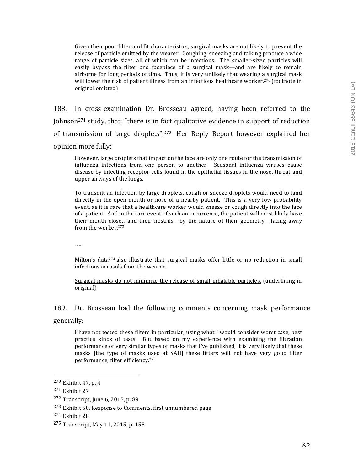Given their poor filter and fit characteristics, surgical masks are not likely to prevent the release of particle emitted by the wearer. Coughing, sneezing and talking produce a wide range of particle sizes, all of which can be infectious. The smaller-sized particles will easily bypass the filter and facepiece of a surgical mask—and are likely to remain airborne for long periods of time. Thus, it is very unlikely that wearing a surgical mask will lower the risk of patient illness from an infectious healthcare worker.<sup>270</sup> (footnote in original omitted)

188. In cross-examination Dr. Brosseau agreed, having been referred to the Johnson<sup>271</sup> study, that: "there is in fact qualitative evidence in support of reduction of transmission of large droplets".<sup>272</sup> Her Reply Report however explained her opinion more fully:

However, large droplets that impact on the face are only one route for the transmission of influenza infections from one person to another. Seasonal influenza viruses cause disease by infecting receptor cells found in the epithelial tissues in the nose, throat and upper airways of the lungs.

To transmit an infection by large droplets, cough or sneeze droplets would need to land directly in the open mouth or nose of a nearby patient. This is a very low probability event, as it is rare that a healthcare worker would sneeze or cough directly into the face of a patient. And in the rare event of such an occurrence, the patient will most likely have their mouth closed and their nostrils—by the nature of their geometry—facing away from the worker.<sup>273</sup>

….

Milton's data<sup>274</sup> also illustrate that surgical masks offer little or no reduction in small infectious aerosols from the wearer.

Surgical masks do not minimize the release of small inhalable particles. (underlining in original)

## 189. Dr. Brosseau had the following comments concerning mask performance

generally:

I have not tested these filters in particular, using what I would consider worst case, best practice kinds of tests. But based on my experience with examining the filtration performance of very similar types of masks that I've published, it is very likely that these masks [the type of masks used at SAH] these fitters will not have very good filter performance, filter efficiency.<sup>275</sup>

 $270$  Exhibit 47, p. 4

 $271$  Exhibit  $27$ 

 $272$  Transcript, June 6, 2015, p. 89

<sup>&</sup>lt;sup>273</sup> Exhibit 50, Response to Comments, first unnumbered page

 $274$  Exhibit 28

<sup>275</sup> Transcript, May 11, 2015, p. 155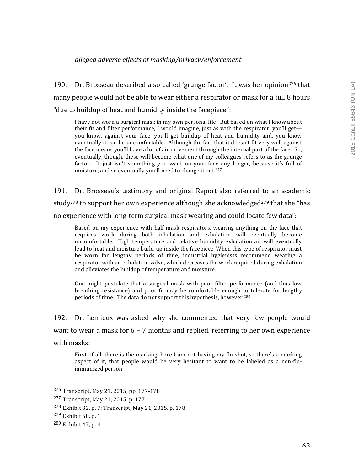## *alleged adverse effects of masking/privacy/enforcement*

190. Dr. Brosseau described a so-called 'grunge factor'. It was her opinion<sup>276</sup> that many people would not be able to wear either a respirator or mask for a full 8 hours " due to buildup of heat and humidity inside the facepiece":

I have not worn a surgical mask in my own personal life. But based on what I know about their fit and filter performance. I would imagine, just as with the respirator, you'll get you know, against your face, you'll get buildup of heat and humidity and, you know eventually it can be uncomfortable. Although the fact that it doesn't fit very well against the face means you'll have a lot of air movement through the internal part of the face. So, eventually, though, these will become what one of my colleagues refers to as the grunge factor. It just isn't something you want on your face any longer, because it's full of moisture, and so eventually you'll need to change it out.<sup>277</sup>

191. Dr. Brosseau's testimony and original Report also referred to an academic study<sup>278</sup> to support her own experience although she acknowledged<sup>279</sup> that she "has no experience with long-term surgical mask wearing and could locate few data":

Based on my experience with half-mask respirators, wearing anything on the face that requires work during both inhalation and exhalation will eventually become uncomfortable. High temperature and relative humidity exhalation air will eventually lead to heat and moisture build-up inside the facepiece. When this type of respirator must be worn for lengthy periods of time, industrial hygienists recommend wearing a respirator with an exhalation valve, which decreases the work required during exhalation and alleviates the buildup of temperature and moisture.

One might postulate that a surgical mask with poor filter performance (and thus low breathing resistance) and poor fit may be comfortable enough to tolerate for lengthy periods of time. The data do not support this hypothesis, however.<sup>280</sup>

192. Dr. Lemieux was asked why she commented that very few people would want to wear a mask for  $6 - 7$  months and replied, referring to her own experience with masks:

First of all, there is the marking, here I am not having my flu shot, so there's a marking aspect of it, that people would be very hesitant to want to be labeled as a non-fluimmunized person.

<sup>276</sup> Transcript, May 21, 2015, pp. 177-178

<sup>277</sup> Transcript, May 21, 2015, p. 177

<sup>278</sup> Exhibit 32, p. 7; Transcript, May 21, 2015, p. 178

 $279$  Exhibit 50, p. 1

<sup>&</sup>lt;sup>280</sup> Exhibit 47, p. 4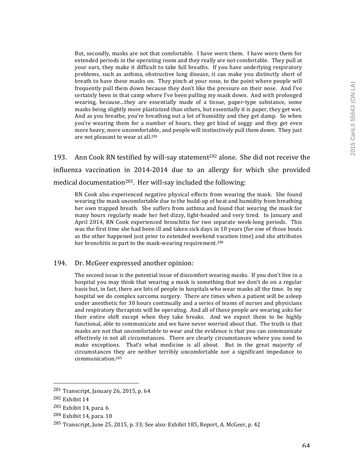But, secondly, masks are not that comfortable. I have worn them. I have worn them for extended periods in the operating room and they really are not comfortable. They pull at your ears, they make it difficult to take full breaths. If you have underlying respiratory problems, such as asthma, obstructive lung disease, it can make you distinctly short of breath to have these masks on. They pinch at your nose, to the point where people will frequently pull them down because they don't like the pressure on their nose. And I've certainly been in that camp where I've been pulling my mask down. And with prolonged wearing, because...they are essentially made of a tissue, paper-type substance, some masks being slightly more plasticized than others, but essentially it is paper, they get wet. And as you breathe, you're breathing out a lot of humidity and they get damp. So when you're wearing them for a number of hours, they get kind of soggy and they get even more heavy, more uncomfortable, and people will instinctively pull them down. They just are not pleasant to wear at all.<sup>281</sup>

193. Ann Cook RN testified by will-say statement<sup>282</sup> alone. She did not receive the influenza vaccination in 2014-2014 due to an allergy for which she provided medical documentation<sup>283</sup>. Her will-say included the following:

 $RN$  Cook also experienced negative physical effects from wearing the mask. She found wearing the mask uncomfortable due to the build-up of heat and humidity from breathing her own trapped breath. She suffers from asthma and found that wearing the mask for many hours regularly made her feel dizzy, light-headed and very tired. In January and April 2014, RN Cook experienced bronchitis for two separate week-long periods. This was the first time she had been ill and taken sick days in 10 years (for one of those bouts as the other happened just prior to extended weekend vacation time) and she attributes her bronchitis in part to the mask-wearing requirement.<sup>284</sup>

#### 194. Dr. McGeer expressed another opinion:

The second issue is the potential issue of discomfort wearing masks. If you don't live in a hospital you may think that wearing a mask is something that we don't do on a regular basis but, in fact, there are lots of people in hospitals who wear masks all the time. In my hospital we do complex sarcoma surgery. There are times when a patient will be asleep under anesthetic for 30 hours continually and a series of teams of nurses and physicians and respiratory therapists will be operating. And all of those people are wearing asks for their entire shift except when they take breaks. And we expect them to be highly functional, able to communicate and we have never worried about that. The truth is that masks are not that uncomfortable to wear and the evidence is that you can communicate effectively in not all circumstances. There are clearly circumstances where you need to make exceptions. That's what medicine is all about. But in the great majority of circumstances they are neither terribly uncomfortable nor a significant impedance to communication.285

 $281$  Transcript, January 26, 2015, p. 64

 $282$  Exhibit  $14$ 

 $283$  Exhibit 14, para. 6

<sup>284</sup> Exhibit 14, para. 10

 $285$  Transcript, June 25, 2015, p. 33; See also: Exhibit 185, Report, A. McGeer, p. 42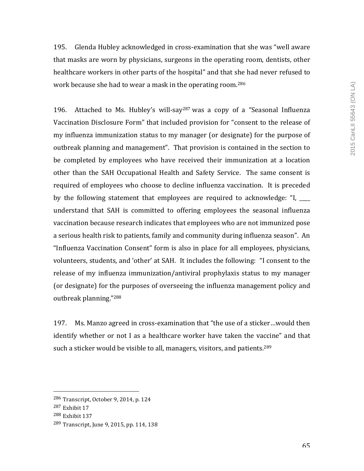195. Glenda Hubley acknowledged in cross-examination that she was "well aware that masks are worn by physicians, surgeons in the operating room, dentists, other healthcare workers in other parts of the hospital" and that she had never refused to work because she had to wear a mask in the operating room.<sup>286</sup>

196. Attached to Ms. Hubley's will-say<sup>287</sup> was a copy of a "Seasonal Influenza Vaccination Disclosure Form" that included provision for "consent to the release of my influenza immunization status to my manager (or designate) for the purpose of outbreak planning and management". That provision is contained in the section to be completed by employees who have received their immunization at a location other than the SAH Occupational Health and Safety Service. The same consent is required of employees who choose to decline influenza vaccination. It is preceded by the following statement that employees are required to acknowledge: "I,  $\qquad$ understand that SAH is committed to offering employees the seasonal influenza vaccination because research indicates that employees who are not immunized pose a serious health risk to patients, family and community during influenza season". An "Influenza Vaccination Consent" form is also in place for all employees, physicians, volunteers, students, and 'other' at SAH. It includes the following: "I consent to the release of my influenza immunization/antiviral prophylaxis status to my manager (or designate) for the purposes of overseeing the influenza management policy and outbreak planning."<sup>288</sup>

197. Ms. Manzo agreed in cross-examination that "the use of a sticker...would then identify whether or not I as a healthcare worker have taken the vaccine" and that such a sticker would be visible to all, managers, visitors, and patients.<sup>289</sup>

 

<sup>288</sup> Exhibit 137

<sup>286</sup> Transcript, October 9, 2014, p. 124

 $287$  Exhibit  $17$ 

 $289$  Transcript, June 9, 2015, pp. 114, 138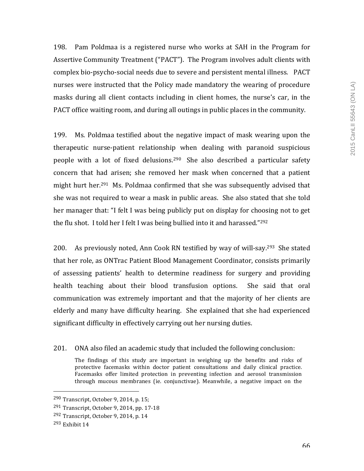198. Pam Poldmaa is a registered nurse who works at SAH in the Program for Assertive Community Treatment ("PACT"). The Program involves adult clients with complex bio-psycho-social needs due to severe and persistent mental illness. PACT nurses were instructed that the Policy made mandatory the wearing of procedure masks during all client contacts including in client homes, the nurse's car, in the PACT office waiting room, and during all outings in public places in the community.

199. Ms. Poldmaa testified about the negative impact of mask wearing upon the therapeutic nurse-patient relationship when dealing with paranoid suspicious people with a lot of fixed delusions.<sup>290</sup> She also described a particular safety concern that had arisen; she removed her mask when concerned that a patient might hurt her.<sup>291</sup> Ms. Poldmaa confirmed that she was subsequently advised that she was not required to wear a mask in public areas. She also stated that she told her manager that: "I felt I was being publicly put on display for choosing not to get the flu shot. I told her I felt I was being bullied into it and harassed." $292$ 

200. As previously noted, Ann Cook RN testified by way of will-say.<sup>293</sup> She stated that her role, as ONTrac Patient Blood Management Coordinator, consists primarily of assessing patients' health to determine readiness for surgery and providing health teaching about their blood transfusion options. She said that oral communication was extremely important and that the majority of her clients are elderly and many have difficulty hearing. She explained that she had experienced significant difficulty in effectively carrying out her nursing duties.

201. ONA also filed an academic study that included the following conclusion:

The findings of this study are important in weighing up the benefits and risks of protective facemasks within doctor patient consultations and daily clinical practice. Facemasks offer limited protection in preventing infection and aerosol transmission through mucous membranes (ie. conjunctivae). Meanwhile, a negative impact on the

 $290$  Transcript, October 9, 2014, p. 15;

<sup>&</sup>lt;sup>291</sup> Transcript, October 9, 2014, pp. 17-18

<sup>292</sup> Transcript, October 9, 2014, p. 14

 $293$  Exhibit  $14$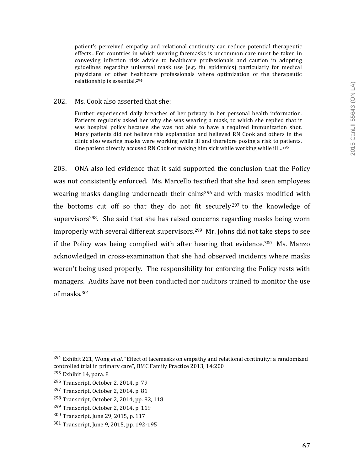patient's perceived empathy and relational continuity can reduce potential therapeutic effects...For countries in which wearing facemasks is uncommon care must be taken in conveying infection risk advice to healthcare professionals and caution in adopting guidelines regarding universal mask use  $(e.g.$  flu epidemics) particularly for medical physicians or other healthcare professionals where optimization of the therapeutic relationship is essential.<sup>294</sup>

### 202. Ms. Cook also asserted that she:

Further experienced daily breaches of her privacy in her personal health information. Patients regularly asked her why she was wearing a mask, to which she replied that it was hospital policy because she was not able to have a required immunization shot. Many patients did not believe this explanation and believed RN Cook and others in the clinic also wearing masks were working while ill and therefore posing a risk to patients. One patient directly accused RN Cook of making him sick while working while ill...<sup>295</sup>

203. ONA also led evidence that it said supported the conclusion that the Policy was not consistently enforced. Ms. Marcello testified that she had seen employees wearing masks dangling underneath their chins<sup>296</sup> and with masks modified with the bottoms cut off so that they do not fit securely  $297$  to the knowledge of supervisors<sup>298</sup>. She said that she has raised concerns regarding masks being worn improperly with several different supervisors.<sup>299</sup> Mr. Johns did not take steps to see if the Policy was being complied with after hearing that evidence.<sup>300</sup> Ms. Manzo acknowledged in cross-examination that she had observed incidents where masks weren't being used properly. The responsibility for enforcing the Policy rests with managers. Audits have not been conducted nor auditors trained to monitor the use of masks.<sup>301</sup>

 $^{294}$  Exhibit 221, Wong *et al*, "Effect of facemasks on empathy and relational continuity: a randomized controlled trial in primary care", BMC Family Practice 2013, 14:200

 $295$  Exhibit 14, para. 8

 $296$  Transcript, October 2, 2014, p. 79

 $297$  Transcript, October 2, 2014, p. 81

<sup>&</sup>lt;sup>298</sup> Transcript, October 2, 2014, pp. 82, 118

<sup>&</sup>lt;sup>299</sup> Transcript, October 2, 2014, p. 119

<sup>300</sup> Transcript, June 29, 2015, p. 117

<sup>301</sup> Transcript, June 9, 2015, pp. 192-195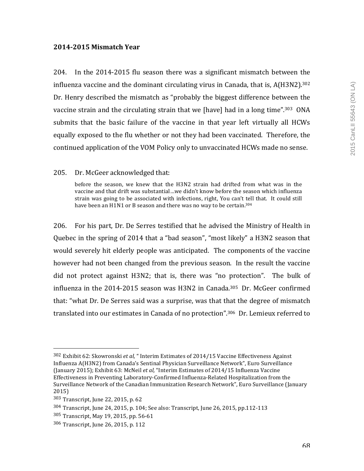## **2014-2015 Mismatch Year**

204. In the  $2014$ -2015 flu season there was a significant mismatch between the influenza vaccine and the dominant circulating virus in Canada, that is,  $A(H3N2).$ <sup>302</sup> Dr. Henry described the mismatch as "probably the biggest difference between the vaccine strain and the circulating strain that we [have] had in a long time".<sup>303</sup> ONA submits that the basic failure of the vaccine in that year left virtually all HCWs equally exposed to the flu whether or not they had been vaccinated. Therefore, the continued application of the VOM Policy only to unvaccinated HCWs made no sense.

#### 205. Dr. McGeer acknowledged that:

before the season, we knew that the H3N2 strain had drifted from what was in the vaccine and that drift was substantial...we didn't know before the season which influenza strain was going to be associated with infections, right, You can't tell that. It could still have been an H1N1 or B season and there was no way to be certain.<sup>304</sup>

206. For his part, Dr. De Serres testified that he advised the Ministry of Health in Quebec in the spring of 2014 that a "bad season", "most likely" a H3N2 season that would severely hit elderly people was anticipated. The components of the vaccine however had not been changed from the previous season. In the result the vaccine did not protect against H3N2; that is, there was "no protection". The bulk of influenza in the  $2014$ -2015 season was H3N2 in Canada.<sup>305</sup> Dr. McGeer confirmed that: "what Dr. De Serres said was a surprise, was that that the degree of mismatch translated into our estimates in Canada of no protection".<sup>306</sup> Dr. Lemieux referred to

<sup>302</sup> Exhibit 62: Skowronski *et al*, " Interim Estimates of 2014/15 Vaccine Effectiveness Against Influenza A(H3N2) from Canada's Sentinal Physician Surveillance Network", Euro Surveillance (January 2015); Exhibit 63: McNeil *et al*, "Interim Estimates of 2014/15 Influenza Vaccine Effectiveness in Preventing Laboratory-Confirmed Influenza-Related Hospitalization from the Surveillance Network of the Canadian Immunization Research Network", Euro Surveillance (January 2015)

<sup>303</sup> Transcript, June 22, 2015, p. 62

<sup>304</sup> Transcript, June 24, 2015, p. 104; See also: Transcript, June 26, 2015, pp.112-113

<sup>305</sup> Transcript, May 19, 2015, pp. 56-61

 $306$  Transcript, June 26, 2015, p. 112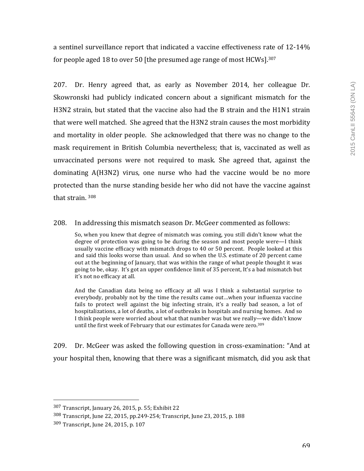a sentinel surveillance report that indicated a vaccine effectiveness rate of 12-14% for people aged 18 to over 50 [the presumed age range of most  $HCWs$ ].<sup>307</sup>

207. Dr. Henry agreed that, as early as November 2014, her colleague Dr. Skowronski had publicly indicated concern about a significant mismatch for the H3N2 strain, but stated that the vaccine also had the B strain and the H1N1 strain that were well matched. She agreed that the H3N2 strain causes the most morbidity and mortality in older people. She acknowledged that there was no change to the mask requirement in British Columbia nevertheless; that is, vaccinated as well as unvaccinated persons were not required to mask. She agreed that, against the dominating  $A(H3N2)$  virus, one nurse who had the vaccine would be no more protected than the nurse standing beside her who did not have the vaccine against that strain.  $308$ 

#### 208. In addressing this mismatch season Dr. McGeer commented as follows:

So, when you knew that degree of mismatch was coming, you still didn't know what the degree of protection was going to be during the season and most people were—I think usually vaccine efficacy with mismatch drops to 40 or 50 percent. People looked at this and said this looks worse than usual. And so when the U.S. estimate of 20 percent came out at the beginning of January, that was within the range of what people thought it was going to be, okay. It's got an upper confidence limit of 35 percent, It's a bad mismatch but it's not no efficacy at all.

And the Canadian data being no efficacy at all was I think a substantial surprise to everybody, probably not by the time the results came out...when your influenza vaccine fails to protect well against the big infecting strain, it's a really bad season, a lot of hospitalizations, a lot of deaths, a lot of outbreaks in hospitals and nursing homes. And so I think people were worried about what that number was but we really—we didn't know until the first week of February that our estimates for Canada were zero.<sup>309</sup>

209. Dr. McGeer was asked the following question in cross-examination: "And at your hospital then, knowing that there was a significant mismatch, did you ask that

 $307$  Transcript, January 26, 2015, p. 55; Exhibit 22

<sup>308</sup> Transcript, June 22, 2015, pp.249-254; Transcript, June 23, 2015, p. 188

<sup>309</sup> Transcript, June 24, 2015, p. 107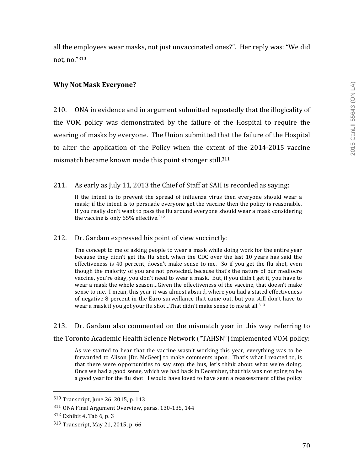all the employees wear masks, not just unvaccinated ones?". Her reply was: "We did not, no."310

## **Why Not Mask Everyone?**

210. ONA in evidence and in argument submitted repeatedly that the illogicality of the VOM policy was demonstrated by the failure of the Hospital to require the wearing of masks by everyone. The Union submitted that the failure of the Hospital to alter the application of the Policy when the extent of the 2014-2015 vaccine mismatch became known made this point stronger still.<sup>311</sup>

211. As early as July 11, 2013 the Chief of Staff at SAH is recorded as saying:

If the intent is to prevent the spread of influenza virus then everyone should wear a mask; if the intent is to persuade everyone get the vaccine then the policy is reasonable. If you really don't want to pass the flu around everyone should wear a mask considering the vaccine is only  $65%$  effective.<sup>312</sup>

212. Dr. Gardam expressed his point of view succinctly:

The concept to me of asking people to wear a mask while doing work for the entire year because they didn't get the flu shot, when the CDC over the last 10 years has said the effectiveness is 40 percent, doesn't make sense to me. So if you get the flu shot, even though the majority of you are not protected, because that's the nature of our mediocre vaccine, you're okay, you don't need to wear a mask. But, if you didn't get it, you have to wear a mask the whole season...Given the effectiveness of the vaccine, that doesn't make sense to me. I mean, this year it was almost absurd, where you had a stated effectiveness of negative 8 percent in the Euro surveillance that came out, but you still don't have to wear a mask if you got your flu shot...That didn't make sense to me at all.<sup>313</sup>

213. Dr. Gardam also commented on the mismatch year in this way referring to the Toronto Academic Health Science Network ("TAHSN") implemented VOM policy:

As we started to hear that the vaccine wasn't working this year, everything was to be forwarded to Alison [Dr. McGeer] to make comments upon. That's what I reacted to, is that there were opportunities to say stop the bus, let's think about what we're doing. Once we had a good sense, which we had back in December, that this was not going to be a good year for the flu shot. I would have loved to have seen a reassessment of the policy

 310 Transcript, June 26, 2015, p. 113

<sup>311</sup> ONA Final Argument Overview, paras. 130-135, 144

 $312$  Exhibit 4, Tab 6, p. 3

<sup>313</sup> Transcript, May 21, 2015, p. 66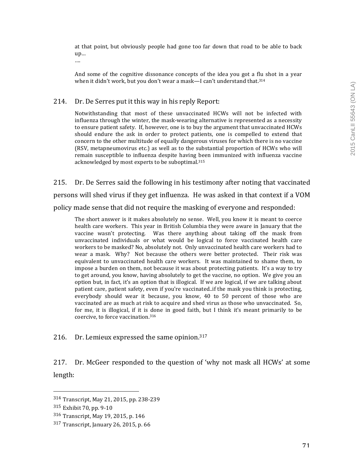at that point, but obviously people had gone too far down that road to be able to back up…

….

And some of the cognitive dissonance concepts of the idea you got a flu shot in a year when it didn't work, but you don't wear a mask—I can't understand that.<sup>314</sup>

#### 214. Dr. De Serres put it this way in his reply Report:

Notwithstanding that most of these unvaccinated HCWs will not be infected with influenza through the winter, the mask-wearing alternative is represented as a necessity to ensure patient safety. If, however, one is to buy the argument that unvaccinated HCWs should endure the ask in order to protect patients, one is compelled to extend that concern to the other multitude of equally dangerous viruses for which there is no vaccine (RSV, metapneumovirus etc.) as well as to the substantial proportion of HCWs who will remain susceptible to influenza despite having been immunized with influenza vaccine acknowledged by most experts to be suboptimal.<sup>315</sup>

215. Dr. De Serres said the following in his testimony after noting that vaccinated persons will shed virus if they get influenza. He was asked in that context if a VOM policy made sense that did not require the masking of everyone and responded:

The short answer is it makes absolutely no sense. Well, you know it is meant to coerce health care workers. This year in British Columbia they were aware in January that the vaccine wasn't protecting. Was there anything about taking off the mask from unvaccinated individuals or what would be logical to force vaccinated health care workers to be masked? No, absolutely not. Only unvaccinated health care workers had to wear a mask. Why? Not because the others were better protected. Their risk was equivalent to unvaccinated health care workers. It was maintained to shame them, to impose a burden on them, not because it was about protecting patients. It's a way to try to get around, you know, having absolutely to get the vaccine, no option. We give you an option but, in fact, it's an option that is illogical. If we are logical, if we are talking about patient care, patient safety, even if you're vaccinated..if the mask you think is protecting, everybody should wear it because, you know,  $40$  to  $50$  percent of those who are vaccinated are as much at risk to acquire and shed virus as those who unvaccinated. So, for me, it is illogical, if it is done in good faith, but I think it's meant primarily to be coercive, to force vaccination.<sup>316</sup>

216. Dr. Lemieux expressed the same opinion. $317$ 

217. Dr. McGeer responded to the question of 'why not mask all HCWs' at some length:

<sup>314</sup> Transcript, May 21, 2015, pp. 238-239

<sup>315</sup> Exhibit 70, pp. 9-10

<sup>316</sup> Transcript, May 19, 2015, p. 146

 $317$  Transcript, January 26, 2015, p. 66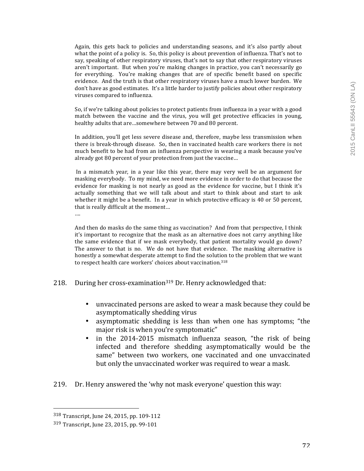Again, this gets back to policies and understanding seasons, and it's also partly about what the point of a policy is. So, this policy is about prevention of influenza. That's not to say, speaking of other respiratory viruses, that's not to say that other respiratory viruses aren't important. But when you're making changes in practice, you can't necessarily go for everything. You're making changes that are of specific benefit based on specific evidence. And the truth is that other respiratory viruses have a much lower burden. We don't have as good estimates. It's a little harder to justify policies about other respiratory viruses compared to influenza.

So, if we're talking about policies to protect patients from influenza in a year with a good match between the vaccine and the virus, you will get protective efficacies in young, healthy adults that are...somewhere between 70 and 80 percent.

In addition, you'll get less severe disease and, therefore, maybe less transmission when there is break-through disease. So, then in vaccinated health care workers there is not much benefit to be had from an influenza perspective in wearing a mask because you've already got 80 percent of your protection from just the vaccine...

In a mismatch year, in a year like this year, there may very well be an argument for masking everybody. To my mind, we need more evidence in order to do that because the evidence for masking is not nearly as good as the evidence for vaccine, but I think it's actually something that we will talk about and start to think about and start to ask whether it might be a benefit. In a year in which protective efficacy is 40 or 50 percent, that is really difficult at the moment...

And then do masks do the same thing as vaccination? And from that perspective, I think it's important to recognize that the mask as an alternative does not carry anything like the same evidence that if we mask everybody, that patient mortality would go down? The answer to that is no. We do not have that evidence. The masking alternative is honestly a somewhat desperate attempt to find the solution to the problem that we want to respect health care workers' choices about vaccination.<sup>318</sup>

- 218. During her cross-examination<sup>319</sup> Dr. Henry acknowledged that:
	- unvaccinated persons are asked to wear a mask because they could be asymptomatically shedding virus
	- asymptomatic shedding is less than when one has symptoms; "the major risk is when you're symptomatic"
	- in the 2014-2015 mismatch influenza season, "the risk of being infected and therefore shedding asymptomatically would be the same" between two workers, one vaccinated and one unvaccinated but only the unvaccinated worker was required to wear a mask.
- 219. Dr. Henry answered the 'why not mask everyone' question this way:

 

….

<sup>318</sup> Transcript, June 24, 2015, pp. 109-112

<sup>319</sup> Transcript, June 23, 2015, pp. 99-101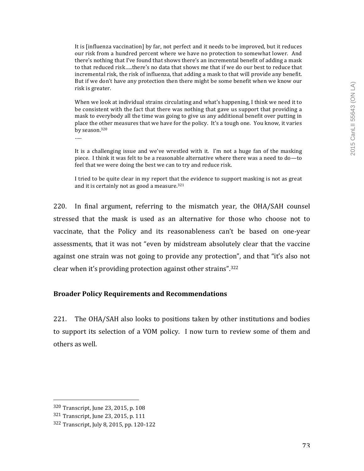It is [influenza vaccination] by far, not perfect and it needs to be improved, but it reduces our risk from a hundred percent where we have no protection to somewhat lower. And there's nothing that I've found that shows there's an incremental benefit of adding a mask to that reduced risk.....there's no data that shows me that if we do our best to reduce that incremental risk, the risk of influenza, that adding a mask to that will provide any benefit. But if we don't have any protection then there might be some benefit when we know our risk is greater.

When we look at individual strains circulating and what's happening, I think we need it to be consistent with the fact that there was nothing that gave us support that providing a mask to everybody all the time was going to give us any additional benefit over putting in place the other measures that we have for the policy. It's a tough one. You know, it varies by season.<sup>320</sup>

…..

It is a challenging issue and we've wrestled with it. I'm not a huge fan of the masking piece. I think it was felt to be a reasonable alternative where there was a need to do—to feel that we were doing the best we can to try and reduce risk.

I tried to be quite clear in my report that the evidence to support masking is not as great and it is certainly not as good a measure. $321$ 

220. In final argument, referring to the mismatch year, the OHA/SAH counsel stressed that the mask is used as an alternative for those who choose not to vaccinate, that the Policy and its reasonableness can't be based on one-year assessments, that it was not "even by midstream absolutely clear that the vaccine against one strain was not going to provide any protection", and that "it's also not clear when it's providing protection against other strains". $322$ 

#### **Broader Policy Requirements and Recommendations**

221. The OHA/SAH also looks to positions taken by other institutions and bodies to support its selection of a VOM policy. I now turn to review some of them and others as well.

<sup>320</sup> Transcript, June 23, 2015, p. 108

<sup>321</sup> Transcript, June 23, 2015, p. 111

<sup>322</sup> Transcript, July 8, 2015, pp. 120-122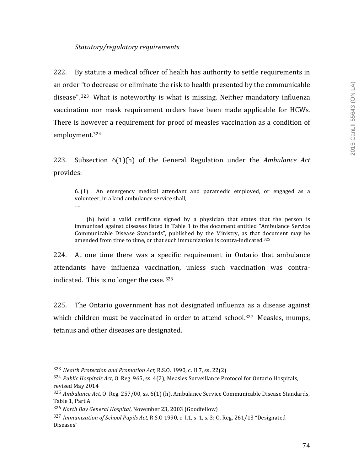# *Statutory/regulatory requirements*

222. By statute a medical officer of health has authority to settle requirements in an order "to decrease or eliminate the risk to health presented by the communicable disease".<sup>323</sup> What is noteworthy is what is missing. Neither mandatory influenza vaccination nor mask requirement orders have been made applicable for HCWs. There is however a requirement for proof of measles vaccination as a condition of employment.324

223. Subsection 6(1)(h) of the General Regulation under the *Ambulance Act* provides:

 $6.$  (1) An emergency medical attendant and paramedic employed, or engaged as a volunteer, in a land ambulance service shall, ….

(h) hold a valid certificate signed by a physician that states that the person is immunized against diseases listed in Table 1 to the document entitled "Ambulance Service Communicable Disease Standards", published by the Ministry, as that document may be amended from time to time, or that such immunization is contra-indicated.<sup>325</sup>

224. At one time there was a specific requirement in Ontario that ambulance attendants have influenza vaccination, unless such vaccination was contraindicated. This is no longer the case.  $326$ 

225. The Ontario government has not designated influenza as a disease against which children must be vaccinated in order to attend school.<sup>327</sup> Measles, mumps, tetanus and other diseases are designated.

<sup>&</sup>lt;sup>323</sup> *Health Protection and Promotion Act, R.S.O.* 1990, c. H.7, ss. 22(2)

<sup>&</sup>lt;sup>324</sup> *Public Hospitals Act,* O. Reg. 965, ss. 4(2); Measles Surveillance Protocol for Ontario Hospitals, revised May 2014

<sup>&</sup>lt;sup>325</sup> Ambulance Act, O. Reg. 257/00, ss. 6(1) (h), Ambulance Service Communicable Disease Standards, Table 1, Part A

<sup>&</sup>lt;sup>326</sup> North Bay General Hospital, November 23, 2003 (Goodfellow)

<sup>&</sup>lt;sup>327</sup> Immunization of School Pupils Act, R.S.O 1990, c. I.1, s. 1, s. 3; O. Reg. 261/13 "Designated Diseases"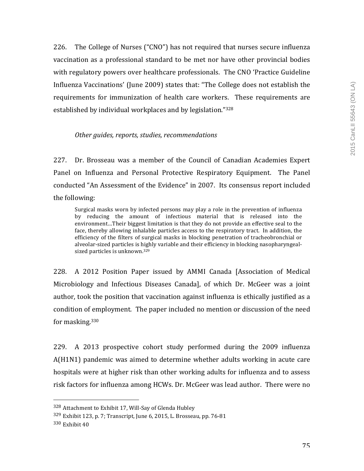226. The College of Nurses ("CNO") has not required that nurses secure influenza vaccination as a professional standard to be met nor have other provincial bodies with regulatory powers over healthcare professionals. The CNO 'Practice Guideline Influenza Vaccinations' (June 2009) states that: "The College does not establish the requirements for immunization of health care workers. These requirements are established by individual workplaces and by legislation."328

## *Other guides, reports, studies, recommendations*

227. Dr. Brosseau was a member of the Council of Canadian Academies Expert Panel on Influenza and Personal Protective Respiratory Equipment. The Panel conducted "An Assessment of the Evidence" in 2007. Its consensus report included the following:

Surgical masks worn by infected persons may play a role in the prevention of influenza by reducing the amount of infectious material that is released into the environment...Their biggest limitation is that they do not provide an effective seal to the face, thereby allowing inhalable particles access to the respiratory tract. In addition, the efficiency of the filters of surgical masks in blocking penetration of tracheobronchial or alveolar-sized particles is highly variable and their efficiency in blocking nasopharyngealsized particles is unknown.<sup>329</sup>

228. A 2012 Position Paper issued by AMMI Canada [Association of Medical Microbiology and Infectious Diseases Canada], of which Dr. McGeer was a joint author, took the position that vaccination against influenza is ethically justified as a condition of employment. The paper included no mention or discussion of the need for masking. $330$ 

229. A 2013 prospective cohort study performed during the 2009 influenza A(H1N1) pandemic was aimed to determine whether adults working in acute care hospitals were at higher risk than other working adults for influenza and to assess risk factors for influenza among HCWs. Dr. McGeer was lead author. There were no

 $328$  Attachment to Exhibit 17, Will-Say of Glenda Hubley

<sup>329</sup> Exhibit 123, p. 7; Transcript, June 6, 2015, L. Brosseau, pp. 76-81

 $330$  Exhibit  $40$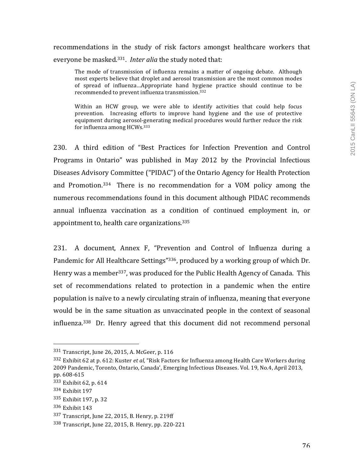# recommendations in the study of risk factors amongst healthcare workers that everyone be masked.<sup>331</sup>. *Inter alia* the study noted that:

The mode of transmission of influenza remains a matter of ongoing debate. Although most experts believe that droplet and aerosol transmission are the most common modes of spread of influenza...Appropriate hand hygiene practice should continue to be recommended to prevent influenza transmission.<sup>332</sup>

Within an HCW group, we were able to identify activities that could help focus prevention. Increasing efforts to improve hand hygiene and the use of protective equipment during aerosol-generating medical procedures would further reduce the risk for influenza among HCWs.<sup>333</sup>

230. A third edition of "Best Practices for Infection Prevention and Control Programs in Ontario" was published in May 2012 by the Provincial Infectious Diseases Advisory Committee ("PIDAC") of the Ontario Agency for Health Protection and Promotion.<sup>334</sup> There is no recommendation for a VOM policy among the numerous recommendations found in this document although PIDAC recommends annual influenza vaccination as a condition of continued employment in, or appointment to, health care organizations. $335$ 

231. A document, Annex F, "Prevention and Control of Influenza during a Pandemic for All Healthcare Settings"<sup>336</sup>, produced by a working group of which Dr. Henry was a member<sup>337</sup>, was produced for the Public Health Agency of Canada. This set of recommendations related to protection in a pandemic when the entire population is naïve to a newly circulating strain of influenza, meaning that everyone would be in the same situation as unvaccinated people in the context of seasonal influenza.<sup>338</sup> Dr. Henry agreed that this document did not recommend personal

<sup>331</sup> Transcript, June 26, 2015, A. McGeer, p. 116

<sup>332</sup> Exhibit 62 at p. 612: Kuster *et al*, "Risk Factors for Influenza among Health Care Workers during 2009 Pandemic, Toronto, Ontario, Canada', Emerging Infectious Diseases. Vol. 19, No.4, April 2013, pp. 608-615

<sup>333</sup> Exhibit 62, p. 614

<sup>334</sup> Exhibit 197

<sup>335</sup> Exhibit 197, p. 32

<sup>336</sup> Exhibit 143

<sup>337</sup> Transcript, June 22, 2015, B. Henry, p. 219ff

<sup>338</sup> Transcript, June 22, 2015, B. Henry, pp. 220-221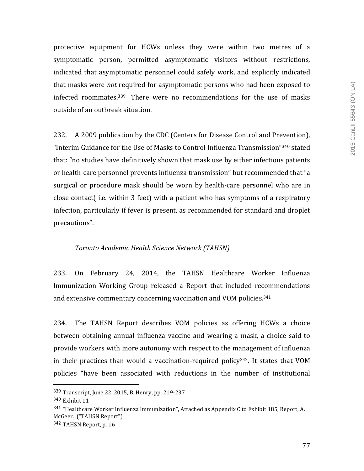protective equipment for HCWs unless they were within two metres of a symptomatic person, permitted asymptomatic visitors without restrictions, indicated that asymptomatic personnel could safely work, and explicitly indicated that masks were *not* required for asymptomatic persons who had been exposed to infected roommates. $339$  There were no recommendations for the use of masks outside of an outbreak situation.

232. A 2009 publication by the CDC (Centers for Disease Control and Prevention), "Interim Guidance for the Use of Masks to Control Influenza Transmission"<sup>340</sup> stated that: "no studies have definitively shown that mask use by either infectious patients or health-care personnel prevents influenza transmission" but recommended that "a surgical or procedure mask should be worn by health-care personnel who are in close contact  $(i.e.$  within  $3$  feet) with a patient who has symptoms of a respiratory infection, particularly if fever is present, as recommended for standard and droplet precautions".

#### *Toronto Academic Health Science Network (TAHSN)*

233. On February 24, 2014, the TAHSN Healthcare Worker Influenza Immunization Working Group released a Report that included recommendations and extensive commentary concerning vaccination and VOM policies.<sup>341</sup>

234. The TAHSN Report describes VOM policies as offering HCWs a choice between obtaining annual influenza vaccine and wearing a mask, a choice said to provide workers with more autonomy with respect to the management of influenza in their practices than would a vaccination-required policy<sup>342</sup>. It states that VOM policies "have been associated with reductions in the number of institutional

<sup>339</sup> Transcript, June 22, 2015, B. Henry, pp. 219-237

 $340$  Exhibit  $11$ 

 $341$  "Healthcare Worker Influenza Immunization", Attached as Appendix C to Exhibit 185, Report, A. McGeer. ("TAHSN Report")

<sup>342</sup> TAHSN Report, p. 16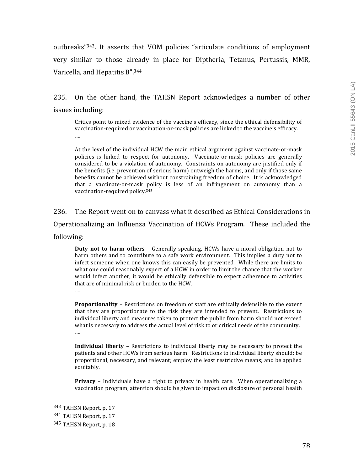outbreaks"<sup>343</sup>. It asserts that VOM policies "articulate conditions of employment very similar to those already in place for Diptheria, Tetanus, Pertussis, MMR, Varicella, and Hepatitis B".<sup>344</sup>

235. On the other hand, the TAHSN Report acknowledges a number of other issues including:

Critics point to mixed evidence of the vaccine's efficacy, since the ethical defensibility of vaccination-required or vaccination-or-mask policies are linked to the vaccine's efficacy. ….

At the level of the individual HCW the main ethical argument against vaccinate-or-mask policies is linked to respect for autonomy. Vaccinate-or-mask policies are generally considered to be a violation of autonomy. Constraints on autonomy are justified only if the benefits (i.e. prevention of serious harm) outweigh the harms, and only if those same benefits cannot be achieved without constraining freedom of choice. It is acknowledged that a vaccinate-or-mask policy is less of an infringement on autonomy than a vaccination-required policy.<sup>345</sup>

236. The Report went on to canvass what it described as Ethical Considerations in Operationalizing an Influenza Vaccination of HCWs Program. These included the following:

**Duty not to harm others** - Generally speaking, HCWs have a moral obligation not to harm others and to contribute to a safe work environment. This implies a duty not to infect someone when one knows this can easily be prevented. While there are limits to what one could reasonably expect of a HCW in order to limit the chance that the worker would infect another, it would be ethically defensible to expect adherence to activities that are of minimal risk or burden to the HCW.

….

**Proportionality** – Restrictions on freedom of staff are ethically defensible to the extent that they are proportionate to the risk they are intended to prevent. Restrictions to individual liberty and measures taken to protect the public from harm should not exceed what is necessary to address the actual level of risk to or critical needs of the community. ….

**Individual liberty** – Restrictions to individual liberty may be necessary to protect the patients and other HCWs from serious harm. Restrictions to individual liberty should: be proportional, necessary, and relevant; employ the least restrictive means; and be applied equitably.

**Privacy** – Individuals have a right to privacy in health care. When operationalizing a vaccination program, attention should be given to impact on disclosure of personal health

<sup>343</sup> TAHSN Report, p. 17

<sup>344</sup> TAHSN Report, p. 17

<sup>345</sup> TAHSN Report, p. 18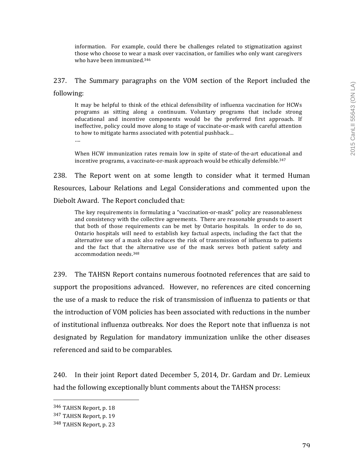information. For example, could there be challenges related to stigmatization against those who choose to wear a mask over vaccination, or families who only want caregivers who have been immunized.<sup>346</sup>

237. The Summary paragraphs on the VOM section of the Report included the following:

It may be helpful to think of the ethical defensibility of influenza vaccination for HCWs programs as sitting along a continuum. Voluntary programs that include strong educational and incentive components would be the preferred first approach. If ineffective, policy could move along to stage of vaccinate-or-mask with careful attention to how to mitigate harms associated with potential pushback...

….

When HCW immunization rates remain low in spite of state-of the-art educational and incentive programs, a vaccinate-or-mask approach would be ethically defensible.<sup>347</sup>

238. The Report went on at some length to consider what it termed Human Resources, Labour Relations and Legal Considerations and commented upon the Diebolt Award. The Report concluded that:

The key requirements in formulating a "vaccination-or-mask" policy are reasonableness and consistency with the collective agreements. There are reasonable grounds to assert that both of those requirements can be met by Ontario hospitals. In order to do so, Ontario hospitals will need to establish key factual aspects, including the fact that the alternative use of a mask also reduces the risk of transmission of influenza to patients and the fact that the alternative use of the mask serves both patient safety and accommodation needs.<sup>348</sup>

239. The TAHSN Report contains numerous footnoted references that are said to support the propositions advanced. However, no references are cited concerning the use of a mask to reduce the risk of transmission of influenza to patients or that the introduction of VOM policies has been associated with reductions in the number of institutional influenza outbreaks. Nor does the Report note that influenza is not designated by Regulation for mandatory immunization unlike the other diseases referenced and said to be comparables.

240. In their joint Report dated December 5, 2014, Dr. Gardam and Dr. Lemieux had the following exceptionally blunt comments about the TAHSN process:

<sup>346</sup> TAHSN Report, p. 18

<sup>347</sup> TAHSN Report, p. 19

<sup>348</sup> TAHSN Report, p. 23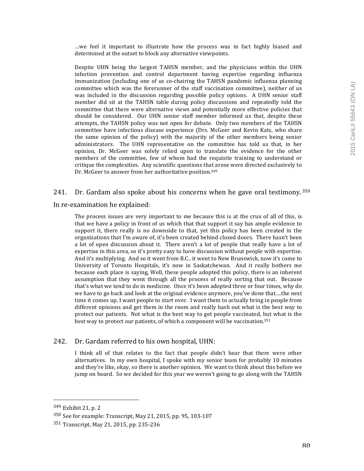...we feel it important to illustrate how the process was in fact highly biased and determined at the outset to block any alternative viewpoints.

Despite UHN being the largest TAHSN member, and the physicians within the UHN infection prevention and control department having expertise regarding influenza immunization (including one of us co-chairing the TAHSN pandemic influenza planning committee which was the forerunner of the staff vaccination committee), neither of us was included in the discussion regarding possible policy options. A UHN senior staff member did sit at the TAHSN table during policy discussions and repeatedly told the committee that there were alternative views and potentially more effective policies that should be considered. Our UHN senior staff member informed us that, despite these attempts, the TAHSN policy was not open for debate. Only two members of the TAHSN committee have infectious disease experience (Drs. McGeer and Kevin Katz, who share the same opinion of the policy) with the majority of the other members being senior administrators. The UHN representative on the committee has told us that, in her opinion, Dr. McGeer was solely relied upon to translate the evidence for the other members of the committee, few of whom had the requisite training to understand or critique the complexities. Any scientific questions that arose were directed exclusively to Dr. McGeer to answer from her authoritative position.<sup>349</sup>

241. Dr. Gardam also spoke about his concerns when he gave oral testimony.  $350$ 

In re-examination he explained:

The process issues are very important to me because this is at the crux of all of this, is that we have a policy in front of us which that that support it say has ample evidence to support it, there really is no downside to that, yet this policy has been created in the organizations that I'm aware of, it's been created behind closed doors. There hasn't been a lot of open discussion about it. There aren't a lot of people that really have a lot of expertise in this area, so it's pretty easy to have discussion without people with expertise. And it's multiplying. And so it went from B.C.. it went to New Brunswick, now it's come to University of Toronto Hospitals, it's now in Saskatchewan. And it really bothers me because each place is saying, Well, these people adopted this policy, there is an inherent assumption that they went through all the process of really sorting that out. Because that's what we tend to do in medicine. Once it's been adopted three or four times, why do we have to go back and look at the original evidence anymore, you've done that....the next time it comes up, I want people to start over. I want them to actually bring in people from different opinions and get them in the room and really hash out what is the best way to protect our patients. Not what is the best way to get people vaccinated, but what is the best way to protect our patients, of which a component will be vaccination.<sup>351</sup>

#### 242. Dr. Gardam referred to his own hospital, UHN:

I think all of that relates to the fact that people didn't hear that there were other alternatives. In my own hospital, I spoke with my senior team for probably 10 minutes and they're like, okay, so there is another opinion. We want to think about this before we jump on board. So we decided for this year we weren't going to go along with the TAHSN

<sup>349</sup> Exhibit 21, p. 2

<sup>350</sup> See for example: Transcript, May 21, 2015, pp. 95, 103-107

 $351$  Transcript, May 21, 2015, pp. 235-236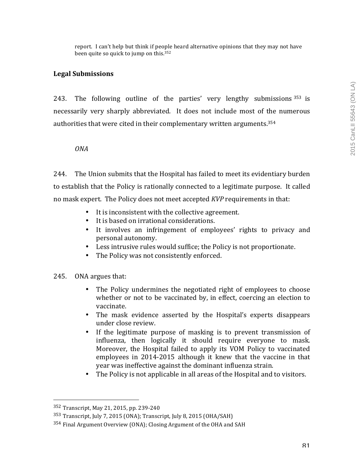report. I can't help but think if people heard alternative opinions that they may not have been quite so quick to jump on this.<sup>352</sup>

## **Legal Submissions**

243. The following outline of the parties' very lengthy submissions  $353$  is necessarily very sharply abbreviated. It does not include most of the numerous authorities that were cited in their complementary written arguments. $354$ 

*ONA*

244. The Union submits that the Hospital has failed to meet its evidentiary burden to establish that the Policy is rationally connected to a legitimate purpose. It called no mask expert. The Policy does not meet accepted *KVP* requirements in that:

- It is inconsistent with the collective agreement.
- It is based on irrational considerations.
- It involves an infringement of employees' rights to privacy and personal autonomy.
- Less intrusive rules would suffice; the Policy is not proportionate.
- The Policy was not consistently enforced.
- 245. ONA argues that:
	- The Policy undermines the negotiated right of employees to choose whether or not to be vaccinated by, in effect, coercing an election to vaccinate.
	- The mask evidence asserted by the Hospital's experts disappears under close review.
	- If the legitimate purpose of masking is to prevent transmission of influenza, then logically it should require everyone to mask. Moreover, the Hospital failed to apply its VOM Policy to vaccinated employees in 2014-2015 although it knew that the vaccine in that year was ineffective against the dominant influenza strain.
	- The Policy is not applicable in all areas of the Hospital and to visitors.

<sup>352</sup> Transcript, May 21, 2015, pp. 239-240

 $353$  Transcript, July 7, 2015 (ONA); Transcript, July 8, 2015 (OHA/SAH)

 $354$  Final Argument Overview (ONA); Closing Argument of the OHA and SAH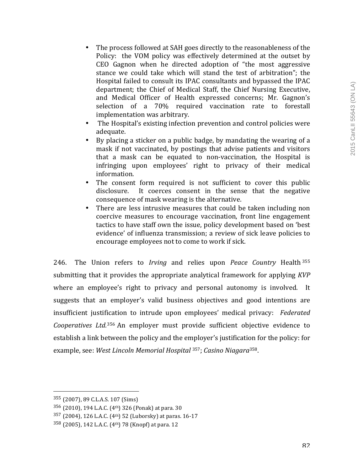- The process followed at SAH goes directly to the reasonableness of the Policy: the VOM policy was effectively determined at the outset by CEO Gagnon when he directed adoption of "the most aggressive stance we could take which will stand the test of arbitration"; the Hospital failed to consult its IPAC consultants and bypassed the IPAC department; the Chief of Medical Staff, the Chief Nursing Executive, and Medical Officer of Health expressed concerns; Mr. Gagnon's selection of a 70% required vaccination rate to forestall implementation was arbitrary.
- The Hospital's existing infection prevention and control policies were adequate.
- By placing a sticker on a public badge, by mandating the wearing of a mask if not vaccinated, by postings that advise patients and visitors that a mask can be equated to non-vaccination, the Hospital is infringing upon employees' right to privacy of their medical information.
- The consent form required is not sufficient to cover this public disclosure. It coerces consent in the sense that the negative consequence of mask wearing is the alternative.
- There are less intrusive measures that could be taken including non coercive measures to encourage vaccination, front line engagement tactics to have staff own the issue, policy development based on 'best evidence' of influenza transmission; a review of sick leave policies to encourage employees not to come to work if sick.

246. The Union refers to *Irving* and relies upon *Peace Country* Health 355 submitting that it provides the appropriate analytical framework for applying *KVP* where an employee's right to privacy and personal autonomy is involved. It suggests that an employer's valid business objectives and good intentions are insufficient justification to intrude upon employees' medical privacy: Federated Cooperatives Ltd.<sup>356</sup> An employer must provide sufficient objective evidence to establish a link between the policy and the employer's justification for the policy: for example, see: West Lincoln Memorial Hospital <sup>357</sup>; Casino Niagara<sup>358</sup>.

 355 (2007), 89 C.L.A.S. 107 (Sims)

 $356$  (2010), 194 L.A.C. (4<sup>th</sup>) 326 (Ponak) at para. 30

 $357$  (2004), 126 L.A.C. (4<sup>th</sup>) 52 (Luborsky) at paras. 16-17

 $358$  (2005), 142 L.A.C. (4<sup>th</sup>) 78 (Knopf) at para. 12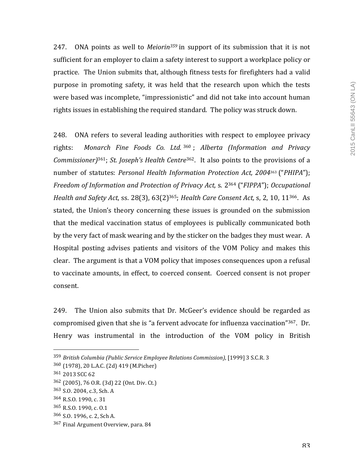247. ONA points as well to *Meiorin<sup>359</sup>* in support of its submission that it is not sufficient for an employer to claim a safety interest to support a workplace policy or practice. The Union submits that, although fitness tests for firefighters had a valid purpose in promoting safety, it was held that the research upon which the tests were based was incomplete, "impressionistic" and did not take into account human rights issues in establishing the required standard. The policy was struck down.

248. ONA refers to several leading authorities with respect to employee privacy rights: Monarch Fine Foods Co. Ltd. 360; Alberta (Information and Privacy *Commissioner*)<sup>361</sup>; *St. Joseph's Health Centre*<sup>362</sup>. It also points to the provisions of a number of statutes: *Personal Health Information Protection Act, 2004*<sup>363</sup> ("*PHIPA*"); *Freedom of Information and Protection of Privacy Act, s. 2<sup>364</sup> ("<i>FIPPA"*); *Occupational Health and Safety Act, ss.* 28(3), 63(2)<sup>365</sup>; *Health Care Consent Act, s, 2, 10, 11*<sup>366</sup>. As stated, the Union's theory concerning these issues is grounded on the submission that the medical vaccination status of employees is publically communicated both by the very fact of mask wearing and by the sticker on the badges they must wear. A Hospital posting advises patients and visitors of the VOM Policy and makes this clear. The argument is that a VOM policy that imposes consequences upon a refusal to vaccinate amounts, in effect, to coerced consent. Coerced consent is not proper consent.

249. The Union also submits that Dr. McGeer's evidence should be regarded as compromised given that she is "a fervent advocate for influenza vaccination"<sup>367</sup>. Dr. Henry was instrumental in the introduction of the VOM policy in British

 

366 S.O. 1996, c. 2, Sch A.

<sup>&</sup>lt;sup>359</sup> British Columbia (Public Service Employee Relations Commission), [1999] 3 S.C.R. 3

<sup>360 (1978), 20</sup> L.A.C. (2d) 419 (M.Picher)

<sup>361 2013</sup> SCC 62

<sup>362 (2005), 76</sup> O.R. (3d) 22 (Ont. Div. Ct.)

<sup>363</sup> S.O. 2004, c.3, Sch. A

<sup>364</sup> R.S.O. 1990, c. 31

<sup>365</sup> R.S.O. 1990, c. O.1

<sup>367</sup> Final Argument Overview, para. 84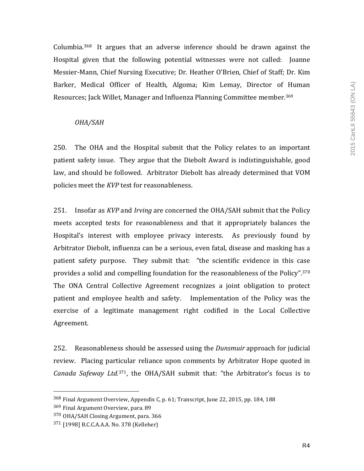Columbia.<sup>368</sup> It argues that an adverse inference should be drawn against the Hospital given that the following potential witnesses were not called: Joanne Messier-Mann, Chief Nursing Executive; Dr. Heather O'Brien, Chief of Staff; Dr. Kim Barker, Medical Officer of Health, Algoma; Kim Lemay, Director of Human Resources; Jack Willet, Manager and Influenza Planning Committee member.<sup>369</sup>

## *OHA/SAH*

250. The OHA and the Hospital submit that the Policy relates to an important patient safety issue. They argue that the Diebolt Award is indistinguishable, good law, and should be followed. Arbitrator Diebolt has already determined that VOM policies meet the *KVP* test for reasonableness.

251. Insofar as *KVP* and *Irving* are concerned the OHA/SAH submit that the Policy meets accepted tests for reasonableness and that it appropriately balances the Hospital's interest with employee privacy interests. As previously found by Arbitrator Diebolt, influenza can be a serious, even fatal, disease and masking has a patient safety purpose. They submit that: "the scientific evidence in this case provides a solid and compelling foundation for the reasonableness of the Policy".<sup>370</sup> The ONA Central Collective Agreement recognizes a joint obligation to protect patient and employee health and safety. Implementation of the Policy was the exercise of a legitimate management right codified in the Local Collective Agreement. 

252. Reasonableness should be assessed using the *Dunsmuir* approach for judicial review. Placing particular reliance upon comments by Arbitrator Hope quoted in *Canada Safeway Ltd.*<sup>371</sup>, the OHA/SAH submit that: "the Arbitrator's focus is to

<sup>&</sup>lt;sup>368</sup> Final Argument Overview, Appendix C, p. 61; Transcript, June 22, 2015, pp. 184, 188

<sup>369</sup> Final Argument Overview, para. 89

<sup>370</sup> OHA/SAH Closing Argument, para. 366

<sup>371 [1998]</sup> B.C.C.A.A.A. No. 378 (Kelleher)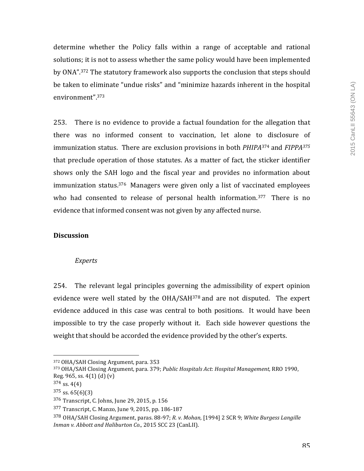determine whether the Policy falls within a range of acceptable and rational solutions; it is not to assess whether the same policy would have been implemented by ONA".<sup>372</sup> The statutory framework also supports the conclusion that steps should be taken to eliminate "undue risks" and "minimize hazards inherent in the hospital environment". 373

253. There is no evidence to provide a factual foundation for the allegation that there was no informed consent to vaccination, let alone to disclosure of immunization status. There are exclusion provisions in both *PHIPA*<sup>374</sup> and *FIPPA*<sup>375</sup> that preclude operation of those statutes. As a matter of fact, the sticker identifier shows only the SAH logo and the fiscal year and provides no information about immunization status.<sup>376</sup> Managers were given only a list of vaccinated employees who had consented to release of personal health information.<sup>377</sup> There is no evidence that informed consent was not given by any affected nurse.

## **Discussion**

#### *Experts*

254. The relevant legal principles governing the admissibility of expert opinion evidence were well stated by the OHA/SAH<sup>378</sup> and are not disputed. The expert evidence adduced in this case was central to both positions. It would have been impossible to try the case properly without it. Each side however questions the weight that should be accorded the evidence provided by the other's experts.

<sup>372</sup> OHA/SAH Closing Argument, para. 353

<sup>373</sup> OHA/SAH Closing Argument, para. 379; *Public Hospitals Act*: *Hospital Management,* RRO 1990, Reg. 965, ss.  $4(1)$   $(d)$   $(v)$ 

 $374$  ss. 4(4)

 $375$  ss. 65(6)(3)

 $376$  Transcript, C. Johns, June 29, 2015, p. 156

<sup>377</sup> Transcript, C. Manzo, June 9, 2015, pp. 186-187

<sup>378</sup> OHA/SAH Closing Argument, paras. 88-97; *R. v. Mohan,* [1994] 2 SCR 9; White Burgess Langille *Inman v. Abbott and Haliburton Co.,* 2015 SCC 23 (CanLII).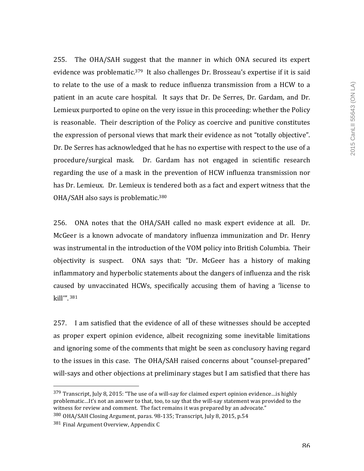255. The OHA/SAH suggest that the manner in which ONA secured its expert evidence was problematic.<sup>379</sup> It also challenges Dr. Brosseau's expertise if it is said to relate to the use of a mask to reduce influenza transmission from a HCW to a patient in an acute care hospital. It says that Dr. De Serres, Dr. Gardam, and Dr. Lemieux purported to opine on the very issue in this proceeding: whether the Policy is reasonable. Their description of the Policy as coercive and punitive constitutes the expression of personal views that mark their evidence as not "totally objective". Dr. De Serres has acknowledged that he has no expertise with respect to the use of a procedure/surgical mask. Dr. Gardam has not engaged in scientific research regarding the use of a mask in the prevention of HCW influenza transmission nor has Dr. Lemieux. Dr. Lemieux is tendered both as a fact and expert witness that the OHA/SAH also says is problematic.<sup>380</sup>

256. ONA notes that the OHA/SAH called no mask expert evidence at all. Dr. McGeer is a known advocate of mandatory influenza immunization and Dr. Henry was instrumental in the introduction of the VOM policy into British Columbia. Their objectivity is suspect. ONA says that: "Dr. McGeer has a history of making inflammatory and hyperbolic statements about the dangers of influenza and the risk caused by unvaccinated HCWs, specifically accusing them of having a 'license to kill'". <sup>381</sup>

257. I am satisfied that the evidence of all of these witnesses should be accepted as proper expert opinion evidence, albeit recognizing some inevitable limitations and ignoring some of the comments that might be seen as conclusory having regard to the issues in this case. The OHA/SAH raised concerns about "counsel-prepared" will-says and other objections at preliminary stages but I am satisfied that there has

<sup>379</sup> Transcript, July 8, 2015: "The use of a will-say for claimed expert opinion evidence... is highly problematic...It's not an answer to that, too, to say that the will-say statement was provided to the witness for review and comment. The fact remains it was prepared by an advocate."

<sup>380</sup> OHA/SAH Closing Argument, paras. 98-135; Transcript, July 8, 2015, p.54

 $381$  Final Argument Overview, Appendix C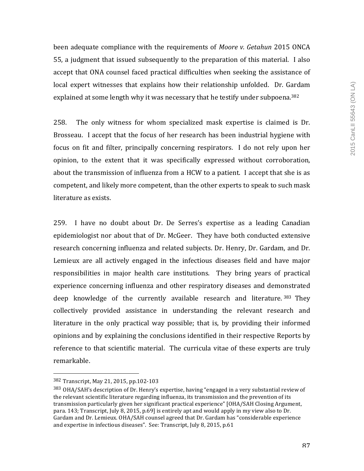been adequate compliance with the requirements of *Moore v. Getahun* 2015 ONCA 55, a judgment that issued subsequently to the preparation of this material. I also accept that ONA counsel faced practical difficulties when seeking the assistance of local expert witnesses that explains how their relationship unfolded. Dr. Gardam explained at some length why it was necessary that he testify under subpoena.<sup>382</sup>

258. The only witness for whom specialized mask expertise is claimed is Dr. Brosseau. I accept that the focus of her research has been industrial hygiene with focus on fit and filter, principally concerning respirators. I do not rely upon her opinion, to the extent that it was specifically expressed without corroboration, about the transmission of influenza from a HCW to a patient. I accept that she is as competent, and likely more competent, than the other experts to speak to such mask literature as exists.

259. I have no doubt about Dr. De Serres's expertise as a leading Canadian epidemiologist nor about that of Dr. McGeer. They have both conducted extensive research concerning influenza and related subjects. Dr. Henry, Dr. Gardam, and Dr. Lemieux are all actively engaged in the infectious diseases field and have major responsibilities in major health care institutions. They bring years of practical experience concerning influenza and other respiratory diseases and demonstrated deep knowledge of the currently available research and literature. 383 They collectively provided assistance in understanding the relevant research and literature in the only practical way possible; that is, by providing their informed opinions and by explaining the conclusions identified in their respective Reports by reference to that scientific material. The curricula vitae of these experts are truly remarkable.

<sup>382</sup> Transcript, May 21, 2015, pp.102-103

<sup>383</sup> OHA/SAH's description of Dr. Henry's expertise, having "engaged in a very substantial review of the relevant scientific literature regarding influenza, its transmission and the prevention of its transmission particularly given her significant practical experience" [OHA/SAH Closing Argument, para. 143; Transcript, July 8, 2015, p.69] is entirely apt and would apply in my view also to Dr. Gardam and Dr. Lemieux. OHA/SAH counsel agreed that Dr. Gardam has "considerable experience and expertise in infectious diseases". See: Transcript, July 8, 2015, p.61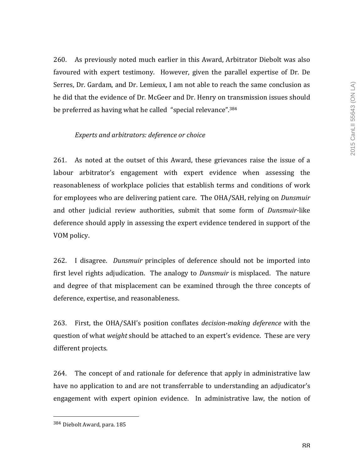260. As previously noted much earlier in this Award, Arbitrator Diebolt was also favoured with expert testimony. However, given the parallel expertise of Dr. De Serres, Dr. Gardam, and Dr. Lemieux, I am not able to reach the same conclusion as he did that the evidence of Dr. McGeer and Dr. Henry on transmission issues should be preferred as having what he called "special relevance".<sup>384</sup>

## Experts and arbitrators: deference or choice

261. As noted at the outset of this Award, these grievances raise the issue of a labour arbitrator's engagement with expert evidence when assessing the reasonableness of workplace policies that establish terms and conditions of work for employees who are delivering patient care. The OHA/SAH, relying on *Dunsmuir* and other judicial review authorities, submit that some form of *Dunsmuir-like* deference should apply in assessing the expert evidence tendered in support of the VOM policy.

262. I disagree. *Dunsmuir* principles of deference should not be imported into first level rights adjudication. The analogy to *Dunsmuir* is misplaced. The nature and degree of that misplacement can be examined through the three concepts of deference, expertise, and reasonableness.

263. First, the OHA/SAH's position conflates *decision-making deference* with the question of what *weight* should be attached to an expert's evidence. These are very different projects.

264. The concept of and rationale for deference that apply in administrative law have no application to and are not transferrable to understanding an adjudicator's engagement with expert opinion evidence. In administrative law, the notion of

<sup>384</sup> Diebolt Award, para. 185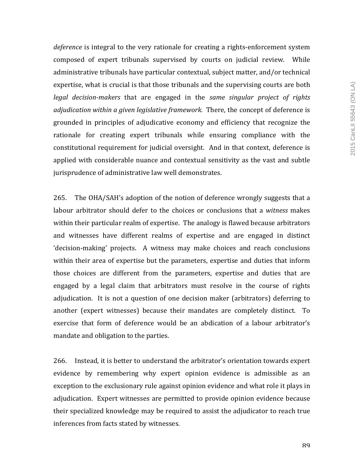*deference* is integral to the very rationale for creating a rights-enforcement system composed of expert tribunals supervised by courts on judicial review. While administrative tribunals have particular contextual, subject matter, and/or technical expertise, what is crucial is that those tribunals and the supervising courts are both legal decision-makers that are engaged in the *same singular project of rights adjudication within a given legislative framework.* There, the concept of deference is grounded in principles of adjudicative economy and efficiency that recognize the rationale for creating expert tribunals while ensuring compliance with the constitutional requirement for judicial oversight. And in that context, deference is applied with considerable nuance and contextual sensitivity as the vast and subtle jurisprudence of administrative law well demonstrates.

265. The OHA/SAH's adoption of the notion of deference wrongly suggests that a labour arbitrator should defer to the choices or conclusions that a *witness* makes within their particular realm of expertise. The analogy is flawed because arbitrators and witnesses have different realms of expertise and are engaged in distinct 'decision-making' projects. A witness may make choices and reach conclusions within their area of expertise but the parameters, expertise and duties that inform those choices are different from the parameters, expertise and duties that are engaged by a legal claim that arbitrators must resolve in the course of rights adjudication. It is not a question of one decision maker (arbitrators) deferring to another (expert witnesses) because their mandates are completely distinct. To exercise that form of deference would be an abdication of a labour arbitrator's mandate and obligation to the parties.

266. Instead, it is better to understand the arbitrator's orientation towards expert evidence by remembering why expert opinion evidence is admissible as an exception to the exclusionary rule against opinion evidence and what role it plays in adjudication. Expert witnesses are permitted to provide opinion evidence because their specialized knowledge may be required to assist the adjudicator to reach true inferences from facts stated by witnesses.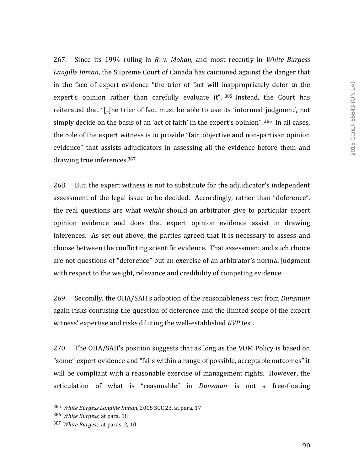267. Since its 1994 ruling in *R. v. Mohan*, and most recently in *White Burgess Langille Inman*, the Supreme Court of Canada has cautioned against the danger that in the face of expert evidence "the trier of fact will inappropriately defer to the expert's opinion rather than carefully evaluate it".  $385$  Instead, the Court has reiterated that "[t]he trier of fact must be able to use its 'informed judgment', not simply decide on the basis of an 'act of faith' in the expert's opinion".  $386$  In all cases, the role of the expert witness is to provide "fair, objective and non-partisan opinion evidence" that assists adjudicators in assessing all the evidence before them and drawing true inferences.<sup>387</sup>

268. But, the expert witness is not to substitute for the adjudicator's independent assessment of the legal issue to be decided. Accordingly, rather than "deference", the real questions are what *weight* should an arbitrator give to particular expert opinion evidence and does that expert opinion evidence assist in drawing inferences. As set out above, the parties agreed that it is necessary to assess and choose between the conflicting scientific evidence. That assessment and such choice are not questions of "deference" but an exercise of an arbitrator's normal judgment with respect to the weight, relevance and credibility of competing evidence.

269. Secondly, the OHA/SAH's adoption of the reasonableness test from *Dunsmuir* again risks confusing the question of deference and the limited scope of the expert witness' expertise and risks diluting the well-established *KVP* test.

270. The OHA/SAH's position suggests that as long as the VOM Policy is based on " some" expert evidence and "falls within a range of possible, acceptable outcomes" it will be compliant with a reasonable exercise of management rights. However, the articulation of what is "reasonable" in *Dunsmuir* is not a free-floating

<sup>385</sup> *White Burgess Langille Inman*, 2015 SCC 23, at para. 17

<sup>386</sup> White Burgess, at para. 18

<sup>387</sup> *White Burgess*, at paras. 2, 10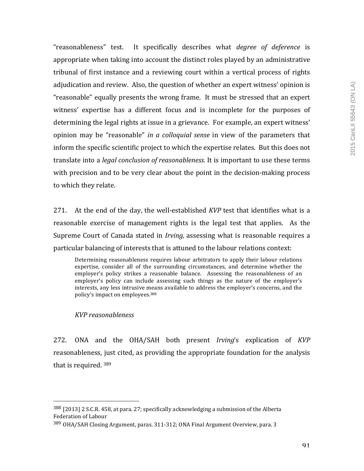"reasonableness" test. It specifically describes what *degree of deference* is appropriate when taking into account the distinct roles played by an administrative tribunal of first instance and a reviewing court within a vertical process of rights adjudication and review. Also, the question of whether an expert witness' opinion is "reasonable" equally presents the wrong frame. It must be stressed that an expert witness' expertise has a different focus and is incomplete for the purposes of determining the legal rights at issue in a grievance. For example, an expert witness' opinion may be "reasonable" *in a colloquial sense* in view of the parameters that inform the specific scientific project to which the expertise relates. But this does not translate into a *legal conclusion of reasonableness*. It is important to use these terms with precision and to be very clear about the point in the decision-making process to which they relate.

271. At the end of the day, the well-established *KVP* test that identifies what is a reasonable exercise of management rights is the legal test that applies. As the Supreme Court of Canada stated in *Irving*, assessing what is reasonable requires a particular balancing of interests that is attuned to the labour relations context:

Determining reasonableness requires labour arbitrators to apply their labour relations expertise, consider all of the surrounding circumstances, and determine whether the employer's policy strikes a reasonable balance. Assessing the reasonableness of an employer's policy can include assessing such things as the nature of the employer's interests, any less intrusive means available to address the employer's concerns, and the policy's impact on employees.<sup>388</sup>

#### *KVP reasonableness*

 

272. ONA and the OHA/SAH both present *Irving's* explication of *KVP* reasonableness, just cited, as providing the appropriate foundation for the analysis that is required.  $389$ 

 $388$  [2013] 2 S.C.R. 458, at para. 27; specifically acknowledging a submission of the Alberta Federation of Labour

<sup>389</sup> OHA/SAH Closing Argument, paras. 311-312; ONA Final Argument Overview, para. 3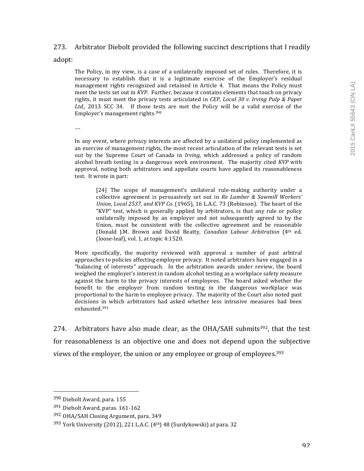## 273. Arbitrator Diebolt provided the following succinct descriptions that I readily

adopt:

The Policy, in my view, is a case of a unilaterally imposed set of rules. Therefore, it is necessary to establish that it is a legitimate exercise of the Employer's residual management rights recognized and retained in Article 4. That means the Policy must meet the tests set out in *KVP*. Further, because it contains elements that touch on privacy rights, it must meet the privacy tests articulated in *CEP*, Local 30 v. Irving Pulp & Paper Ltd., 2013 SCC 34. If those tests are met the Policy will be a valid exercise of the Employer's management rights.<sup>390</sup>

….

In any event, where privacy interests are affected by a unilateral policy implemented as an exercise of management rights, the most recent articulation of the relevant tests is set out by the Supreme Court of Canada in *Irving*, which addressed a policy of random alcohol breath testing in a dangerous work environment. The majority cited *KVP* with approval, noting both arbitrators and appellate courts have applied its reasonableness test. It wrote in part:

[24] The scope of management's unilateral rule-making authority under a collective agreement is persuasively set out in *Re Lumber & Sawmill Workers' Union, Local 2537, and KVP Co.* (1965), 16 L.A.C. 73 (Robinson). The heart of the "KVP" test, which is generally applied by arbitrators, is that any rule or policy unilaterally imposed by an employer and not subsequently agreed to by the Union, must be consistent with the collective agreement and be reasonable (Donald J.M. Brown and David Beatty, *Canadian Labour Arbitration*  (4th ed. (loose-leaf), vol. 1, at topic  $4:1520$ .

More specifically, the majority reviewed with approval a number of past arbitral approaches to policies affecting employee privacy. It noted arbitrators have engaged in a "balancing of interests" approach. In the arbitration awards under review, the board weighed the employer's interest in random alcohol testing as a workplace safety measure against the harm to the privacy interests of employees. The board asked whether the benefit to the employer from random testing in the dangerous workplace was proportional to the harm to employee privacy. The majority of the Court also noted past decisions in which arbitrators had asked whether less intrusive measures had been exhausted.391

274. Arbitrators have also made clear, as the OHA/SAH submits<sup>392</sup>, that the test for reasonableness is an objective one and does not depend upon the subjective views of the employer, the union or any employee or group of employees.<sup>393</sup>

<sup>390</sup> Diebolt Award, para. 155

<sup>391</sup> Diebolt Award, paras. 161-162

<sup>392</sup> OHA/SAH Closing Argument, para. 349

 $393$  York University (2012), 221 L.A.C. (4<sup>th</sup>) 48 (Surdykowski) at para. 32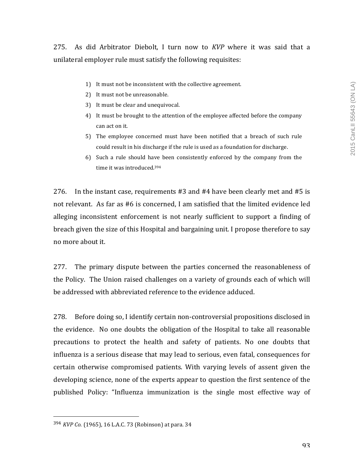- 1) It must not be inconsistent with the collective agreement.
- 2) It must not be unreasonable.
- 3) It must be clear and unequivocal.
- 4) It must be brought to the attention of the employee affected before the company can act on it.
- 5) The employee concerned must have been notified that a breach of such rule could result in his discharge if the rule is used as a foundation for discharge.
- 6) Such a rule should have been consistently enforced by the company from the time it was introduced.<sup>394</sup>

276. In the instant case, requirements  $#3$  and  $#4$  have been clearly met and  $#5$  is not relevant. As far as  $#6$  is concerned, I am satisfied that the limited evidence led alleging inconsistent enforcement is not nearly sufficient to support a finding of breach given the size of this Hospital and bargaining unit. I propose therefore to say no more about it.

277. The primary dispute between the parties concerned the reasonableness of the Policy. The Union raised challenges on a variety of grounds each of which will be addressed with abbreviated reference to the evidence adduced.

278. Before doing so, I identify certain non-controversial propositions disclosed in the evidence. No one doubts the obligation of the Hospital to take all reasonable precautions to protect the health and safety of patients. No one doubts that influenza is a serious disease that may lead to serious, even fatal, consequences for certain otherwise compromised patients. With varying levels of assent given the developing science, none of the experts appear to question the first sentence of the published Policy: "Influenza immunization is the single most effective way of

<sup>394</sup> *KVP Co.* (1965), 16 L.A.C. 73 (Robinson) at para. 34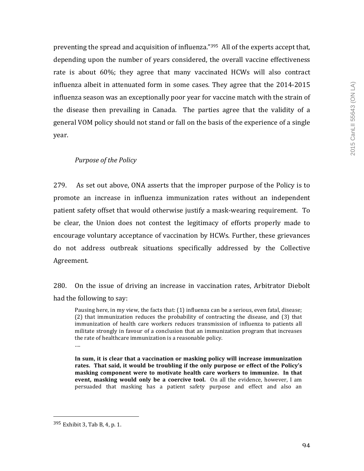preventing the spread and acquisition of influenza."<sup>395</sup> All of the experts accept that, depending upon the number of years considered, the overall vaccine effectiveness rate is about  $60\%$ ; they agree that many vaccinated HCWs will also contract influenza albeit in attenuated form in some cases. They agree that the 2014-2015 influenza season was an exceptionally poor year for vaccine match with the strain of the disease then prevailing in Canada. The parties agree that the validity of a general VOM policy should not stand or fall on the basis of the experience of a single year.

## **Purpose** of the Policy

279. As set out above, ONA asserts that the improper purpose of the Policy is to promote an increase in influenza immunization rates without an independent patient safety offset that would otherwise justify a mask-wearing requirement. To be clear, the Union does not contest the legitimacy of efforts properly made to encourage voluntary acceptance of vaccination by HCWs. Further, these grievances do not address outbreak situations specifically addressed by the Collective Agreement.

280. On the issue of driving an increase in vaccination rates, Arbitrator Diebolt had the following to say:

Pausing here, in my view, the facts that: (1) influenza can be a serious, even fatal, disease;  $(2)$  that immunization reduces the probability of contracting the disease, and  $(3)$  that immunization of health care workers reduces transmission of influenza to patients all militate strongly in favour of a conclusion that an immunization program that increases the rate of healthcare immunization is a reasonable policy. ….

In sum, it is clear that a vaccination or masking policy will increase immunization rates. That said, it would be troubling if the only purpose or effect of the Policy's masking component were to motivate health care workers to immunize. In that **event, masking would only be a coercive tool.** On all the evidence, however, I am persuaded that masking has a patient safety purpose and effect and also an 

 $395$  Exhibit 3, Tab B, 4, p. 1.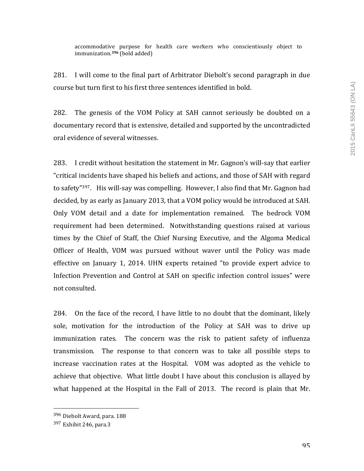accommodative purpose for health care workers who conscientiously object to immunization.<sup>396</sup> (bold added)

281. I will come to the final part of Arbitrator Diebolt's second paragraph in due course but turn first to his first three sentences identified in bold.

282. The genesis of the VOM Policy at SAH cannot seriously be doubted on a documentary record that is extensive, detailed and supported by the uncontradicted oral evidence of several witnesses.

283. I credit without hesitation the statement in Mr. Gagnon's will-say that earlier "critical incidents have shaped his beliefs and actions, and those of SAH with regard to safety"<sup>397</sup>. His will-say was compelling. However, I also find that Mr. Gagnon had decided, by as early as January 2013, that a VOM policy would be introduced at SAH. Only VOM detail and a date for implementation remained. The bedrock VOM requirement had been determined. Notwithstanding questions raised at various times by the Chief of Staff, the Chief Nursing Executive, and the Algoma Medical Officer of Health, VOM was pursued without waver until the Policy was made effective on January 1, 2014. UHN experts retained "to provide expert advice to Infection Prevention and Control at SAH on specific infection control issues" were not consulted.

284. On the face of the record, I have little to no doubt that the dominant, likely sole, motivation for the introduction of the Policy at SAH was to drive up immunization rates. The concern was the risk to patient safety of influenza transmission. The response to that concern was to take all possible steps to increase vaccination rates at the Hospital. VOM was adopted as the vehicle to achieve that objective. What little doubt I have about this conclusion is allayed by what happened at the Hospital in the Fall of 2013. The record is plain that Mr.

<sup>396</sup> Diebolt Award, para. 188

 $397$  Exhibit 246, para.3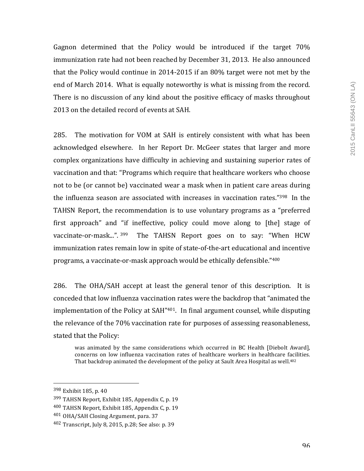Gagnon determined that the Policy would be introduced if the target  $70\%$ immunization rate had not been reached by December 31, 2013. He also announced that the Policy would continue in 2014-2015 if an 80% target were not met by the end of March 2014. What is equally noteworthy is what is missing from the record. There is no discussion of any kind about the positive efficacy of masks throughout 2013 on the detailed record of events at SAH.

285. The motivation for VOM at SAH is entirely consistent with what has been acknowledged elsewhere. In her Report Dr. McGeer states that larger and more complex organizations have difficulty in achieving and sustaining superior rates of vaccination and that: "Programs which require that healthcare workers who choose not to be (or cannot be) vaccinated wear a mask when in patient care areas during the influenza season are associated with increases in vaccination rates." $398$  In the TAHSN Report, the recommendation is to use voluntary programs as a "preferred first approach" and "if ineffective, policy could move along to [the] stage of vaccinate-or-mask...".  $399$  The TAHSN Report goes on to say: "When HCW immunization rates remain low in spite of state-of-the-art educational and incentive programs, a vaccinate-or-mask approach would be ethically defensible."<sup>400</sup>

286. The OHA/SAH accept at least the general tenor of this description. It is conceded that low influenza vaccination rates were the backdrop that "animated the implementation of the Policy at SAH $^{\prime\prime}$ 401. In final argument counsel, while disputing the relevance of the 70% vaccination rate for purposes of assessing reasonableness, stated that the Policy:

was animated by the same considerations which occurred in BC Health [Diebolt Award], concerns on low influenza vaccination rates of healthcare workers in healthcare facilities. That backdrop animated the development of the policy at Sault Area Hospital as well.<sup>402</sup>

<sup>398</sup> Exhibit 185, p. 40

<sup>399</sup> TAHSN Report, Exhibit 185, Appendix C, p. 19

 $400$  TAHSN Report, Exhibit 185, Appendix C, p. 19

<sup>401</sup> OHA/SAH Closing Argument, para. 37

 $402$  Transcript, July 8, 2015, p.28; See also: p. 39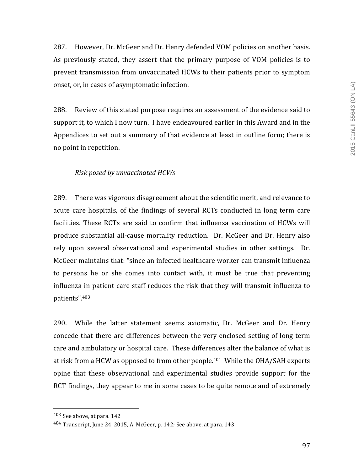287. However, Dr. McGeer and Dr. Henry defended VOM policies on another basis. As previously stated, they assert that the primary purpose of VOM policies is to prevent transmission from unvaccinated HCWs to their patients prior to symptom onset, or, in cases of asymptomatic infection.

288. Review of this stated purpose requires an assessment of the evidence said to support it, to which I now turn. I have endeavoured earlier in this Award and in the Appendices to set out a summary of that evidence at least in outline form; there is no point in repetition.

## *Risk posed by unvaccinated HCWs*

289. There was vigorous disagreement about the scientific merit, and relevance to acute care hospitals, of the findings of several RCTs conducted in long term care facilities. These RCTs are said to confirm that influenza vaccination of HCWs will produce substantial all-cause mortality reduction. Dr. McGeer and Dr. Henry also rely upon several observational and experimental studies in other settings. Dr. McGeer maintains that: "since an infected healthcare worker can transmit influenza to persons he or she comes into contact with, it must be true that preventing influenza in patient care staff reduces the risk that they will transmit influenza to patients".403

290. While the latter statement seems axiomatic, Dr. McGeer and Dr. Henry concede that there are differences between the very enclosed setting of long-term care and ambulatory or hospital care. These differences alter the balance of what is at risk from a HCW as opposed to from other people.<sup>404</sup> While the OHA/SAH experts opine that these observational and experimental studies provide support for the RCT findings, they appear to me in some cases to be quite remote and of extremely

<sup>403</sup> See above, at para. 142

 $404$  Transcript, June 24, 2015, A. McGeer, p. 142; See above, at para. 143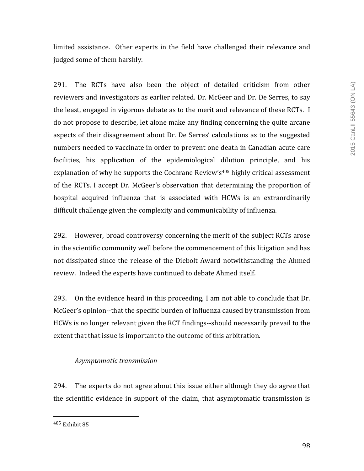limited assistance. Other experts in the field have challenged their relevance and judged some of them harshly.

291. The RCTs have also been the object of detailed criticism from other reviewers and investigators as earlier related. Dr. McGeer and Dr. De Serres, to say the least, engaged in vigorous debate as to the merit and relevance of these RCTs. I do not propose to describe, let alone make any finding concerning the quite arcane aspects of their disagreement about Dr. De Serres' calculations as to the suggested numbers needed to vaccinate in order to prevent one death in Canadian acute care facilities, his application of the epidemiological dilution principle, and his explanation of why he supports the Cochrane Review's<sup>405</sup> highly critical assessment of the RCTs. I accept Dr. McGeer's observation that determining the proportion of hospital acquired influenza that is associated with HCWs is an extraordinarily difficult challenge given the complexity and communicability of influenza.

292. However, broad controversy concerning the merit of the subject RCTs arose in the scientific community well before the commencement of this litigation and has not dissipated since the release of the Diebolt Award notwithstanding the Ahmed review. Indeed the experts have continued to debate Ahmed itself.

293. On the evidence heard in this proceeding, I am not able to conclude that Dr. McGeer's opinion--that the specific burden of influenza caused by transmission from HCWs is no longer relevant given the RCT findings--should necessarily prevail to the extent that that issue is important to the outcome of this arbitration.

# *Asymptomatic transmission*

294. The experts do not agree about this issue either although they do agree that the scientific evidence in support of the claim, that asymptomatic transmission is

<sup>&</sup>lt;sup>405</sup> Exhibit 85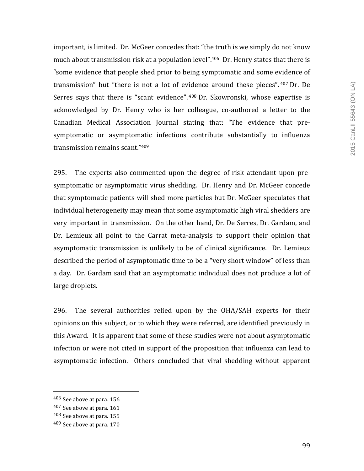important, is limited. Dr. McGeer concedes that: "the truth is we simply do not know much about transmission risk at a population  $level$ ".<sup>406</sup> Dr. Henry states that there is "some evidence that people shed prior to being symptomatic and some evidence of transmission" but "there is not a lot of evidence around these pieces". 407 Dr. De Serres says that there is "scant evidence". 408 Dr. Skowronski, whose expertise is acknowledged by Dr. Henry who is her colleague, co-authored a letter to the Canadian Medical Association Journal stating that: "The evidence that presymptomatic or asymptomatic infections contribute substantially to influenza transmission remains scant."409

295. The experts also commented upon the degree of risk attendant upon presymptomatic or asymptomatic virus shedding. Dr. Henry and Dr. McGeer concede that symptomatic patients will shed more particles but Dr. McGeer speculates that individual heterogeneity may mean that some asymptomatic high viral shedders are very important in transmission. On the other hand, Dr. De Serres, Dr. Gardam, and Dr. Lemieux all point to the Carrat meta-analysis to support their opinion that asymptomatic transmission is unlikely to be of clinical significance. Dr. Lemieux described the period of asymptomatic time to be a "very short window" of less than a day. Dr. Gardam said that an asymptomatic individual does not produce a lot of large droplets.

296. The several authorities relied upon by the OHA/SAH experts for their opinions on this subject, or to which they were referred, are identified previously in this Award. It is apparent that some of these studies were not about asymptomatic infection or were not cited in support of the proposition that influenza can lead to asymptomatic infection. Others concluded that viral shedding without apparent

<sup>406</sup> See above at para. 156

 $407$  See above at para. 161

<sup>408</sup> See above at para. 155

 $409$  See above at para. 170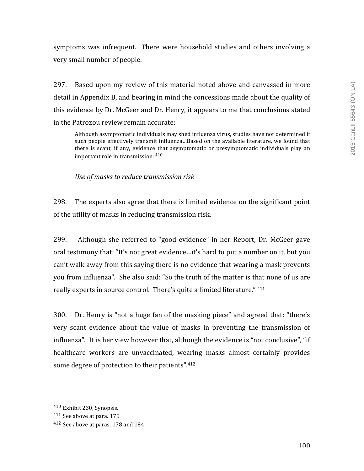symptoms was infrequent. There were household studies and others involving a very small number of people.

297. Based upon my review of this material noted above and canvassed in more detail in Appendix B, and bearing in mind the concessions made about the quality of this evidence by Dr. McGeer and Dr. Henry, it appears to me that conclusions stated in the Patrozou review remain accurate:

Although asymptomatic individuals may shed influenza virus, studies have not determined if such people effectively transmit influenza...Based on the available literature, we found that there is scant, if any, evidence that asymptomatic or presymptomatic individuals play an important role in transmission.  $410$ 

*Use of masks to reduce transmission risk*

298. The experts also agree that there is limited evidence on the significant point of the utility of masks in reducing transmission risk.

299. Although she referred to "good evidence" in her Report, Dr. McGeer gave oral testimony that: "It's not great evidence...it's hard to put a number on it, but you can't walk away from this saying there is no evidence that wearing a mask prevents you from influenza". She also said: "So the truth of the matter is that none of us are really experts in source control. There's quite a limited literature." 411

300. Dr. Henry is "not a huge fan of the masking piece" and agreed that: "there's very scant evidence about the value of masks in preventing the transmission of influenza". It is her view however that, although the evidence is "not conclusive", "if healthcare workers are unvaccinated, wearing masks almost certainly provides some degree of protection to their patients".<sup>412</sup>

<sup>410</sup> Exhibit 230, Synopsis.

<sup>411</sup> See above at para. 179

<sup>&</sup>lt;sup>412</sup> See above at paras. 178 and 184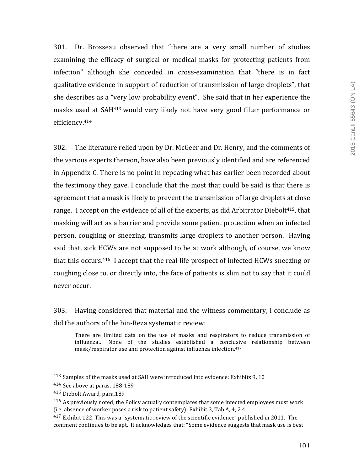301. Dr. Brosseau observed that "there are a very small number of studies examining the efficacy of surgical or medical masks for protecting patients from infection" although she conceded in cross-examination that "there is in fact qualitative evidence in support of reduction of transmission of large droplets", that she describes as a "very low probability event". She said that in her experience the masks used at SAH<sup>413</sup> would very likely not have very good filter performance or efficiency.414

302. The literature relied upon by Dr. McGeer and Dr. Henry, and the comments of the various experts thereon, have also been previously identified and are referenced in Appendix C. There is no point in repeating what has earlier been recorded about the testimony they gave. I conclude that the most that could be said is that there is agreement that a mask is likely to prevent the transmission of large droplets at close range. I accept on the evidence of all of the experts, as did Arbitrator Diebolt<sup>415</sup>, that masking will act as a barrier and provide some patient protection when an infected person, coughing or sneezing, transmits large droplets to another person. Having said that, sick HCWs are not supposed to be at work although, of course, we know that this occurs.<sup>416</sup> I accept that the real life prospect of infected HCWs sneezing or coughing close to, or directly into, the face of patients is slim not to say that it could never occur.

303. Having considered that material and the witness commentary, I conclude as did the authors of the bin-Reza systematic review:

There are limited data on the use of masks and respirators to reduce transmission of influenza... None of the studies established a conclusive relationship between mask/respirator use and protection against influenza infection.<sup>417</sup>

<sup>&</sup>lt;sup>413</sup> Samples of the masks used at SAH were introduced into evidence: Exhibits 9, 10

 $414$  See above at paras. 188-189

<sup>&</sup>lt;sup>415</sup> Diebolt Award, para.189

<sup>&</sup>lt;sup>416</sup> As previously noted, the Policy actually contemplates that some infected employees must work (i.e. absence of worker poses a risk to patient safety): Exhibit 3, Tab A, 4, 2.4

 $417$  Exhibit 122. This was a "systematic review of the scientific evidence" published in 2011. The comment continues to be apt. It acknowledges that: "Some evidence suggests that mask use is best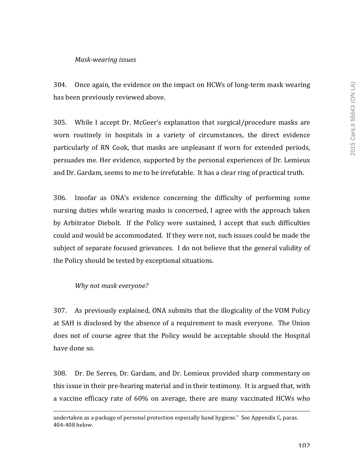## *Mask-wearing issues*

304. Once again, the evidence on the impact on HCWs of long-term mask wearing has been previously reviewed above.

305. While I accept Dr. McGeer's explanation that surgical/procedure masks are worn routinely in hospitals in a variety of circumstances, the direct evidence particularly of RN Cook, that masks are unpleasant if worn for extended periods, persuades me. Her evidence, supported by the personal experiences of Dr. Lemieux and Dr. Gardam, seems to me to be irrefutable. It has a clear ring of practical truth.

306. Insofar as ONA's evidence concerning the difficulty of performing some nursing duties while wearing masks is concerned, I agree with the approach taken by Arbitrator Diebolt. If the Policy were sustained, I accept that such difficulties could and would be accommodated. If they were not, such issues could be made the subject of separate focused grievances. I do not believe that the general validity of the Policy should be tested by exceptional situations.

## *Why not mask everyone?*

307. As previously explained, ONA submits that the illogicality of the VOM Policy at SAH is disclosed by the absence of a requirement to mask everyone. The Union does not of course agree that the Policy would be acceptable should the Hospital have done so.

308. Dr. De Serres, Dr. Gardam, and Dr. Lemieux provided sharp commentary on this issue in their pre-hearing material and in their testimony. It is argued that, with a vaccine efficacy rate of 60% on average, there are many vaccinated HCWs who

<u> 1989 - Andrea Santa Andrea Andrea Andrea Andrea Andrea Andrea Andrea Andrea Andrea Andrea Andrea Andrea Andr</u>

undertaken as a package of personal protection especially hand hygiene." See Appendix C, paras. 404-408 below.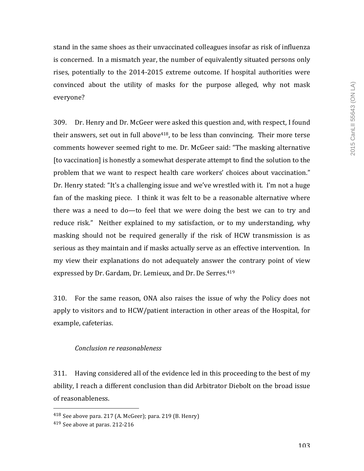stand in the same shoes as their unvaccinated colleagues insofar as risk of influenza is concerned. In a mismatch year, the number of equivalently situated persons only rises, potentially to the  $2014$ -2015 extreme outcome. If hospital authorities were convinced about the utility of masks for the purpose alleged, why not mask everyone?

309. Dr. Henry and Dr. McGeer were asked this question and, with respect, I found their answers, set out in full above<sup>418</sup>, to be less than convincing. Their more terse comments however seemed right to me. Dr. McGeer said: "The masking alternative [to vaccination] is honestly a somewhat desperate attempt to find the solution to the problem that we want to respect health care workers' choices about vaccination." Dr. Henry stated: "It's a challenging issue and we've wrestled with it. I'm not a huge fan of the masking piece. I think it was felt to be a reasonable alternative where there was a need to do—to feel that we were doing the best we can to try and reduce risk." Neither explained to my satisfaction, or to my understanding, why masking should not be required generally if the risk of HCW transmission is as serious as they maintain and if masks actually serve as an effective intervention. In my view their explanations do not adequately answer the contrary point of view expressed by Dr. Gardam, Dr. Lemieux, and Dr. De Serres.<sup>419</sup>

310. For the same reason, ONA also raises the issue of why the Policy does not apply to visitors and to HCW/patient interaction in other areas of the Hospital, for example, cafeterias.

## *Conclusion re reasonableness*

311. Having considered all of the evidence led in this proceeding to the best of my ability, I reach a different conclusion than did Arbitrator Diebolt on the broad issue of reasonableness.

 $418$  See above para. 217 (A. McGeer); para. 219 (B. Henry)

 $419$  See above at paras. 212-216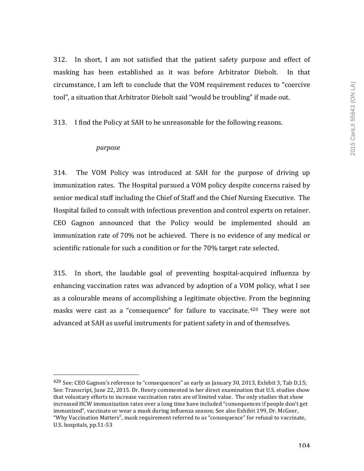$312.$  In short, I am not satisfied that the patient safety purpose and effect of masking has been established as it was before Arbitrator Diebolt. In that circumstance, I am left to conclude that the VOM requirement reduces to "coercive tool", a situation that Arbitrator Diebolt said "would be troubling" if made out.

313. I find the Policy at SAH to be unreasonable for the following reasons.

#### *purpose*

 

314. The VOM Policy was introduced at SAH for the purpose of driving up immunization rates. The Hospital pursued a VOM policy despite concerns raised by senior medical staff including the Chief of Staff and the Chief Nursing Executive. The Hospital failed to consult with infectious prevention and control experts on retainer. CEO Gagnon announced that the Policy would be implemented should an immunization rate of 70% not be achieved. There is no evidence of any medical or scientific rationale for such a condition or for the 70% target rate selected.

315. In short, the laudable goal of preventing hospital-acquired influenza by enhancing vaccination rates was advanced by adoption of a VOM policy, what I see as a colourable means of accomplishing a legitimate objective. From the beginning masks were cast as a "consequence" for failure to vaccinate. <sup>420</sup> They were not advanced at SAH as useful instruments for patient safety in and of themselves.

<sup>&</sup>lt;sup>420</sup> See: CEO Gagnon's reference to "consequences" as early as January 30, 2013, Exhibit 3, Tab D,15; See: Transcript, June 22, 2015. Dr. Henry commented in her direct examination that U.S. studies show that voluntary efforts to increase vaccination rates are of limited value. The only studies that show increased HCW immunization rates over a long time have included "consequences if people don't get immunized", vaccinate or wear a mask during influenza season; See also Exhibit 199, Dr. McGeer, "Why Vaccination Matters", mask requirement referred to as "consequence" for refusal to vaccinate, U.S. hospitals, pp.51-53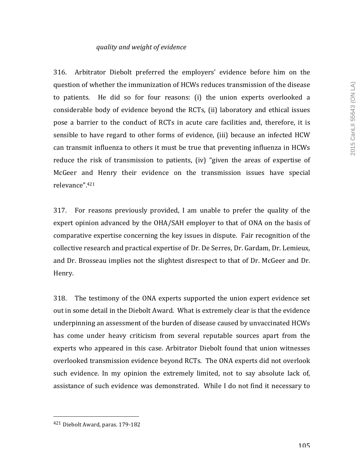## *quality and weight of evidence*

316. Arbitrator Diebolt preferred the employers' evidence before him on the question of whether the immunization of HCWs reduces transmission of the disease to patients. He did so for four reasons: (i) the union experts overlooked a considerable body of evidence beyond the RCTs, (ii) laboratory and ethical issues pose a barrier to the conduct of RCTs in acute care facilities and, therefore, it is sensible to have regard to other forms of evidence, (iii) because an infected HCW can transmit influenza to others it must be true that preventing influenza in HCWs reduce the risk of transmission to patients, (iv) "given the areas of expertise of McGeer and Henry their evidence on the transmission issues have special relevance". 421

317. For reasons previously provided, I am unable to prefer the quality of the expert opinion advanced by the OHA/SAH employer to that of ONA on the basis of comparative expertise concerning the key issues in dispute. Fair recognition of the collective research and practical expertise of Dr. De Serres, Dr. Gardam, Dr. Lemieux, and Dr. Brosseau implies not the slightest disrespect to that of Dr. McGeer and Dr. Henry. 

318. The testimony of the ONA experts supported the union expert evidence set out in some detail in the Diebolt Award. What is extremely clear is that the evidence underpinning an assessment of the burden of disease caused by unvaccinated HCWs has come under heavy criticism from several reputable sources apart from the experts who appeared in this case. Arbitrator Diebolt found that union witnesses overlooked transmission evidence beyond RCTs. The ONA experts did not overlook such evidence. In my opinion the extremely limited, not to say absolute lack of, assistance of such evidence was demonstrated. While I do not find it necessary to

 421 Diebolt Award, paras. 179-182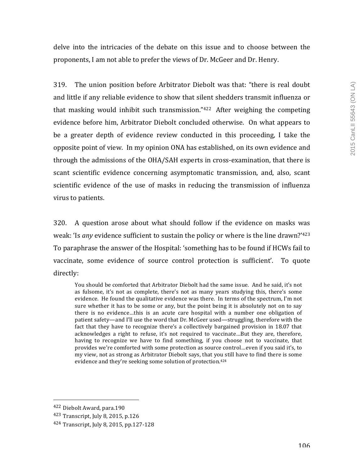delve into the intricacies of the debate on this issue and to choose between the proponents, I am not able to prefer the views of Dr. McGeer and Dr. Henry.

319. The union position before Arbitrator Diebolt was that: "there is real doubt and little if any reliable evidence to show that silent shedders transmit influenza or that masking would inhibit such transmission."<sup>422</sup> After weighing the competing evidence before him, Arbitrator Diebolt concluded otherwise. On what appears to be a greater depth of evidence review conducted in this proceeding, I take the opposite point of view. In my opinion ONA has established, on its own evidence and through the admissions of the OHA/SAH experts in cross-examination, that there is scant scientific evidence concerning asymptomatic transmission, and, also, scant scientific evidence of the use of masks in reducing the transmission of influenza virus to patients.

 $320.$  A question arose about what should follow if the evidence on masks was weak: 'Is *any* evidence sufficient to sustain the policy or where is the line drawn?'<sup>423</sup> To paraphrase the answer of the Hospital: 'something has to be found if HCWs fail to vaccinate, some evidence of source control protection is sufficient'. To quote directly:

You should be comforted that Arbitrator Diebolt had the same issue. And he said, it's not as fulsome, it's not as complete, there's not as many years studying this, there's some evidence. He found the qualitative evidence was there. In terms of the spectrum, I'm not sure whether it has to be some or any, but the point being it is absolutely not on to say there is no evidence...this is an acute care hospital with a number one obligation of patient safety—and I'll use the word that Dr. McGeer used—struggling, therefore with the fact that they have to recognize there's a collectively bargained provision in 18.07 that acknowledges a right to refuse, it's not required to vaccinate...But they are, therefore, having to recognize we have to find something, if you choose not to vaccinate, that provides we're comforted with some protection as source control…even if you said it's, to my view, not as strong as Arbitrator Diebolt says, that you still have to find there is some evidence and they're seeking some solution of protection.<sup>424</sup>

<sup>422</sup> Diebolt Award, para.190

<sup>423</sup> Transcript, July 8, 2015, p.126

 $424$  Transcript, July 8, 2015, pp.127-128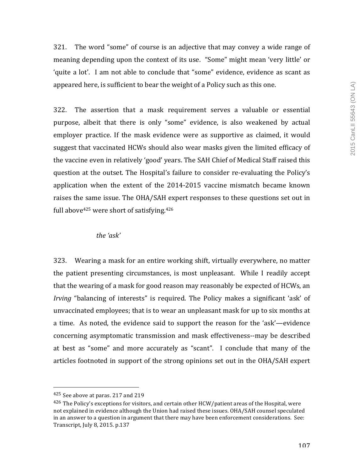321. The word "some" of course is an adjective that may convey a wide range of meaning depending upon the context of its use. "Some" might mean 'very little' or 'quite a lot'. I am not able to conclude that "some" evidence, evidence as scant as appeared here, is sufficient to bear the weight of a Policy such as this one.

322. The assertion that a mask requirement serves a valuable or essential purpose, albeit that there is only "some" evidence, is also weakened by actual employer practice. If the mask evidence were as supportive as claimed, it would suggest that vaccinated HCWs should also wear masks given the limited efficacy of the vaccine even in relatively 'good' years. The SAH Chief of Medical Staff raised this question at the outset. The Hospital's failure to consider re-evaluating the Policy's application when the extent of the  $2014-2015$  vaccine mismatch became known raises the same issue. The OHA/SAH expert responses to these questions set out in full above<sup>425</sup> were short of satisfying.<sup>426</sup>

## *the 'ask'*

323. Wearing a mask for an entire working shift, virtually everywhere, no matter the patient presenting circumstances, is most unpleasant. While I readily accept that the wearing of a mask for good reason may reasonably be expected of HCWs, an *Irving* "balancing of interests" is required. The Policy makes a significant 'ask' of unvaccinated employees; that is to wear an unpleasant mask for up to six months at a time. As noted, the evidence said to support the reason for the 'ask'—evidence concerning asymptomatic transmission and mask effectiveness--may be described at best as "some" and more accurately as "scant". I conclude that many of the articles footnoted in support of the strong opinions set out in the OHA/SAH expert

  $425$  See above at paras. 217 and 219

<sup>426</sup> The Policy's exceptions for visitors, and certain other HCW/patient areas of the Hospital, were not explained in evidence although the Union had raised these issues. OHA/SAH counsel speculated in an answer to a question in argument that there may have been enforcement considerations. See: Transcript, July 8, 2015. p.137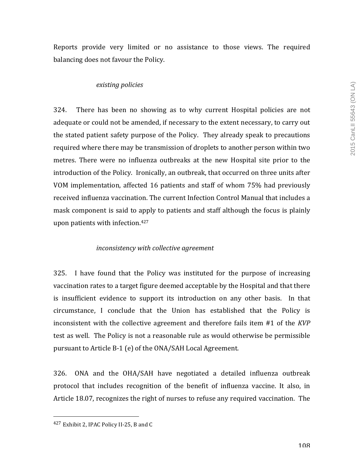Reports provide very limited or no assistance to those views. The required balancing does not favour the Policy.

#### *existing policies*

 $324.$  There has been no showing as to why current Hospital policies are not adequate or could not be amended, if necessary to the extent necessary, to carry out the stated patient safety purpose of the Policy. They already speak to precautions required where there may be transmission of droplets to another person within two metres. There were no influenza outbreaks at the new Hospital site prior to the introduction of the Policy. Ironically, an outbreak, that occurred on three units after VOM implementation, affected 16 patients and staff of whom 75% had previously received influenza vaccination. The current Infection Control Manual that includes a mask component is said to apply to patients and staff although the focus is plainly upon patients with infection.<sup>427</sup>

#### *inconsistency with collective agreement*

325. I have found that the Policy was instituted for the purpose of increasing vaccination rates to a target figure deemed acceptable by the Hospital and that there is insufficient evidence to support its introduction on any other basis. In that circumstance, I conclude that the Union has established that the Policy is inconsistent with the collective agreement and therefore fails item #1 of the *KVP* test as well. The Policy is not a reasonable rule as would otherwise be permissible pursuant to Article B-1 (e) of the ONA/SAH Local Agreement.

326. ONA and the OHA/SAH have negotiated a detailed influenza outbreak protocol that includes recognition of the benefit of influenza vaccine. It also, in Article 18.07, recognizes the right of nurses to refuse any required vaccination. The

<sup>427</sup> Exhibit 2, IPAC Policy II-25, B and C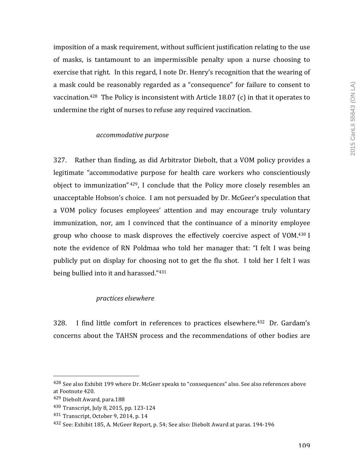imposition of a mask requirement, without sufficient justification relating to the use of masks, is tantamount to an impermissible penalty upon a nurse choosing to exercise that right. In this regard, I note Dr. Henry's recognition that the wearing of a mask could be reasonably regarded as a "consequence" for failure to consent to vaccination.<sup>428</sup> The Policy is inconsistent with Article 18.07 (c) in that it operates to undermine the right of nurses to refuse any required vaccination.

### *accommodative purpose*

327. Rather than finding, as did Arbitrator Diebolt, that a VOM policy provides a legitimate "accommodative purpose for health care workers who conscientiously object to immunization"  $429$ , I conclude that the Policy more closely resembles an unacceptable Hobson's choice. I am not persuaded by Dr. McGeer's speculation that a VOM policy focuses employees' attention and may encourage truly voluntary immunization, nor, am I convinced that the continuance of a minority employee group who choose to mask disproves the effectively coercive aspect of VOM.<sup>430</sup> I note the evidence of RN Poldmaa who told her manager that: "I felt I was being publicly put on display for choosing not to get the flu shot. I told her I felt I was being bullied into it and harassed."431

### *practices elsewhere*

328. I find little comfort in references to practices elsewhere.<sup>432</sup> Dr. Gardam's concerns about the TAHSN process and the recommendations of other bodies are

<sup>&</sup>lt;sup>428</sup> See also Exhibit 199 where Dr. McGeer speaks to "consequences" also. See also references above at Footnote 420.

<sup>429</sup> Diebolt Award, para.188

<sup>430</sup> Transcript, July 8, 2015, pp. 123-124

<sup>431</sup> Transcript, October 9, 2014, p. 14

<sup>&</sup>lt;sup>432</sup> See: Exhibit 185, A. McGeer Report, p. 54; See also: Diebolt Award at paras. 194-196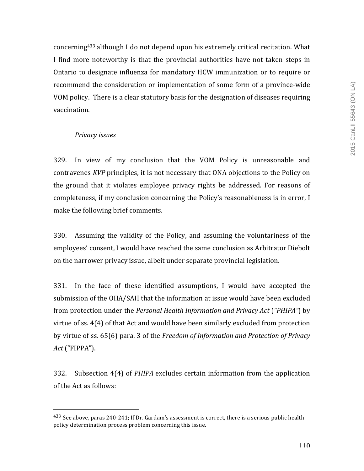concerning<sup>433</sup> although I do not depend upon his extremely critical recitation. What I find more noteworthy is that the provincial authorities have not taken steps in Ontario to designate influenza for mandatory HCW immunization or to require or recommend the consideration or implementation of some form of a province-wide VOM policy. There is a clear statutory basis for the designation of diseases requiring vaccination.

# *Privacy issues*

 

329. In view of my conclusion that the VOM Policy is unreasonable and contravenes *KVP* principles, it is not necessary that ONA objections to the Policy on the ground that it violates employee privacy rights be addressed. For reasons of completeness, if my conclusion concerning the Policy's reasonableness is in error, I make the following brief comments.

330. Assuming the validity of the Policy, and assuming the voluntariness of the employees' consent, I would have reached the same conclusion as Arbitrator Diebolt on the narrower privacy issue, albeit under separate provincial legislation.

331. In the face of these identified assumptions, I would have accepted the submission of the OHA/SAH that the information at issue would have been excluded from protection under the *Personal Health Information and Privacy Act* ("PHIPA") by virtue of ss.  $4(4)$  of that Act and would have been similarly excluded from protection by virtue of ss. 65(6) para. 3 of the *Freedom of Information and Protection of Privacy Act* ("FIPPA").

332. Subsection 4(4) of *PHIPA* excludes certain information from the application of the Act as follows:

 $433$  See above, paras 240-241; If Dr. Gardam's assessment is correct, there is a serious public health policy determination process problem concerning this issue.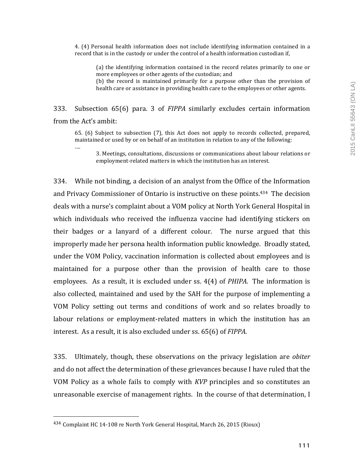4. (4) Personal health information does not include identifying information contained in a record that is in the custody or under the control of a health information custodian if,

(a) the identifying information contained in the record relates primarily to one or more employees or other agents of the custodian; and

(b) the record is maintained primarily for a purpose other than the provision of health care or assistance in providing health care to the employees or other agents.

333. Subsection 65(6) para. 3 of *FIPPA*  similarly excludes certain information from the Act's ambit:

65. (6) Subject to subsection (7), this Act does not apply to records collected, prepared, maintained or used by or on behalf of an institution in relation to any of the following:

….

3. Meetings, consultations, discussions or communications about labour relations or employment-related matters in which the institution has an interest.

334. While not binding, a decision of an analyst from the Office of the Information and Privacy Commissioner of Ontario is instructive on these points.<sup>434</sup> The decision deals with a nurse's complaint about a VOM policy at North York General Hospital in which individuals who received the influenza vaccine had identifying stickers on their badges or a lanyard of a different colour. The nurse argued that this improperly made her persona health information public knowledge. Broadly stated, under the VOM Policy, vaccination information is collected about employees and is maintained for a purpose other than the provision of health care to those employees. As a result, it is excluded under ss. 4(4) of *PHIPA*. The information is also collected, maintained and used by the SAH for the purpose of implementing a VOM Policy setting out terms and conditions of work and so relates broadly to labour relations or employment-related matters in which the institution has an interest. As a result, it is also excluded under ss. 65(6) of *FIPPA*.

335. Ultimately, though, these observations on the privacy legislation are *obiter* and do not affect the determination of these grievances because I have ruled that the VOM Policy as a whole fails to comply with *KVP* principles and so constitutes an unreasonable exercise of management rights. In the course of that determination, I

 $434$  Complaint HC 14-108 re North York General Hospital, March 26, 2015 (Rioux)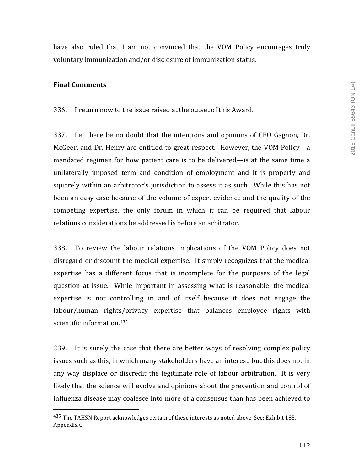have also ruled that I am not convinced that the VOM Policy encourages truly voluntary immunization and/or disclosure of immunization status.

### **Final Comments**

336. I return now to the issue raised at the outset of this Award.

 $337.$  Let there be no doubt that the intentions and opinions of CEO Gagnon, Dr. McGeer, and Dr. Henry are entitled to great respect. However, the VOM Policy—a mandated regimen for how patient care is to be delivered—is at the same time a unilaterally imposed term and condition of employment and it is properly and squarely within an arbitrator's jurisdiction to assess it as such. While this has not been an easy case because of the volume of expert evidence and the quality of the competing expertise, the only forum in which it can be required that labour relations considerations be addressed is before an arbitrator.

338. To review the labour relations implications of the VOM Policy does not disregard or discount the medical expertise. It simply recognizes that the medical expertise has a different focus that is incomplete for the purposes of the legal question at issue. While important in assessing what is reasonable, the medical expertise is not controlling in and of itself because it does not engage the labour/human rights/privacy expertise that balances employee rights with scientific information.<sup>435</sup>

339. It is surely the case that there are better ways of resolving complex policy issues such as this, in which many stakeholders have an interest, but this does not in any way displace or discredit the legitimate role of labour arbitration. It is very likely that the science will evolve and opinions about the prevention and control of influenza disease may coalesce into more of a consensus than has been achieved to

 $435$  The TAHSN Report acknowledges certain of these interests as noted above. See: Exhibit 185, Appendix C.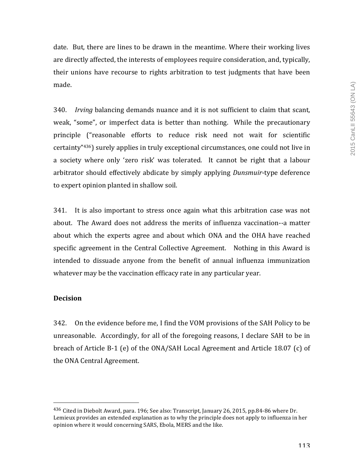date. But, there are lines to be drawn in the meantime. Where their working lives are directly affected, the interests of employees require consideration, and, typically, their unions have recourse to rights arbitration to test judgments that have been made. 

340. *Irving* balancing demands nuance and it is not sufficient to claim that scant, weak, "some", or imperfect data is better than nothing. While the precautionary principle ("reasonable efforts to reduce risk need not wait for scientific certainty" $436$ ) surely applies in truly exceptional circumstances, one could not live in a society where only 'zero risk' was tolerated. It cannot be right that a labour arbitrator should effectively abdicate by simply applying *Dunsmuir-type* deference to expert opinion planted in shallow soil.

 $341.$  It is also important to stress once again what this arbitration case was not about. The Award does not address the merits of influenza vaccination--a matter about which the experts agree and about which ONA and the OHA have reached specific agreement in the Central Collective Agreement. Nothing in this Award is intended to dissuade anyone from the benefit of annual influenza immunization whatever may be the vaccination efficacy rate in any particular year.

## **Decision**

 

342. On the evidence before me, I find the VOM provisions of the SAH Policy to be unreasonable. Accordingly, for all of the foregoing reasons, I declare SAH to be in breach of Article  $B-1$  (e) of the ONA/SAH Local Agreement and Article 18.07 (c) of the ONA Central Agreement.

 $436$  Cited in Diebolt Award, para. 196; See also: Transcript, January 26, 2015, pp.84-86 where Dr. Lemieux provides an extended explanation as to why the principle does not apply to influenza in her opinion where it would concerning SARS, Ebola, MERS and the like.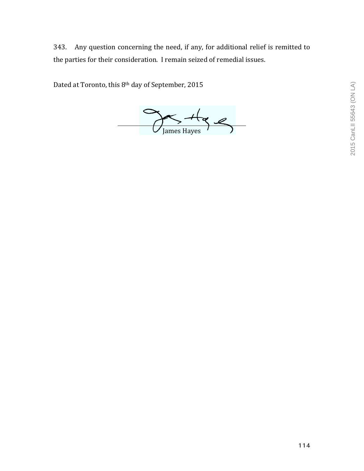343. Any question concerning the need, if any, for additional relief is remitted to the parties for their consideration. I remain seized of remedial issues.

Dated at Toronto, this 8<sup>th</sup> day of September, 2015

 $\frac{H_{\text{C}}}{J_{\text{ames Hayes}}}$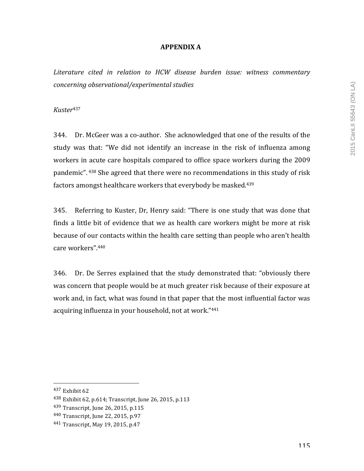### **APPENDIX A**

*Literature cited in relation to HCW disease burden issue: witness commentary concerning observational/experimental studies*

*Kuster*<sup>437</sup>

344. Dr. McGeer was a co-author. She acknowledged that one of the results of the study was that: "We did not identify an increase in the risk of influenza among workers in acute care hospitals compared to office space workers during the 2009 pandemic".  $438$  She agreed that there were no recommendations in this study of risk factors amongst healthcare workers that everybody be masked.<sup>439</sup>

345. Referring to Kuster, Dr, Henry said: "There is one study that was done that finds a little bit of evidence that we as health care workers might be more at risk because of our contacts within the health care setting than people who aren't health care workers".<sup>440</sup>

346. Dr. De Serres explained that the study demonstrated that: "obviously there was concern that people would be at much greater risk because of their exposure at work and, in fact, what was found in that paper that the most influential factor was acquiring influenza in your household, not at work."441

 $437$  Exhibit 62

<sup>438</sup> Exhibit 62, p.614; Transcript, June 26, 2015, p.113

<sup>439</sup> Transcript, June 26, 2015, p.115

<sup>440</sup> Transcript, June 22, 2015, p.97

<sup>441</sup> Transcript, May 19, 2015, p.47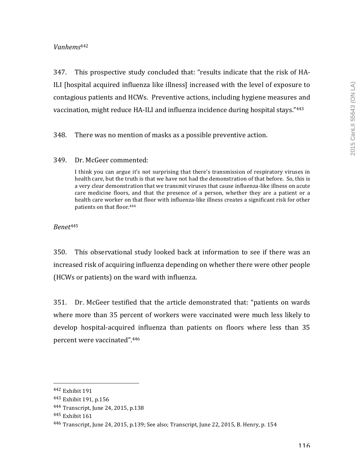# *Vanhems*<sup>442</sup>

347. This prospective study concluded that: "results indicate that the risk of HA-ILI [hospital acquired influenza like illness] increased with the level of exposure to contagious patients and HCWs. Preventive actions, including hygiene measures and vaccination, might reduce HA-ILI and influenza incidence during hospital stays."443

348. There was no mention of masks as a possible preventive action.

## 349. Dr. McGeer commented:

I think you can argue it's not surprising that there's transmission of respiratory viruses in health care, but the truth is that we have not had the demonstration of that before. So, this is a very clear demonstration that we transmit viruses that cause influenza-like illness on acute care medicine floors, and that the presence of a person, whether they are a patient or a health care worker on that floor with influenza-like illness creates a significant risk for other patients on that floor.<sup>444</sup>

*Benet*<sup>445</sup>

350. This observational study looked back at information to see if there was an increased risk of acquiring influenza depending on whether there were other people (HCWs or patients) on the ward with influenza.

351. Dr. McGeer testified that the article demonstrated that: "patients on wards where more than 35 percent of workers were vaccinated were much less likely to develop hospital-acquired influenza than patients on floors where less than 35 percent were vaccinated".446

<sup>442</sup> Exhibit 191

<sup>443</sup> Exhibit 191, p.156

<sup>444</sup> Transcript, June 24, 2015, p.138

<sup>445</sup> Exhibit 161

<sup>446</sup> Transcript, June 24, 2015, p.139; See also; Transcript, June 22, 2015, B. Henry, p. 154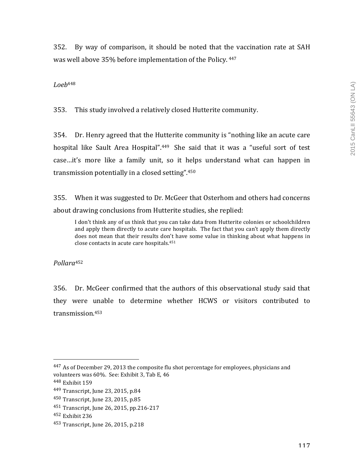352. By way of comparison, it should be noted that the vaccination rate at SAH was well above 35% before implementation of the Policy. 447

### *Loeb*<sup>448</sup>

353. This study involved a relatively closed Hutterite community.

354. Dr. Henry agreed that the Hutterite community is "nothing like an acute care hospital like Sault Area Hospital".<sup>449</sup> She said that it was a "useful sort of test case...it's more like a family unit, so it helps understand what can happen in transmission potentially in a closed setting". 450

355. When it was suggested to Dr. McGeer that Osterhom and others had concerns about drawing conclusions from Hutterite studies, she replied:

I don't think any of us think that you can take data from Hutterite colonies or schoolchildren and apply them directly to acute care hospitals. The fact that you can't apply them directly does not mean that their results don't have some value in thinking about what happens in close contacts in acute care hospitals. $451$ 

*Pollara*<sup>452</sup>

356. Dr. McGeer confirmed that the authors of this observational study said that they were unable to determine whether HCWS or visitors contributed to transmission.453

 $447$  As of December 29, 2013 the composite flu shot percentage for employees, physicians and volunteers was 60%. See: Exhibit 3, Tab E, 46

<sup>448</sup> Exhibit 159

<sup>449</sup> Transcript, June 23, 2015, p.84

<sup>450</sup> Transcript, June 23, 2015, p.85

<sup>451</sup> Transcript, June 26, 2015, pp.216-217

<sup>&</sup>lt;sup>452</sup> Exhibit 236

<sup>453</sup> Transcript, June 26, 2015, p.218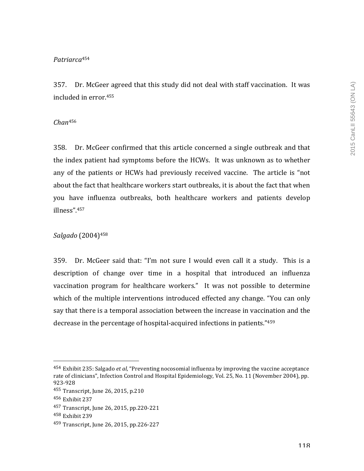# *Patriarca*<sup>454</sup>

357. Dr. McGeer agreed that this study did not deal with staff vaccination. It was included in error.<sup>455</sup>

### *Chan*<sup>456</sup>

358. Dr. McGeer confirmed that this article concerned a single outbreak and that the index patient had symptoms before the HCWs. It was unknown as to whether any of the patients or HCWs had previously received vaccine. The article is "not about the fact that healthcare workers start outbreaks, it is about the fact that when you have influenza outbreaks, both healthcare workers and patients develop illness".457

# *Salgado* (2004)458

359. Dr. McGeer said that: "I'm not sure I would even call it a study. This is a description of change over time in a hospital that introduced an influenza vaccination program for healthcare workers." It was not possible to determine which of the multiple interventions introduced effected any change. "You can only say that there is a temporal association between the increase in vaccination and the decrease in the percentage of hospital-acquired infections in patients."459

<sup>&</sup>lt;sup>454</sup> Exhibit 235: Salgado *et al*, "Preventing nocosomial influenza by improving the vaccine acceptance rate of clinicians", Infection Control and Hospital Epidemiology, Vol. 25, No. 11 (November 2004), pp. 923-928

 $455$  Transcript, June 26, 2015, p.210

<sup>456</sup> Exhibit 237

<sup>457</sup> Transcript, June 26, 2015, pp.220-221

<sup>458</sup> Exhibit 239

<sup>459</sup> Transcript, June 26, 2015, pp.226-227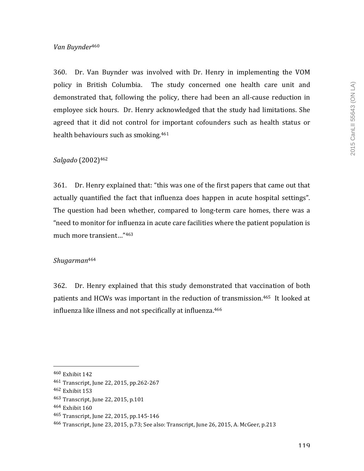### *Van Buynder*<sup>460</sup>

360. Dr. Van Buynder was involved with Dr. Henry in implementing the VOM policy in British Columbia. The study concerned one health care unit and demonstrated that, following the policy, there had been an all-cause reduction in employee sick hours. Dr. Henry acknowledged that the study had limitations. She agreed that it did not control for important cofounders such as health status or health behaviours such as smoking.<sup>461</sup>

### *Salgado* (2002)462

361. Dr. Henry explained that: "this was one of the first papers that came out that actually quantified the fact that influenza does happen in acute hospital settings". The question had been whether, compared to long-term care homes, there was a "need to monitor for influenza in acute care facilities where the patient population is much more transient..."463

#### *Shugarman*<sup>464</sup>

362. Dr. Henry explained that this study demonstrated that vaccination of both patients and HCWs was important in the reduction of transmission.<sup>465</sup> It looked at influenza like illness and not specifically at influenza.<sup>466</sup>

 $460$  Exhibit 142

<sup>461</sup> Transcript, June 22, 2015, pp.262-267

 $462$  Exhibit  $153$ 

<sup>463</sup> Transcript, June 22, 2015, p.101

<sup>464</sup> Exhibit 160

<sup>465</sup> Transcript, June 22, 2015, pp.145-146

<sup>&</sup>lt;sup>466</sup> Transcript, June 23, 2015, p.73; See also: Transcript, June 26, 2015, A. McGeer, p.213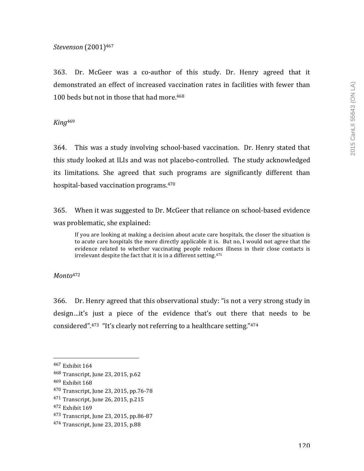### *Stevenson* (2001)467

363. Dr. McGeer was a co-author of this study. Dr. Henry agreed that it demonstrated an effect of increased vaccination rates in facilities with fewer than 100 beds but not in those that had more.<sup>468</sup>

*King*<sup>469</sup>

364. This was a study involving school-based vaccination. Dr. Henry stated that this study looked at ILIs and was not placebo-controlled. The study acknowledged its limitations. She agreed that such programs are significantly different than hospital-based vaccination programs.<sup>470</sup>

365. When it was suggested to Dr. McGeer that reliance on school-based evidence was problematic, she explained:

If you are looking at making a decision about acute care hospitals, the closer the situation is to acute care hospitals the more directly applicable it is. But no, I would not agree that the evidence related to whether vaccinating people reduces illness in their close contacts is irrelevant despite the fact that it is in a different setting. $471$ 

*Monto*<sup>472</sup>

366. Dr. Henry agreed that this observational study: "is not a very strong study in design...it's just a piece of the evidence that's out there that needs to be considered". $473$  "It's clearly not referring to a healthcare setting." $474$ 

<sup>467</sup> Exhibit 164

<sup>468</sup> Transcript, June 23, 2015, p.62

 $469$  Exhibit  $168$ 

<sup>470</sup> Transcript, June 23, 2015, pp.76-78

<sup>471</sup> Transcript, June 26, 2015, p.215

<sup>472</sup> Exhibit 169

<sup>473</sup> Transcript, June 23, 2015, pp.86-87

<sup>474</sup> Transcript, June 23, 2015, p.88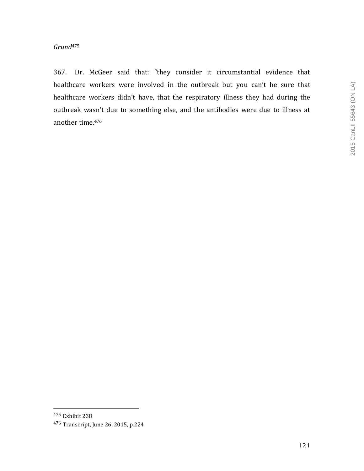367. Dr. McGeer said that: "they consider it circumstantial evidence that healthcare workers were involved in the outbreak but you can't be sure that healthcare workers didn't have, that the respiratory illness they had during the outbreak wasn't due to something else, and the antibodies were due to illness at another time.<sup>476</sup>

<sup>475</sup> Exhibit 238

<sup>476</sup> Transcript, June 26, 2015, p.224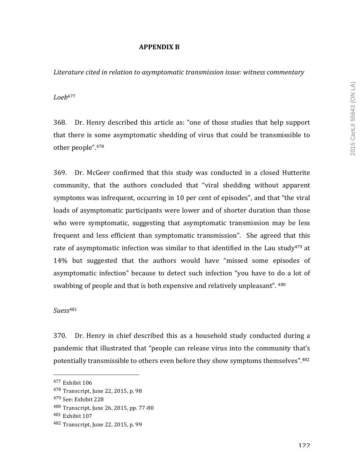## **APPENDIX B**

Literature cited in relation to asymptomatic transmission *issue:* witness commentary

*Loeb*<sup>477</sup>

368. Dr. Henry described this article as: "one of those studies that help support that there is some asymptomatic shedding of virus that could be transmissible to other people".478

369. Dr. McGeer confirmed that this study was conducted in a closed Hutterite community, that the authors concluded that "viral shedding without apparent symptoms was infrequent, occurring in 10 per cent of episodes", and that "the viral loads of asymptomatic participants were lower and of shorter duration than those who were symptomatic, suggesting that asymptomatic transmission may be less frequent and less efficient than symptomatic transmission". She agreed that this rate of asymptomatic infection was similar to that identified in the Lau study<sup>479</sup> at 14% but suggested that the authors would have "missed some episodes of asymptomatic infection" because to detect such infection "you have to do a lot of swabbing of people and that is both expensive and relatively unpleasant". <sup>480</sup>

*Suess*<sup>481</sup>

370. Dr. Henry in chief described this as a household study conducted during a pandemic that illustrated that "people can release virus into the community that's potentially transmissible to others even before they show symptoms themselves".<sup>482</sup>

 $477$  Exhibit  $106$ 

 $478$  Transcript, June 22, 2015, p. 98

<sup>&</sup>lt;sup>479</sup> See: Exhibit 228

<sup>480</sup> Transcript, June 26, 2015, pp. 77-80

<sup>481</sup> Exhibit 107

<sup>482</sup> Transcript, June 22, 2015, p. 99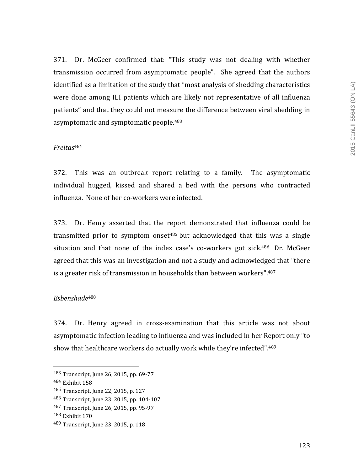371. Dr. McGeer confirmed that: "This study was not dealing with whether transmission occurred from asymptomatic people". She agreed that the authors identified as a limitation of the study that "most analysis of shedding characteristics were done among ILI patients which are likely not representative of all influenza patients" and that they could not measure the difference between viral shedding in asymptomatic and symptomatic people.<sup>483</sup>

#### *Freitas*<sup>484</sup>

372. This was an outbreak report relating to a family. The asymptomatic individual hugged, kissed and shared a bed with the persons who contracted influenza. None of her co-workers were infected.

373. Dr. Henry asserted that the report demonstrated that influenza could be transmitted prior to symptom onset<sup>485</sup> but acknowledged that this was a single situation and that none of the index case's co-workers got sick. $486$  Dr. McGeer agreed that this was an investigation and not a study and acknowledged that "there is a greater risk of transmission in households than between workers". $487$ 

### *Esbenshade*<sup>488</sup>

374. Dr. Henry agreed in cross-examination that this article was not about asymptomatic infection leading to influenza and was included in her Report only "to show that healthcare workers do actually work while they're infected". $^{489}$ 

<sup>483</sup> Transcript, June 26, 2015, pp. 69-77

<sup>484</sup> Exhibit 158

<sup>485</sup> Transcript, June 22, 2015, p. 127

<sup>486</sup> Transcript, June 23, 2015, pp. 104-107

<sup>487</sup> Transcript, June 26, 2015, pp. 95-97

<sup>488</sup> Exhibit 170

<sup>489</sup> Transcript, June 23, 2015, p. 118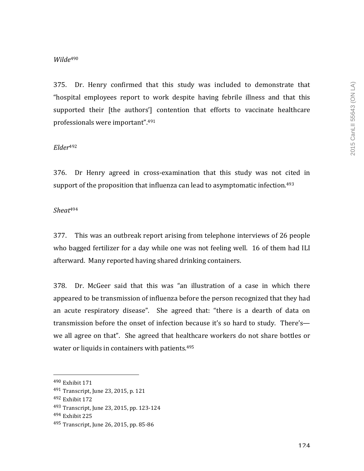### *Wilde*<sup>490</sup>

375. Dr. Henry confirmed that this study was included to demonstrate that "hospital employees report to work despite having febrile illness and that this supported their [the authors'] contention that efforts to vaccinate healthcare professionals were important".<sup>491</sup>

### *Elder*<sup>492</sup>

376. Dr Henry agreed in cross-examination that this study was not cited in support of the proposition that influenza can lead to asymptomatic infection.<sup>493</sup>

### *Sheat*<sup>494</sup>

377. This was an outbreak report arising from telephone interviews of 26 people who bagged fertilizer for a day while one was not feeling well. 16 of them had ILI afterward. Many reported having shared drinking containers.

378. Dr. McGeer said that this was "an illustration of a case in which there appeared to be transmission of influenza before the person recognized that they had an acute respiratory disease". She agreed that: "there is a dearth of data on transmission before the onset of infection because it's so hard to study. There's we all agree on that". She agreed that healthcare workers do not share bottles or water or liquids in containers with patients. $495$ 

<sup>490</sup> Exhibit 171

<sup>491</sup> Transcript, June 23, 2015, p. 121

<sup>492</sup> Exhibit 172

<sup>493</sup> Transcript, June 23, 2015, pp. 123-124

<sup>494</sup> Exhibit 225

 $495$  Transcript, June 26, 2015, pp. 85-86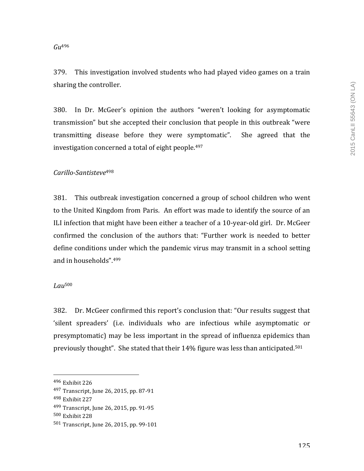#### *Gu*<sup>496</sup>

379. This investigation involved students who had played video games on a train sharing the controller.

380. In Dr. McGeer's opinion the authors "weren't looking for asymptomatic transmission" but she accepted their conclusion that people in this outbreak "were transmitting disease before they were symptomatic". She agreed that the investigation concerned a total of eight people.<sup>497</sup>

### *Carillo-Santisteve*<sup>498</sup>

381. This outbreak investigation concerned a group of school children who went to the United Kingdom from Paris. An effort was made to identify the source of an ILI infection that might have been either a teacher of a 10-year-old girl. Dr. McGeer confirmed the conclusion of the authors that: "Further work is needed to better define conditions under which the pandemic virus may transmit in a school setting and in households". 499

### *Lau*<sup>500</sup>

382. Dr. McGeer confirmed this report's conclusion that: "Our results suggest that 'silent spreaders' (i.e. individuals who are infectious while asymptomatic or presymptomatic) may be less important in the spread of influenza epidemics than previously thought". She stated that their  $14\%$  figure was less than anticipated.<sup>501</sup>

<sup>496</sup> Exhibit 226

<sup>497</sup> Transcript, June 26, 2015, pp. 87-91

<sup>498</sup> Exhibit 227

<sup>499</sup> Transcript, June 26, 2015, pp. 91-95

<sup>500</sup> Exhibit 228

 $501$  Transcript, June 26, 2015, pp. 99-101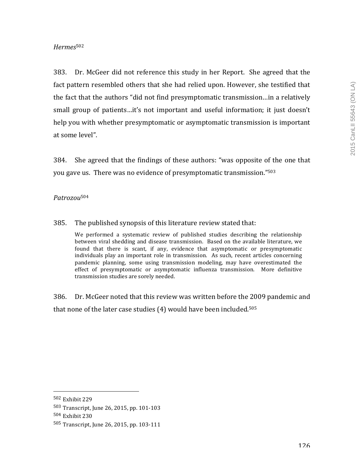## *Hermes*<sup>502</sup>

383. Dr. McGeer did not reference this study in her Report. She agreed that the fact pattern resembled others that she had relied upon. However, she testified that the fact that the authors "did not find presymptomatic transmission...in a relatively small group of patients…it's not important and useful information; it just doesn't help you with whether presymptomatic or asymptomatic transmission is important at some level".

384. She agreed that the findings of these authors: "was opposite of the one that you gave us. There was no evidence of presymptomatic transmission."<sup>503</sup>

## *Patrozou*<sup>504</sup>

### 385. The published synopsis of this literature review stated that:

We performed a systematic review of published studies describing the relationship between viral shedding and disease transmission. Based on the available literature, we found that there is scant, if any, evidence that asymptomatic or presymptomatic individuals play an important role in transmission. As such, recent articles concerning pandemic planning, some using transmission modeling, may have overestimated the effect of presymptomatic or asymptomatic influenza transmission. More definitive transmission studies are sorely needed.

386. Dr. McGeer noted that this review was written before the 2009 pandemic and that none of the later case studies  $(4)$  would have been included.<sup>505</sup>

<sup>502</sup> Exhibit 229

<sup>503</sup> Transcript, June 26, 2015, pp. 101-103

<sup>504</sup> Exhibit 230

<sup>505</sup> Transcript, June 26, 2015, pp. 103-111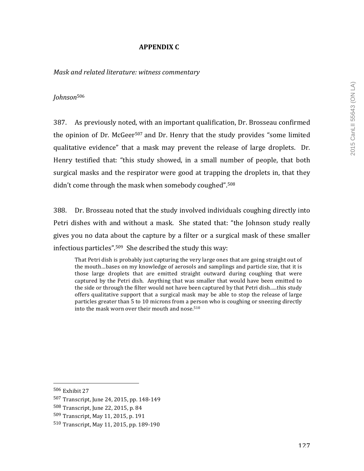# **APPENDIX C**

*Mask and related literature: witness commentary*

## *Johnson*<sup>506</sup>

387. As previously noted, with an important qualification, Dr. Brosseau confirmed the opinion of Dr. McGeer<sup>507</sup> and Dr. Henry that the study provides "some limited qualitative evidence" that a mask may prevent the release of large droplets. Dr. Henry testified that: "this study showed, in a small number of people, that both surgical masks and the respirator were good at trapping the droplets in, that they didn't come through the mask when somebody coughed".<sup>508</sup>

388. Dr. Brosseau noted that the study involved individuals coughing directly into Petri dishes with and without a mask. She stated that: "the Johnson study really gives you no data about the capture by a filter or a surgical mask of these smaller infectious particles".<sup>509</sup> She described the study this way:

That Petri dish is probably just capturing the very large ones that are going straight out of the mouth…bases on my knowledge of aerosols and samplings and particle size, that it is those large droplets that are emitted straight outward during coughing that were captured by the Petri dish. Anything that was smaller that would have been emitted to the side or through the filter would not have been captured by that Petri dish.....this study offers qualitative support that a surgical mask may be able to stop the release of large particles greater than 5 to 10 microns from a person who is coughing or sneezing directly into the mask worn over their mouth and nose.<sup>510</sup>

<sup>506</sup> Exhibit 27

<sup>507</sup> Transcript, June 24, 2015, pp. 148-149

<sup>508</sup> Transcript, June 22, 2015, p. 84

<sup>509</sup> Transcript, May 11, 2015, p. 191

<sup>510</sup> Transcript, May 11, 2015, pp. 189-190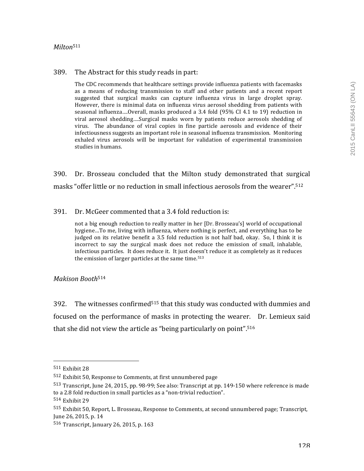### *Milton*<sup>511</sup>

### 389. The Abstract for this study reads in part:

The CDC recommends that healthcare settings provide influenza patients with facemasks as a means of reducing transmission to staff and other patients and a recent report suggested that surgical masks can capture influenza virus in large droplet spray. However, there is minimal data on influenza virus aerosol shedding from patients with seasonal influenza....Overall, masks produced a 3.4 fold  $(95\%$  CI 4.1 to 19) reduction in viral aerosol shedding....Surgical masks worn by patients reduce aerosols shedding of virus. The abundance of viral copies in fine particle aerosols and evidence of their infectiousness suggests an important role in seasonal influenza transmission. Monitoring exhaled virus aerosols will be important for validation of experimental transmission studies in humans

390. Dr. Brosseau concluded that the Milton study demonstrated that surgical masks "offer little or no reduction in small infectious aerosols from the wearer".<sup>512</sup>

391. Dr. McGeer commented that a 3.4 fold reduction is:

not a big enough reduction to really matter in her [Dr. Brosseau's] world of occupational hygiene...To me, living with influenza, where nothing is perfect, and everything has to be judged on its relative benefit a 3.5 fold reduction is not half bad, okay. So, I think it is incorrect to say the surgical mask does not reduce the emission of small, inhalable, infectious particles. It does reduce it. It just doesn't reduce it as completely as it reduces the emission of larger particles at the same time.<sup>513</sup>

### *Makison Booth*<sup>514</sup>

392. The witnesses confirmed<sup>515</sup> that this study was conducted with dummies and focused on the performance of masks in protecting the wearer. Dr. Lemieux said that she did not view the article as "being particularly on point".<sup>516</sup>

 $511$  Exhibit 28

 $512$  Exhibit 50, Response to Comments, at first unnumbered page

<sup>513</sup> Transcript, June 24, 2015, pp. 98-99; See also: Transcript at pp. 149-150 where reference is made to a 2.8 fold reduction in small particles as a "non-trivial reduction".

<sup>514</sup> Exhibit 29

<sup>515</sup> Exhibit 50, Report, L. Brosseau, Response to Comments, at second unnumbered page; Transcript, June 26, 2015, p. 14

 $516$  Transcript, January 26, 2015, p. 163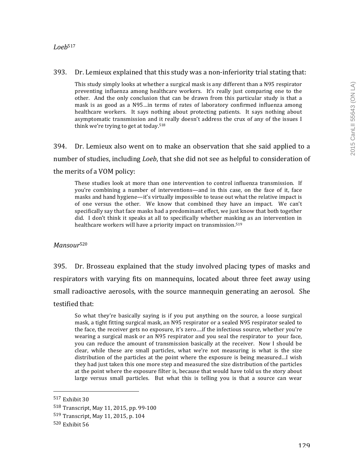### *Loeb*<sup>517</sup>

### $393.$  Dr. Lemieux explained that this study was a non-inferiority trial stating that:

This study simply looks at whether a surgical mask is any different than a N95 respirator preventing influenza among healthcare workers. It's really just comparing one to the other. And the only conclusion that can be drawn from this particular study is that a mask is as good as a N95…in terms of rates of laboratory confirmed influenza among healthcare workers. It says nothing about protecting patients. It says nothing about asymptomatic transmission and it really doesn't address the crux of any of the issues I think we're trying to get at today.<sup>518</sup>

394. Dr. Lemieux also went on to make an observation that she said applied to a number of studies, including *Loeb*, that she did not see as helpful to consideration of the merits of a VOM policy:

These studies look at more than one intervention to control influenza transmission. If you're combining a number of interventions—and in this case, on the face of it, face masks and hand hygiene—it's virtually impossible to tease out what the relative impact is of one versus the other. We know that combined they have an impact. We can't specifically say that face masks had a predominant effect, we just know that both together did. I don't think it speaks at all to specifically whether masking as an intervention in healthcare workers will have a priority impact on transmission.<sup>519</sup>

## *Mansour*<sup>520</sup>

395. Dr. Brosseau explained that the study involved placing types of masks and respirators with varying fits on mannequins, located about three feet away using small radioactive aerosols, with the source mannequin generating an aerosol. She testified that:

So what they're basically saying is if you put anything on the source, a loose surgical mask, a tight fitting surgical mask, an N95 respirator or a sealed N95 respirator sealed to the face, the receiver gets no exposure, it's zero....if the infectious source, whether you're wearing a surgical mask or an N95 respirator and you seal the respirator to your face, you can reduce the amount of transmission basically at the receiver. Now I should be clear, while these are small particles, what we're not measuring is what is the size distribution of the particles at the point where the exposure is being measured...I wish they had just taken this one more step and measured the size distribution of the particles at the point where the exposure filter is, because that would have told us the story about large versus small particles. But what this is telling you is that a source can wear

 $517$  Exhibit 30

<sup>518</sup> Transcript, May 11, 2015, pp. 99-100

<sup>519</sup> Transcript, May 11, 2015, p. 104

 $520$  Exhibit  $56$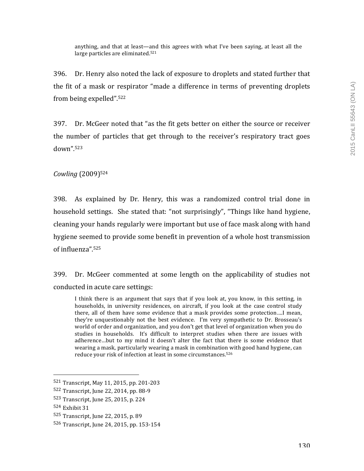anything, and that at least—and this agrees with what I've been saying, at least all the large particles are eliminated. $521$ 

396. Dr. Henry also noted the lack of exposure to droplets and stated further that the fit of a mask or respirator "made a difference in terms of preventing droplets from being expelled".<sup>522</sup>

397. Dr. McGeer noted that "as the fit gets better on either the source or receiver the number of particles that get through to the receiver's respiratory tract goes down".523

*Cowling* (2009)524

398. As explained by Dr. Henry, this was a randomized control trial done in household settings. She stated that: "not surprisingly", "Things like hand hygiene, cleaning your hands regularly were important but use of face mask along with hand hygiene seemed to provide some benefit in prevention of a whole host transmission of influenza".<sup>525</sup>

399. Dr. McGeer commented at some length on the applicability of studies not conducted in acute care settings:

I think there is an argument that says that if you look at, you know, in this setting, in households, in university residences, on aircraft, if you look at the case control study there, all of them have some evidence that a mask provides some protection....I mean, they're unquestionably not the best evidence. I'm very sympathetic to Dr. Brosseau's world of order and organization, and you don't get that level of organization when you do studies in households. It's difficult to interpret studies when there are issues with adherence...but to my mind it doesn't alter the fact that there is some evidence that wearing a mask, particularly wearing a mask in combination with good hand hygiene, can reduce your risk of infection at least in some circumstances.<sup>526</sup>

<sup>521</sup> Transcript, May 11, 2015, pp. 201-203

<sup>522</sup> Transcript, June 22, 2014, pp. 88-9

<sup>523</sup> Transcript, June 25, 2015, p. 224

<sup>524</sup> Exhibit 31

<sup>525</sup> Transcript, June 22, 2015, p. 89

<sup>526</sup> Transcript, June 24, 2015, pp. 153-154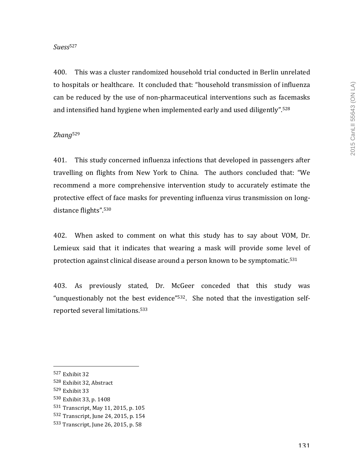### *Suess*<sup>527</sup>

400. This was a cluster randomized household trial conducted in Berlin unrelated to hospitals or healthcare. It concluded that: "household transmission of influenza can be reduced by the use of non-pharmaceutical interventions such as facemasks and intensified hand hygiene when implemented early and used diligently".<sup>528</sup>

## *Zhang*<sup>529</sup>

401. This study concerned influenza infections that developed in passengers after travelling on flights from New York to China. The authors concluded that: "We recommend a more comprehensive intervention study to accurately estimate the protective effect of face masks for preventing influenza virus transmission on longdistance flights".<sup>530</sup>

402. When asked to comment on what this study has to say about VOM, Dr. Lemieux said that it indicates that wearing a mask will provide some level of protection against clinical disease around a person known to be symptomatic.<sup>531</sup>

403. As previously stated, Dr. McGeer conceded that this study was "unquestionably not the best evidence" $532$ . She noted that the investigation selfreported several limitations.<sup>533</sup>

 $527$  Exhibit 32

<sup>528</sup> Exhibit 32, Abstract

 $529$  Exhibit 33

<sup>530</sup> Exhibit 33, p. 1408

<sup>531</sup> Transcript, May 11, 2015, p. 105

<sup>532</sup> Transcript, June 24, 2015, p. 154

<sup>533</sup> Transcript, June 26, 2015, p. 58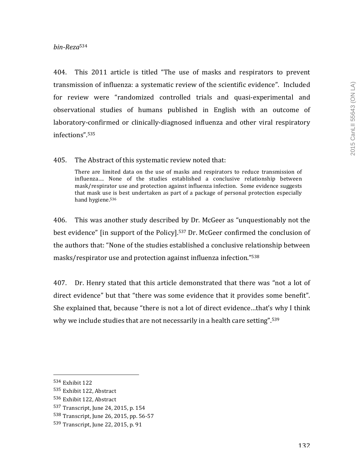### *bin-Reza*<sup>534</sup>

404. This 2011 article is titled "The use of masks and respirators to prevent transmission of influenza: a systematic review of the scientific evidence". Included for review were "randomized controlled trials and quasi-experimental and observational studies of humans published in English with an outcome of laboratory-confirmed or clinically-diagnosed influenza and other viral respiratory infections".535

405. The Abstract of this systematic review noted that:

There are limited data on the use of masks and respirators to reduce transmission of influenza.... None of the studies established a conclusive relationship between mask/respirator use and protection against influenza infection. Some evidence suggests that mask use is best undertaken as part of a package of personal protection especially hand hygiene.<sup>536</sup>

406. This was another study described by Dr. McGeer as "unquestionably not the best evidence" [in support of the Policy].<sup>537</sup> Dr. McGeer confirmed the conclusion of the authors that: "None of the studies established a conclusive relationship between masks/respirator use and protection against influenza infection."<sup>538</sup>

407. Dr. Henry stated that this article demonstrated that there was "not a lot of direct evidence" but that "there was some evidence that it provides some benefit". She explained that, because "there is not a lot of direct evidence...that's why I think why we include studies that are not necessarily in a health care setting".<sup>539</sup>

<sup>534</sup> Exhibit 122

<sup>535</sup> Exhibit 122, Abstract

<sup>536</sup> Exhibit 122, Abstract

<sup>537</sup> Transcript, June 24, 2015, p. 154

<sup>538</sup> Transcript, June 26, 2015, pp. 56-57

<sup>539</sup> Transcript, June 22, 2015, p. 91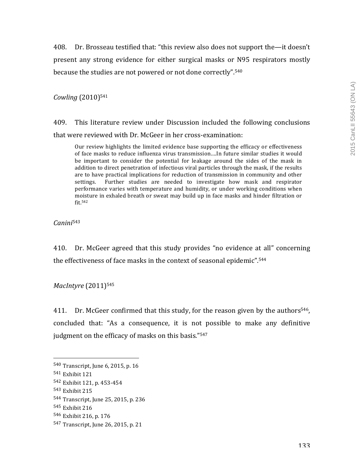408. Dr. Brosseau testified that: "this review also does not support the—it doesn't present any strong evidence for either surgical masks or N95 respirators mostly because the studies are not powered or not done correctly".<sup>540</sup>

*Cowling* (2010)541

409. This literature review under Discussion included the following conclusions that were reviewed with Dr. McGeer in her cross-examination:

Our review highlights the limited evidence base supporting the efficacy or effectiveness of face masks to reduce influenza virus transmission....In future similar studies it would be important to consider the potential for leakage around the sides of the mask in addition to direct penetration of infectious viral particles through the mask, if the results are to have practical implications for reduction of transmission in community and other settings. Further studies are needed to investigate how mask and respirator performance varies with temperature and humidity, or under working conditions when moisture in exhaled breath or sweat may build up in face masks and hinder filtration or fit.542

*Canini*<sup>543</sup>

410. Dr. McGeer agreed that this study provides "no evidence at all" concerning the effectiveness of face masks in the context of seasonal epidemic".<sup>544</sup>

*MacIntyre* (2011)<sup>545</sup>

411. Dr. McGeer confirmed that this study, for the reason given by the authors<sup>546</sup>, concluded that: "As a consequence, it is not possible to make any definitive judgment on the efficacy of masks on this basis."<sup>547</sup>

  $540$  Transcript, June 6, 2015, p. 16

<sup>541</sup> Exhibit 121

<sup>542</sup> Exhibit 121, p. 453-454

 $543$  Exhibit 215

<sup>544</sup> Transcript, June 25, 2015, p. 236

<sup>545</sup> Exhibit 216

<sup>546</sup> Exhibit 216, p. 176

<sup>547</sup> Transcript, June 26, 2015, p. 21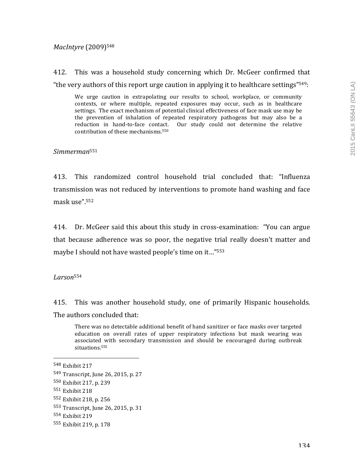### *MacIntyre* (2009)548

412. This was a household study concerning which Dr. McGeer confirmed that "the very authors of this report urge caution in applying it to healthcare settings" $549$ :

We urge caution in extrapolating our results to school, workplace, or community contexts, or where multiple, repeated exposures may occur, such as in healthcare settings. The exact mechanism of potential clinical effectiveness of face mask use may be the prevention of inhalation of repeated respiratory pathogens but may also be a reduction in hand-to-face contact. Our study could not determine the relative contribution of these mechanisms.<sup>550</sup>

*Simmerman*<sup>551</sup>

413. This randomized control household trial concluded that: "Influenza transmission was not reduced by interventions to promote hand washing and face mask use".552

414. Dr. McGeer said this about this study in cross-examination: "You can argue that because adherence was so poor, the negative trial really doesn't matter and maybe I should not have wasted people's time on it..."<sup>553</sup>

*Larson*<sup>554</sup>

415. This was another household study, one of primarily Hispanic households. The authors concluded that:

There was no detectable additional benefit of hand sanitizer or face masks over targeted education on overall rates of upper respiratory infections but mask wearing was associated with secondary transmission and should be encouraged during outbreak situations.555

<sup>548</sup> Exhibit 217

<sup>549</sup> Transcript, June 26, 2015, p. 27

<sup>550</sup> Exhibit 217, p. 239

<sup>&</sup>lt;sup>551</sup> Exhibit 218

<sup>552</sup> Exhibit 218, p. 256

<sup>553</sup> Transcript, June 26, 2015, p. 31

<sup>554</sup> Exhibit 219

<sup>555</sup> Exhibit 219, p. 178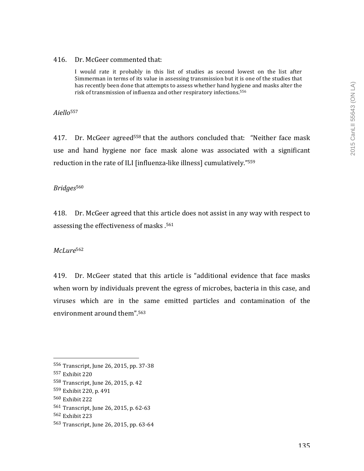#### 416. Dr. McGeer commented that:

I would rate it probably in this list of studies as second lowest on the list after Simmerman in terms of its value in assessing transmission but it is one of the studies that has recently been done that attempts to assess whether hand hygiene and masks alter the risk of transmission of influenza and other respiratory infections.<sup>556</sup>

*Aiello*<sup>557</sup>

417. Dr. McGeer agreed<sup>558</sup> that the authors concluded that: "Neither face mask use and hand hygiene nor face mask alone was associated with a significant reduction in the rate of ILI [influenza-like illness] cumulatively."559

#### *Bridges*<sup>560</sup>

418. Dr. McGeer agreed that this article does not assist in any way with respect to assessing the effectiveness of masks .<sup>561</sup>

*McLure*<sup>562</sup>

419. Dr. McGeer stated that this article is "additional evidence that face masks when worn by individuals prevent the egress of microbes, bacteria in this case, and viruses which are in the same emitted particles and contamination of the environment around them".<sup>563</sup>

<sup>556</sup> Transcript, June 26, 2015, pp. 37-38

<sup>557</sup> Exhibit 220

 $558$  Transcript, June 26, 2015, p. 42

<sup>559</sup> Exhibit 220, p. 491

<sup>560</sup> Exhibit 222

<sup>561</sup> Transcript, June 26, 2015, p. 62-63

<sup>562</sup> Exhibit 223

<sup>563</sup> Transcript, June 26, 2015, pp. 63-64